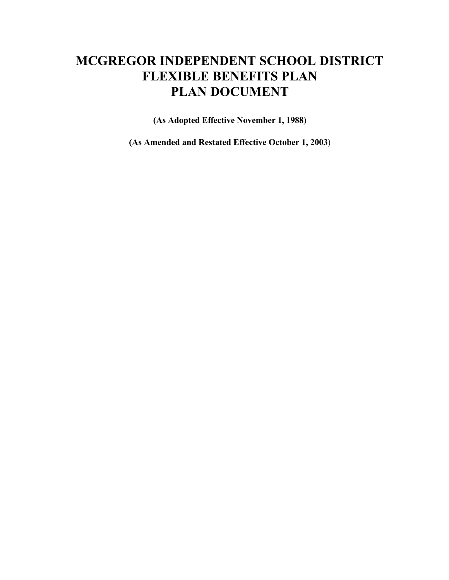# **MCGREGOR INDEPENDENT SCHOOL DISTRICT FLEXIBLE BENEFITS PLAN PLAN DOCUMENT**

**(As Adopted Effective November 1, 1988)**

**(As Amended and Restated Effective October 1, 2003**)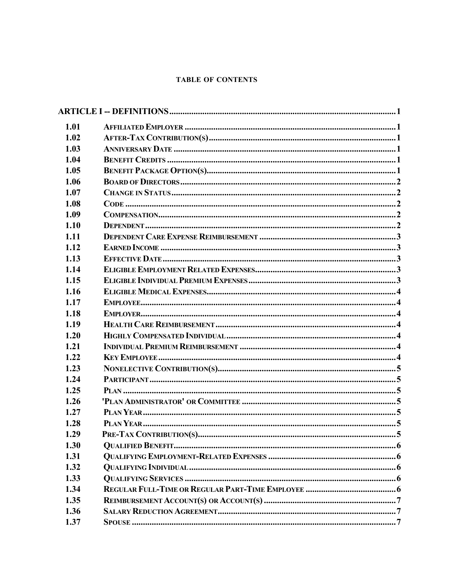#### **TABLE OF CONTENTS**

| 1.01 |  |
|------|--|
| 1.02 |  |
| 1.03 |  |
| 1.04 |  |
| 1.05 |  |
| 1.06 |  |
| 1.07 |  |
| 1.08 |  |
| 1.09 |  |
| 1.10 |  |
| 1.11 |  |
| 1.12 |  |
| 1.13 |  |
| 1.14 |  |
| 1.15 |  |
| 1.16 |  |
| 1.17 |  |
| 1.18 |  |
| 1.19 |  |
| 1.20 |  |
| 1.21 |  |
| 1.22 |  |
| 1.23 |  |
| 1.24 |  |
| 1.25 |  |
| 1.26 |  |
| 1.27 |  |
| 1.28 |  |
| 1.29 |  |
| 1.30 |  |
| 1.31 |  |
| 1.32 |  |
| 1.33 |  |
| 1.34 |  |
| 1.35 |  |
| 1.36 |  |
| 1.37 |  |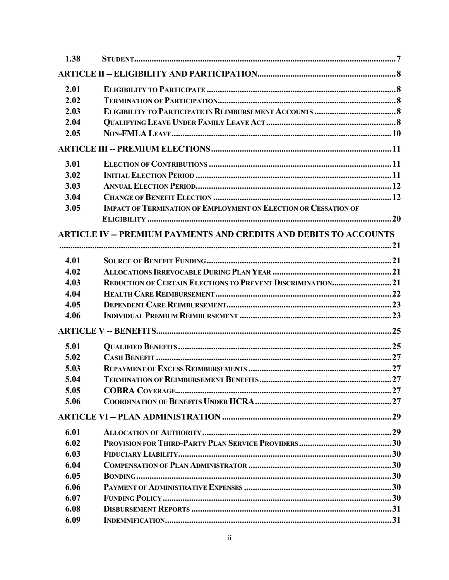| 1.38 |                                                                          |  |
|------|--------------------------------------------------------------------------|--|
|      |                                                                          |  |
| 2.01 |                                                                          |  |
| 2.02 |                                                                          |  |
| 2.03 |                                                                          |  |
| 2.04 |                                                                          |  |
| 2.05 |                                                                          |  |
|      |                                                                          |  |
| 3.01 |                                                                          |  |
| 3.02 |                                                                          |  |
| 3.03 |                                                                          |  |
| 3.04 |                                                                          |  |
| 3.05 | <b>IMPACT OF TERMINATION OF EMPLOYMENT ON ELECTION OR CESSATION OF</b>   |  |
|      |                                                                          |  |
|      | <b>ARTICLE IV -- PREMIUM PAYMENTS AND CREDITS AND DEBITS TO ACCOUNTS</b> |  |
|      |                                                                          |  |
|      |                                                                          |  |
| 4.01 |                                                                          |  |
| 4.02 |                                                                          |  |
| 4.03 | REDUCTION OF CERTAIN ELECTIONS TO PREVENT DISCRIMINATION21               |  |
| 4.04 |                                                                          |  |
| 4.05 |                                                                          |  |
| 4.06 |                                                                          |  |
|      |                                                                          |  |
| 5.01 |                                                                          |  |
| 5.02 |                                                                          |  |
| 5.03 |                                                                          |  |
| 5.04 |                                                                          |  |
| 5.05 |                                                                          |  |
| 5.06 |                                                                          |  |
|      |                                                                          |  |
| 6.01 |                                                                          |  |
| 6.02 |                                                                          |  |
| 6.03 |                                                                          |  |
| 6.04 |                                                                          |  |
| 6.05 |                                                                          |  |
| 6.06 |                                                                          |  |
| 6.07 |                                                                          |  |
| 6.08 |                                                                          |  |
| 6.09 |                                                                          |  |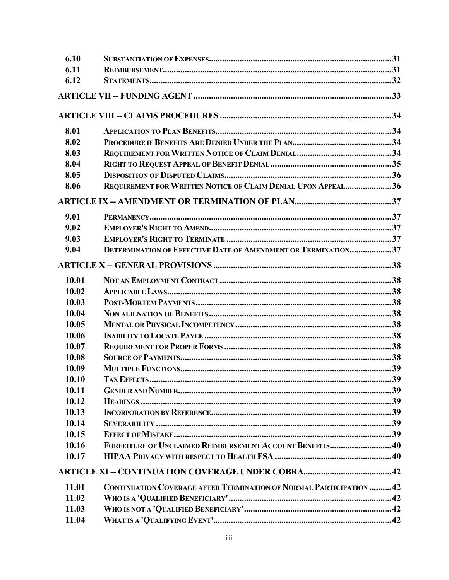| 6.10  |                                                                      |  |
|-------|----------------------------------------------------------------------|--|
| 6.11  |                                                                      |  |
| 6.12  |                                                                      |  |
|       |                                                                      |  |
|       |                                                                      |  |
| 8.01  |                                                                      |  |
| 8.02  |                                                                      |  |
| 8.03  |                                                                      |  |
| 8.04  |                                                                      |  |
| 8.05  |                                                                      |  |
| 8.06  | REQUIREMENT FOR WRITTEN NOTICE OF CLAIM DENIAL UPON APPEAL36         |  |
|       |                                                                      |  |
| 9.01  |                                                                      |  |
| 9.02  |                                                                      |  |
| 9.03  |                                                                      |  |
| 9.04  | <b>DETERMINATION OF EFFECTIVE DATE OF AMENDMENT OR TERMINATION37</b> |  |
|       |                                                                      |  |
| 10.01 |                                                                      |  |
| 10.02 |                                                                      |  |
| 10.03 |                                                                      |  |
| 10.04 |                                                                      |  |
| 10.05 |                                                                      |  |
| 10.06 |                                                                      |  |
| 10.07 |                                                                      |  |
| 10.08 |                                                                      |  |
| 10.09 |                                                                      |  |
| 10.10 |                                                                      |  |
| 10.11 |                                                                      |  |
| 10.12 |                                                                      |  |
| 10.13 |                                                                      |  |
| 10.14 |                                                                      |  |
| 10.15 |                                                                      |  |
| 10.16 | FORFEITURE OF UNCLAIMED REIMBURSEMENT ACCOUNT BENEFITS 40            |  |
| 10.17 |                                                                      |  |
|       |                                                                      |  |
| 11.01 | CONTINUATION COVERAGE AFTER TERMINATION OF NORMAL PARTICIPATION 42   |  |
| 11.02 |                                                                      |  |
| 11.03 |                                                                      |  |
| 11.04 |                                                                      |  |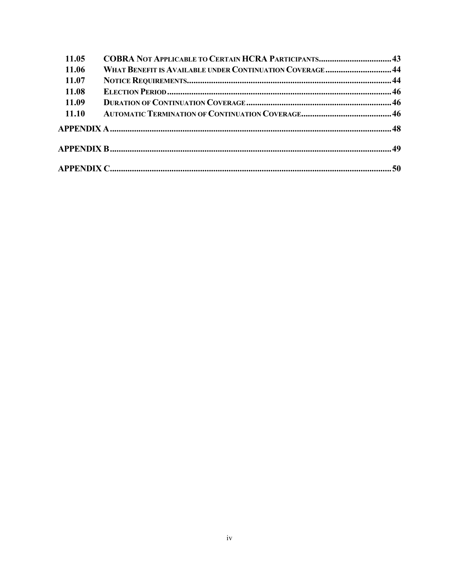| 11.05 |                                                           |  |
|-------|-----------------------------------------------------------|--|
| 11.06 | WHAT BENEFIT IS AVAILABLE UNDER CONTINUATION COVERAGE  44 |  |
| 11.07 |                                                           |  |
| 11.08 |                                                           |  |
| 11.09 |                                                           |  |
| 11.10 |                                                           |  |
|       |                                                           |  |
|       |                                                           |  |
|       |                                                           |  |
|       |                                                           |  |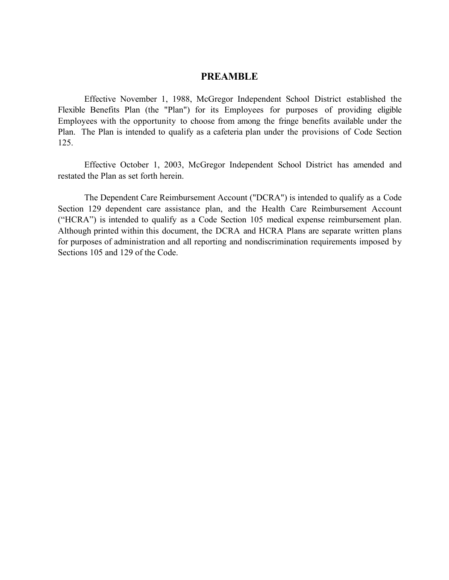#### **PREAMBLE**

Effective November 1, 1988, McGregor Independent School District established the Flexible Benefits Plan (the "Plan") for its Employees for purposes of providing eligible Employees with the opportunity to choose from among the fringe benefits available under the Plan. The Plan is intended to qualify as a cafeteria plan under the provisions of Code Section 125.

Effective October 1, 2003, McGregor Independent School District has amended and restated the Plan as set forth herein.

The Dependent Care Reimbursement Account ("DCRA") is intended to qualify as a Code Section 129 dependent care assistance plan, and the Health Care Reimbursement Account ("HCRA") is intended to qualify as a Code Section 105 medical expense reimbursement plan. Although printed within this document, the DCRA and HCRA Plans are separate written plans for purposes of administration and all reporting and nondiscrimination requirements imposed by Sections 105 and 129 of the Code.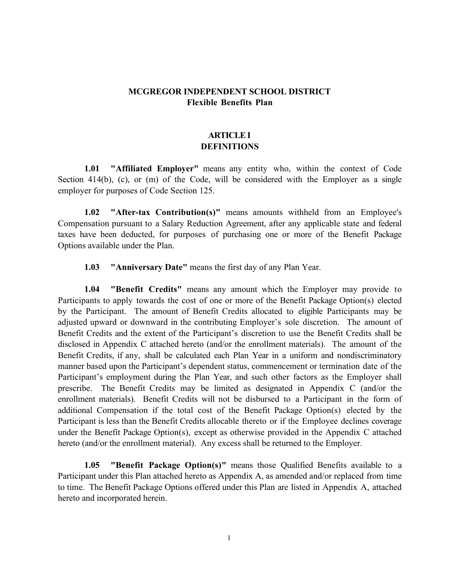# **MCGREGOR INDEPENDENT SCHOOL DISTRICT Flexible Benefits Plan**

# **ARTICLE I DEFINITIONS**

**1.01 "Affiliated Employer"** means any entity who, within the context of Code Section 414(b), (c), or (m) of the Code, will be considered with the Employer as a single employer for purposes of Code Section 125.

**1.02 "After-tax Contribution(s)"** means amounts withheld from an Employee's Compensation pursuant to a Salary Reduction Agreement, after any applicable state and federal taxes have been deducted, for purposes of purchasing one or more of the Benefit Package Options available under the Plan.

**1.03 "Anniversary Date"** means the first day of any Plan Year.

**1.04 "Benefit Credits"** means any amount which the Employer may provide to Participants to apply towards the cost of one or more of the Benefit Package Option(s) elected by the Participant. The amount of Benefit Credits allocated to eligible Participants may be adjusted upward or downward in the contributing Employer's sole discretion. The amount of Benefit Credits and the extent of the Participant's discretion to use the Benefit Credits shall be disclosed in Appendix C attached hereto (and/or the enrollment materials). The amount of the Benefit Credits, if any, shall be calculated each Plan Year in a uniform and nondiscriminatory manner based upon the Participant's dependent status, commencement or termination date of the Participant's employment during the Plan Year, and such other factors as the Employer shall prescribe. The Benefit Credits may be limited as designated in Appendix C (and/or the enrollment materials). Benefit Credits will not be disbursed to a Participant in the form of additional Compensation if the total cost of the Benefit Package Option(s) elected by the Participant is less than the Benefit Credits allocable thereto or if the Employee declines coverage under the Benefit Package Option(s), except as otherwise provided in the Appendix C attached hereto (and/or the enrollment material). Any excess shall be returned to the Employer.

**1.05 "Benefit Package Option(s)"** means those Qualified Benefits available to a Participant under this Plan attached hereto as Appendix A, as amended and/or replaced from time to time. The Benefit Package Options offered under this Plan are listed in Appendix A, attached hereto and incorporated herein.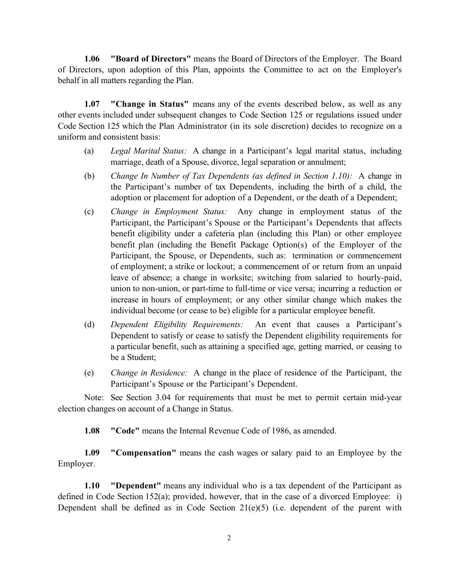**1.06 "Board of Directors"** means the Board of Directors of the Employer. The Board of Directors, upon adoption of this Plan, appoints the Committee to act on the Employer's behalf in all matters regarding the Plan.

**1.07 "Change in Status"** means any of the events described below, as well as any other events included under subsequent changes to Code Section 125 or regulations issued under Code Section 125 which the Plan Administrator (in its sole discretion) decides to recognize on a uniform and consistent basis:

- (a) *Legal Marital Status:* A change in a Participant's legal marital status, including marriage, death of a Spouse, divorce, legal separation or annulment;
- (b) *Change In Number of Tax Dependents (as defined in Section 1.10):* A change in the Participant's number of tax Dependents, including the birth of a child, the adoption or placement for adoption of a Dependent, or the death of a Dependent;
- (c) *Change in Employment Status:* Any change in employment status of the Participant, the Participant's Spouse or the Participant's Dependents that affects benefit eligibility under a cafeteria plan (including this Plan) or other employee benefit plan (including the Benefit Package Option(s) of the Employer of the Participant, the Spouse, or Dependents, such as: termination or commencement of employment; a strike or lockout; a commencement of or return from an unpaid leave of absence; a change in worksite; switching from salaried to hourly-paid, union to non-union, or part-time to full-time or vice versa; incurring a reduction or increase in hours of employment; or any other similar change which makes the individual become (or cease to be) eligible for a particular employee benefit.
- (d) *Dependent Eligibility Requirements:* An event that causes a Participant's Dependent to satisfy or cease to satisfy the Dependent eligibility requirements for a particular benefit, such as attaining a specified age, getting married, or ceasing to be a Student;
- (e) *Change in Residence:* A change in the place of residence of the Participant, the Participant's Spouse or the Participant's Dependent.

Note: See Section 3.04 for requirements that must be met to permit certain mid-year election changes on account of a Change in Status.

**1.08 "Code"** means the Internal Revenue Code of 1986, as amended.

**1.09 "Compensation"** means the cash wages or salary paid to an Employee by the Employer.

**1.10 "Dependent"** means any individual who is a tax dependent of the Participant as defined in Code Section 152(a); provided, however, that in the case of a divorced Employee: i) Dependent shall be defined as in Code Section  $21(e)(5)$  (i.e. dependent of the parent with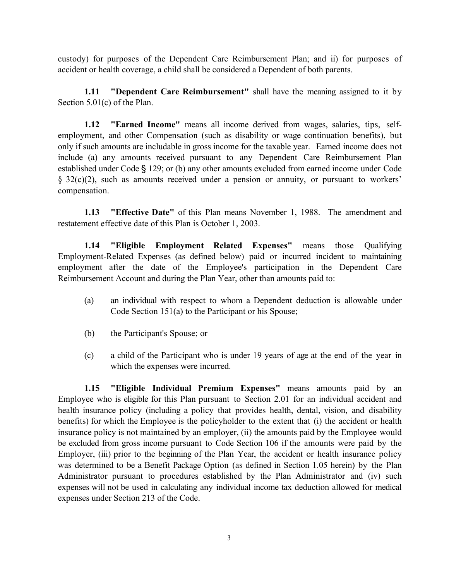custody) for purposes of the Dependent Care Reimbursement Plan; and ii) for purposes of accident or health coverage, a child shall be considered a Dependent of both parents.

**1.11 "Dependent Care Reimbursement"** shall have the meaning assigned to it by Section 5.01(c) of the Plan.

**1.12 "Earned Income"** means all income derived from wages, salaries, tips, selfemployment, and other Compensation (such as disability or wage continuation benefits), but only if such amounts are includable in gross income for the taxable year. Earned income does not include (a) any amounts received pursuant to any Dependent Care Reimbursement Plan established under Code § 129; or (b) any other amounts excluded from earned income under Code § 32(c)(2), such as amounts received under a pension or annuity, or pursuant to workers' compensation.

**1.13 "Effective Date"** of this Plan means November 1, 1988. The amendment and restatement effective date of this Plan is October 1, 2003.

**1.14 "Eligible Employment Related Expenses"** means those Qualifying Employment-Related Expenses (as defined below) paid or incurred incident to maintaining employment after the date of the Employee's participation in the Dependent Care Reimbursement Account and during the Plan Year, other than amounts paid to:

- (a) an individual with respect to whom a Dependent deduction is allowable under Code Section 151(a) to the Participant or his Spouse;
- (b) the Participant's Spouse; or
- (c) a child of the Participant who is under 19 years of age at the end of the year in which the expenses were incurred.

**1.15 "Eligible Individual Premium Expenses"** means amounts paid by an Employee who is eligible for this Plan pursuant to Section 2.01 for an individual accident and health insurance policy (including a policy that provides health, dental, vision, and disability benefits) for which the Employee is the policyholder to the extent that (i) the accident or health insurance policy is not maintained by an employer, (ii) the amounts paid by the Employee would be excluded from gross income pursuant to Code Section 106 if the amounts were paid by the Employer, (iii) prior to the beginning of the Plan Year, the accident or health insurance policy was determined to be a Benefit Package Option (as defined in Section 1.05 herein) by the Plan Administrator pursuant to procedures established by the Plan Administrator and (iv) such expenses will not be used in calculating any individual income tax deduction allowed for medical expenses under Section 213 of the Code.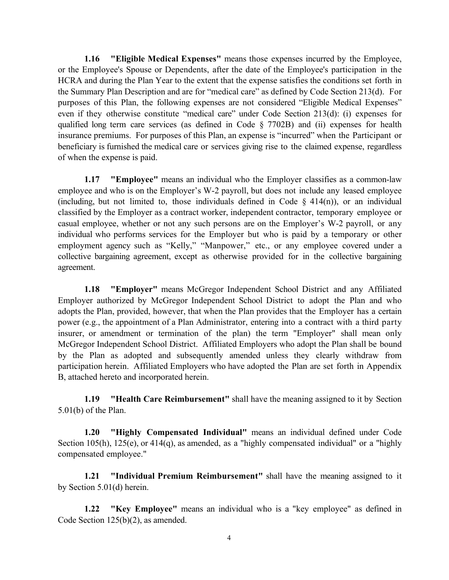**1.16 "Eligible Medical Expenses"** means those expenses incurred by the Employee, or the Employee's Spouse or Dependents, after the date of the Employee's participation in the HCRA and during the Plan Year to the extent that the expense satisfies the conditions set forth in the Summary Plan Description and are for "medical care" as defined by Code Section 213(d). For purposes of this Plan, the following expenses are not considered "Eligible Medical Expenses" even if they otherwise constitute "medical care" under Code Section 213(d): (i) expenses for qualified long term care services (as defined in Code § 7702B) and (ii) expenses for health insurance premiums. For purposes of this Plan, an expense is "incurred" when the Participant or beneficiary is furnished the medical care or services giving rise to the claimed expense, regardless of when the expense is paid.

**1.17 "Employee"** means an individual who the Employer classifies as a common-law employee and who is on the Employer's W-2 payroll, but does not include any leased employee (including, but not limited to, those individuals defined in Code  $\S$  414(n)), or an individual classified by the Employer as a contract worker, independent contractor, temporary employee or casual employee, whether or not any such persons are on the Employer's W-2 payroll, or any individual who performs services for the Employer but who is paid by a temporary or other employment agency such as "Kelly," "Manpower," etc., or any employee covered under a collective bargaining agreement, except as otherwise provided for in the collective bargaining agreement.

**1.18 "Employer"** means McGregor Independent School District and any Affiliated Employer authorized by McGregor Independent School District to adopt the Plan and who adopts the Plan, provided, however, that when the Plan provides that the Employer has a certain power (e.g., the appointment of a Plan Administrator, entering into a contract with a third party insurer, or amendment or termination of the plan) the term "Employer" shall mean only McGregor Independent School District. Affiliated Employers who adopt the Plan shall be bound by the Plan as adopted and subsequently amended unless they clearly withdraw from participation herein. Affiliated Employers who have adopted the Plan are set forth in Appendix B, attached hereto and incorporated herein.

**1.19 "Health Care Reimbursement"** shall have the meaning assigned to it by Section 5.01(b) of the Plan.

**1.20 "Highly Compensated Individual"** means an individual defined under Code Section 105(h), 125(e), or 414(q), as amended, as a "highly compensated individual" or a "highly compensated employee."

**1.21 "Individual Premium Reimbursement"** shall have the meaning assigned to it by Section 5.01(d) herein.

**1.22 "Key Employee"** means an individual who is a "key employee" as defined in Code Section 125(b)(2), as amended.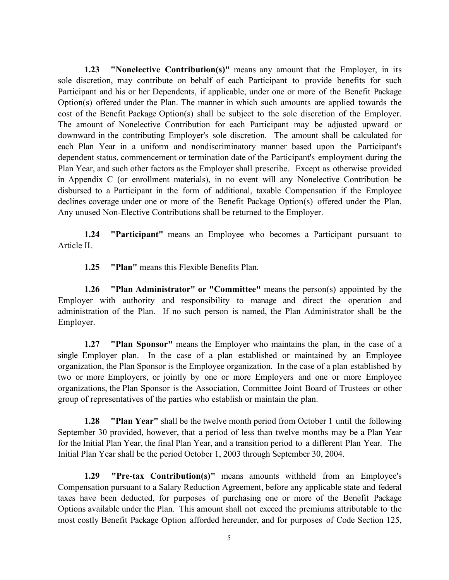**1.23 "Nonelective Contribution(s)"** means any amount that the Employer, in its sole discretion, may contribute on behalf of each Participant to provide benefits for such Participant and his or her Dependents, if applicable, under one or more of the Benefit Package Option(s) offered under the Plan. The manner in which such amounts are applied towards the cost of the Benefit Package Option(s) shall be subject to the sole discretion of the Employer. The amount of Nonelective Contribution for each Participant may be adjusted upward or downward in the contributing Employer's sole discretion. The amount shall be calculated for each Plan Year in a uniform and nondiscriminatory manner based upon the Participant's dependent status, commencement or termination date of the Participant's employment during the Plan Year, and such other factors as the Employer shall prescribe. Except as otherwise provided in Appendix C (or enrollment materials), in no event will any Nonelective Contribution be disbursed to a Participant in the form of additional, taxable Compensation if the Employee declines coverage under one or more of the Benefit Package Option(s) offered under the Plan. Any unused Non-Elective Contributions shall be returned to the Employer.

**1.24 "Participant"** means an Employee who becomes a Participant pursuant to Article II.

**1.25 "Plan"** means this Flexible Benefits Plan.

**1.26 "Plan Administrator" or "Committee"** means the person(s) appointed by the Employer with authority and responsibility to manage and direct the operation and administration of the Plan. If no such person is named, the Plan Administrator shall be the Employer.

**1.27 "Plan Sponsor"** means the Employer who maintains the plan, in the case of a single Employer plan. In the case of a plan established or maintained by an Employee organization, the Plan Sponsor is the Employee organization. In the case of a plan established by two or more Employers, or jointly by one or more Employers and one or more Employee organizations, the Plan Sponsor is the Association, Committee Joint Board of Trustees or other group of representatives of the parties who establish or maintain the plan.

**1.28 "Plan Year"** shall be the twelve month period from October 1 until the following September 30 provided, however, that a period of less than twelve months may be a Plan Year for the Initial Plan Year, the final Plan Year, and a transition period to a different Plan Year. The Initial Plan Year shall be the period October 1, 2003 through September 30, 2004.

**1.29 "Pre-tax Contribution(s)"** means amounts withheld from an Employee's Compensation pursuant to a Salary Reduction Agreement, before any applicable state and federal taxes have been deducted, for purposes of purchasing one or more of the Benefit Package Options available under the Plan. This amount shall not exceed the premiums attributable to the most costly Benefit Package Option afforded hereunder, and for purposes of Code Section 125,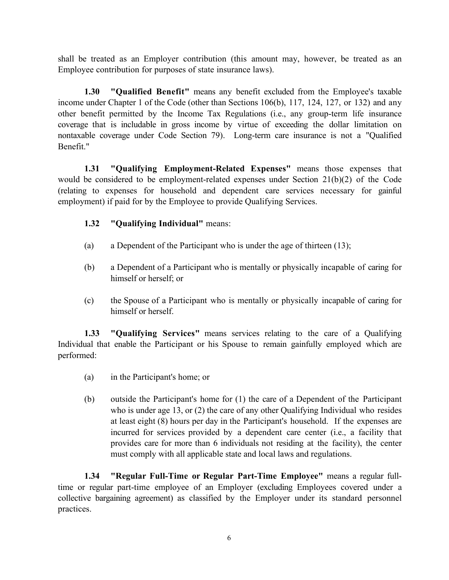shall be treated as an Employer contribution (this amount may, however, be treated as an Employee contribution for purposes of state insurance laws).

**1.30 "Qualified Benefit"** means any benefit excluded from the Employee's taxable income under Chapter 1 of the Code (other than Sections 106(b), 117, 124, 127, or 132) and any other benefit permitted by the Income Tax Regulations (i.e., any group-term life insurance coverage that is includable in gross income by virtue of exceeding the dollar limitation on nontaxable coverage under Code Section 79). Long-term care insurance is not a "Qualified Benefit."

**1.31 "Qualifying Employment-Related Expenses"** means those expenses that would be considered to be employment-related expenses under Section 21(b)(2) of the Code (relating to expenses for household and dependent care services necessary for gainful employment) if paid for by the Employee to provide Qualifying Services.

# **1.32 "Qualifying Individual"** means:

- (a) a Dependent of the Participant who is under the age of thirteen (13);
- (b) a Dependent of a Participant who is mentally or physically incapable of caring for himself or herself; or
- (c) the Spouse of a Participant who is mentally or physically incapable of caring for himself or herself.

**1.33 "Qualifying Services"** means services relating to the care of a Qualifying Individual that enable the Participant or his Spouse to remain gainfully employed which are performed:

- (a) in the Participant's home; or
- (b) outside the Participant's home for (1) the care of a Dependent of the Participant who is under age 13, or (2) the care of any other Qualifying Individual who resides at least eight (8) hours per day in the Participant's household. If the expenses are incurred for services provided by a dependent care center (i.e., a facility that provides care for more than 6 individuals not residing at the facility), the center must comply with all applicable state and local laws and regulations.

**1.34 "Regular Full-Time or Regular Part-Time Employee"** means a regular fulltime or regular part-time employee of an Employer (excluding Employees covered under a collective bargaining agreement) as classified by the Employer under its standard personnel practices.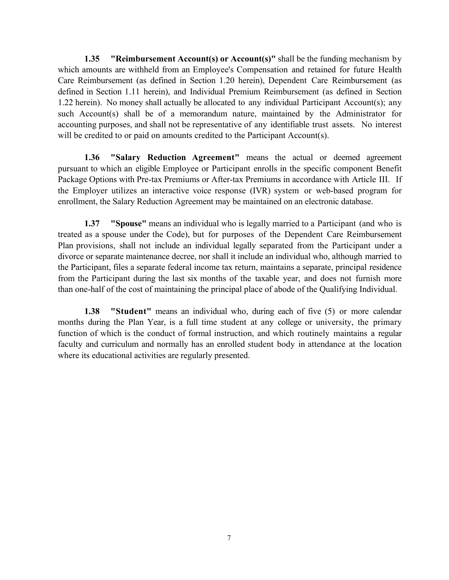**1.35 "Reimbursement Account(s) or Account(s)"** shall be the funding mechanism by which amounts are withheld from an Employee's Compensation and retained for future Health Care Reimbursement (as defined in Section 1.20 herein), Dependent Care Reimbursement (as defined in Section 1.11 herein), and Individual Premium Reimbursement (as defined in Section 1.22 herein). No money shall actually be allocated to any individual Participant Account(s); any such Account(s) shall be of a memorandum nature, maintained by the Administrator for accounting purposes, and shall not be representative of any identifiable trust assets. No interest will be credited to or paid on amounts credited to the Participant Account(s).

**1.36 "Salary Reduction Agreement"** means the actual or deemed agreement pursuant to which an eligible Employee or Participant enrolls in the specific component Benefit Package Options with Pre-tax Premiums or After-tax Premiums in accordance with Article III. If the Employer utilizes an interactive voice response (IVR) system or web-based program for enrollment, the Salary Reduction Agreement may be maintained on an electronic database.

**1.37 "Spouse"** means an individual who is legally married to a Participant (and who is treated as a spouse under the Code), but for purposes of the Dependent Care Reimbursement Plan provisions, shall not include an individual legally separated from the Participant under a divorce or separate maintenance decree, nor shall it include an individual who, although married to the Participant, files a separate federal income tax return, maintains a separate, principal residence from the Participant during the last six months of the taxable year, and does not furnish more than one-half of the cost of maintaining the principal place of abode of the Qualifying Individual.

**1.38 "Student"** means an individual who, during each of five (5) or more calendar months during the Plan Year, is a full time student at any college or university, the primary function of which is the conduct of formal instruction, and which routinely maintains a regular faculty and curriculum and normally has an enrolled student body in attendance at the location where its educational activities are regularly presented.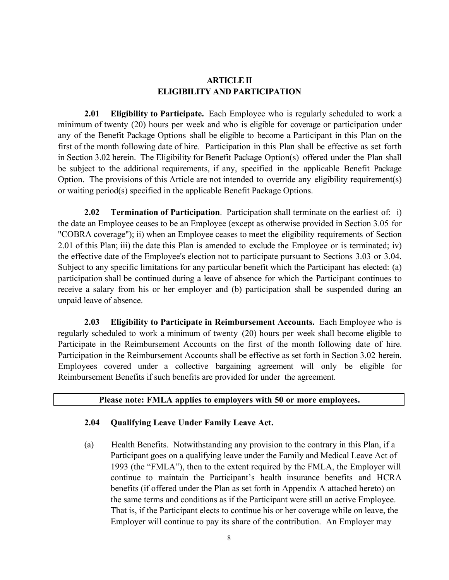# **ARTICLE II ELIGIBILITY AND PARTICIPATION**

**2.01 Eligibility to Participate.** Each Employee who is regularly scheduled to work a minimum of twenty (20) hours per week and who is eligible for coverage or participation under any of the Benefit Package Options shall be eligible to become a Participant in this Plan on the first of the month following date of hire. Participation in this Plan shall be effective as set forth in Section 3.02 herein. The Eligibility for Benefit Package Option(s) offered under the Plan shall be subject to the additional requirements, if any, specified in the applicable Benefit Package Option. The provisions of this Article are not intended to override any eligibility requirement(s) or waiting period(s) specified in the applicable Benefit Package Options.

**2.02 Termination of Participation**. Participation shall terminate on the earliest of: i) the date an Employee ceases to be an Employee (except as otherwise provided in Section 3.05 for "COBRA coverage"); ii) when an Employee ceases to meet the eligibility requirements of Section 2.01 of this Plan; iii) the date this Plan is amended to exclude the Employee or is terminated; iv) the effective date of the Employee's election not to participate pursuant to Sections 3.03 or 3.04. Subject to any specific limitations for any particular benefit which the Participant has elected: (a) participation shall be continued during a leave of absence for which the Participant continues to receive a salary from his or her employer and (b) participation shall be suspended during an unpaid leave of absence.

**2.03 Eligibility to Participate in Reimbursement Accounts.** Each Employee who is regularly scheduled to work a minimum of twenty (20) hours per week shall become eligible to Participate in the Reimbursement Accounts on the first of the month following date of hire. Participation in the Reimbursement Accounts shall be effective as set forth in Section 3.02 herein. Employees covered under a collective bargaining agreement will only be eligible for Reimbursement Benefits if such benefits are provided for under the agreement.

#### **Please note: FMLA applies to employers with 50 or more employees.**

#### **2.04 Qualifying Leave Under Family Leave Act.**

(a) Health Benefits. Notwithstanding any provision to the contrary in this Plan, if a Participant goes on a qualifying leave under the Family and Medical Leave Act of 1993 (the "FMLA"), then to the extent required by the FMLA, the Employer will continue to maintain the Participant's health insurance benefits and HCRA benefits (if offered under the Plan as set forth in Appendix A attached hereto) on the same terms and conditions as if the Participant were still an active Employee. That is, if the Participant elects to continue his or her coverage while on leave, the Employer will continue to pay its share of the contribution. An Employer may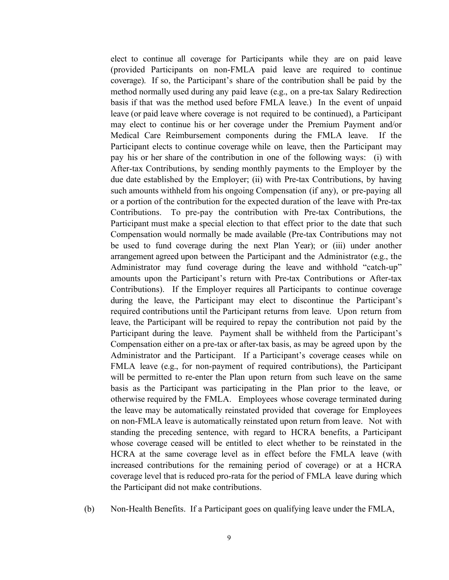elect to continue all coverage for Participants while they are on paid leave (provided Participants on non-FMLA paid leave are required to continue coverage). If so, the Participant's share of the contribution shall be paid by the method normally used during any paid leave (e.g., on a pre-tax Salary Redirection basis if that was the method used before FMLA leave.) In the event of unpaid leave (or paid leave where coverage is not required to be continued), a Participant may elect to continue his or her coverage under the Premium Payment and/or Medical Care Reimbursement components during the FMLA leave. If the Participant elects to continue coverage while on leave, then the Participant may pay his or her share of the contribution in one of the following ways: (i) with After-tax Contributions, by sending monthly payments to the Employer by the due date established by the Employer; (ii) with Pre-tax Contributions, by having such amounts withheld from his ongoing Compensation (if any), or pre-paying all or a portion of the contribution for the expected duration of the leave with Pre-tax Contributions. To pre-pay the contribution with Pre-tax Contributions, the Participant must make a special election to that effect prior to the date that such Compensation would normally be made available (Pre-tax Contributions may not be used to fund coverage during the next Plan Year); or (iii) under another arrangement agreed upon between the Participant and the Administrator (e.g., the Administrator may fund coverage during the leave and withhold "catch-up" amounts upon the Participant's return with Pre-tax Contributions or After-tax Contributions). If the Employer requires all Participants to continue coverage during the leave, the Participant may elect to discontinue the Participant's required contributions until the Participant returns from leave. Upon return from leave, the Participant will be required to repay the contribution not paid by the Participant during the leave. Payment shall be withheld from the Participant's Compensation either on a pre-tax or after-tax basis, as may be agreed upon by the Administrator and the Participant. If a Participant's coverage ceases while on FMLA leave (e.g., for non-payment of required contributions), the Participant will be permitted to re-enter the Plan upon return from such leave on the same basis as the Participant was participating in the Plan prior to the leave, or otherwise required by the FMLA. Employees whose coverage terminated during the leave may be automatically reinstated provided that coverage for Employees on non-FMLA leave is automatically reinstated upon return from leave. Not with standing the preceding sentence, with regard to HCRA benefits, a Participant whose coverage ceased will be entitled to elect whether to be reinstated in the HCRA at the same coverage level as in effect before the FMLA leave (with increased contributions for the remaining period of coverage) or at a HCRA coverage level that is reduced pro-rata for the period of FMLA leave during which the Participant did not make contributions.

(b) Non-Health Benefits. If a Participant goes on qualifying leave under the FMLA,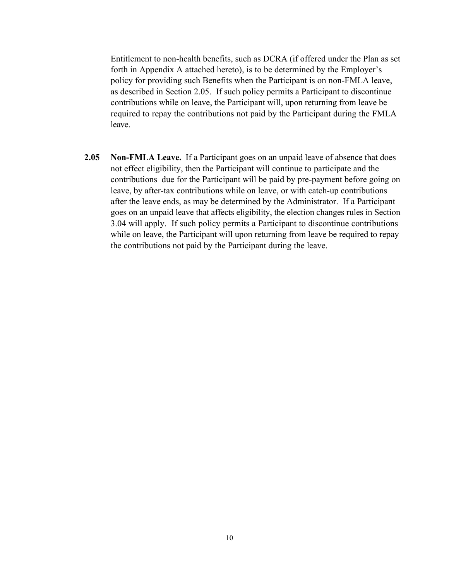Entitlement to non-health benefits, such as DCRA (if offered under the Plan as set forth in Appendix A attached hereto), is to be determined by the Employer's policy for providing such Benefits when the Participant is on non-FMLA leave, as described in Section 2.05. If such policy permits a Participant to discontinue contributions while on leave, the Participant will, upon returning from leave be required to repay the contributions not paid by the Participant during the FMLA leave.

**2.05 Non-FMLA Leave.** If a Participant goes on an unpaid leave of absence that does not effect eligibility, then the Participant will continue to participate and the contributions due for the Participant will be paid by pre-payment before going on leave, by after-tax contributions while on leave, or with catch-up contributions after the leave ends, as may be determined by the Administrator. If a Participant goes on an unpaid leave that affects eligibility, the election changes rules in Section 3.04 will apply. If such policy permits a Participant to discontinue contributions while on leave, the Participant will upon returning from leave be required to repay the contributions not paid by the Participant during the leave.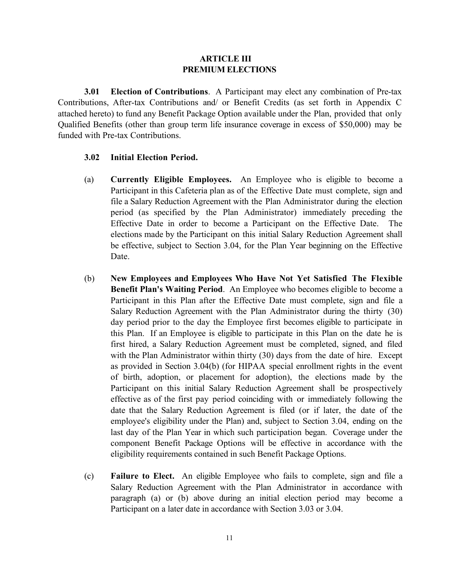#### **ARTICLE III PREMIUM ELECTIONS**

**3.01 Election of Contributions**. A Participant may elect any combination of Pre-tax Contributions, After-tax Contributions and/ or Benefit Credits (as set forth in Appendix C attached hereto) to fund any Benefit Package Option available under the Plan, provided that only Qualified Benefits (other than group term life insurance coverage in excess of \$50,000) may be funded with Pre-tax Contributions.

#### **3.02 Initial Election Period.**

- (a) **Currently Eligible Employees.** An Employee who is eligible to become a Participant in this Cafeteria plan as of the Effective Date must complete, sign and file a Salary Reduction Agreement with the Plan Administrator during the election period (as specified by the Plan Administrator) immediately preceding the Effective Date in order to become a Participant on the Effective Date. The elections made by the Participant on this initial Salary Reduction Agreement shall be effective, subject to Section 3.04, for the Plan Year beginning on the Effective Date.
- (b) **New Employees and Employees Who Have Not Yet Satisfied The Flexible Benefit Plan's Waiting Period**. An Employee who becomes eligible to become a Participant in this Plan after the Effective Date must complete, sign and file a Salary Reduction Agreement with the Plan Administrator during the thirty (30) day period prior to the day the Employee first becomes eligible to participate in this Plan. If an Employee is eligible to participate in this Plan on the date he is first hired, a Salary Reduction Agreement must be completed, signed, and filed with the Plan Administrator within thirty (30) days from the date of hire. Except as provided in Section 3.04(b) (for HIPAA special enrollment rights in the event of birth, adoption, or placement for adoption), the elections made by the Participant on this initial Salary Reduction Agreement shall be prospectively effective as of the first pay period coinciding with or immediately following the date that the Salary Reduction Agreement is filed (or if later, the date of the employee's eligibility under the Plan) and, subject to Section 3.04, ending on the last day of the Plan Year in which such participation began. Coverage under the component Benefit Package Options will be effective in accordance with the eligibility requirements contained in such Benefit Package Options.
- (c) **Failure to Elect.** An eligible Employee who fails to complete, sign and file a Salary Reduction Agreement with the Plan Administrator in accordance with paragraph (a) or (b) above during an initial election period may become a Participant on a later date in accordance with Section 3.03 or 3.04.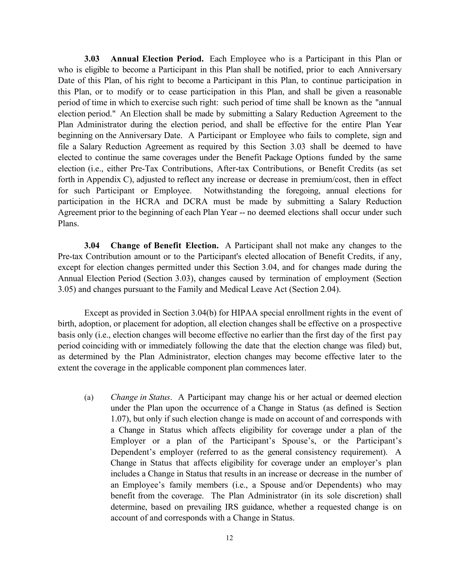**3.03 Annual Election Period.** Each Employee who is a Participant in this Plan or who is eligible to become a Participant in this Plan shall be notified, prior to each Anniversary Date of this Plan, of his right to become a Participant in this Plan, to continue participation in this Plan, or to modify or to cease participation in this Plan, and shall be given a reasonable period of time in which to exercise such right: such period of time shall be known as the "annual election period." An Election shall be made by submitting a Salary Reduction Agreement to the Plan Administrator during the election period, and shall be effective for the entire Plan Year beginning on the Anniversary Date. A Participant or Employee who fails to complete, sign and file a Salary Reduction Agreement as required by this Section 3.03 shall be deemed to have elected to continue the same coverages under the Benefit Package Options funded by the same election (i.e., either Pre-Tax Contributions, After-tax Contributions, or Benefit Credits (as set forth in Appendix C), adjusted to reflect any increase or decrease in premium/cost, then in effect for such Participant or Employee. Notwithstanding the foregoing, annual elections for participation in the HCRA and DCRA must be made by submitting a Salary Reduction Agreement prior to the beginning of each Plan Year -- no deemed elections shall occur under such Plans.

**3.04 Change of Benefit Election.** A Participant shall not make any changes to the Pre-tax Contribution amount or to the Participant's elected allocation of Benefit Credits, if any, except for election changes permitted under this Section 3.04, and for changes made during the Annual Election Period (Section 3.03), changes caused by termination of employment (Section 3.05) and changes pursuant to the Family and Medical Leave Act (Section 2.04).

Except as provided in Section 3.04(b) for HIPAA special enrollment rights in the event of birth, adoption, or placement for adoption, all election changes shall be effective on a prospective basis only (i.e., election changes will become effective no earlier than the first day of the first pay period coinciding with or immediately following the date that the election change was filed) but, as determined by the Plan Administrator, election changes may become effective later to the extent the coverage in the applicable component plan commences later.

(a) *Change in Status*. A Participant may change his or her actual or deemed election under the Plan upon the occurrence of a Change in Status (as defined is Section 1.07), but only if such election change is made on account of and corresponds with a Change in Status which affects eligibility for coverage under a plan of the Employer or a plan of the Participant's Spouse's, or the Participant's Dependent's employer (referred to as the general consistency requirement). A Change in Status that affects eligibility for coverage under an employer's plan includes a Change in Status that results in an increase or decrease in the number of an Employee's family members (i.e., a Spouse and/or Dependents) who may benefit from the coverage. The Plan Administrator (in its sole discretion) shall determine, based on prevailing IRS guidance, whether a requested change is on account of and corresponds with a Change in Status.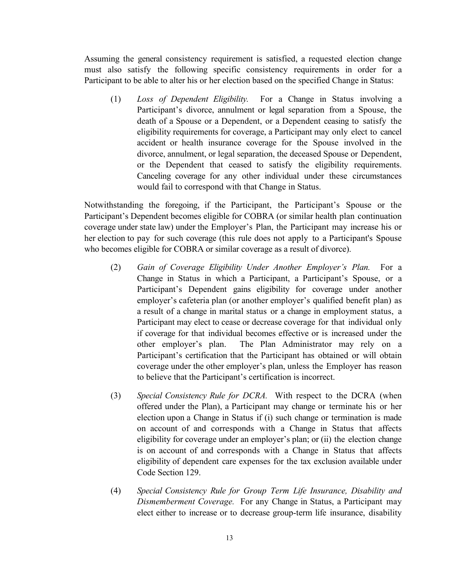Assuming the general consistency requirement is satisfied, a requested election change must also satisfy the following specific consistency requirements in order for a Participant to be able to alter his or her election based on the specified Change in Status:

(1) *Loss of Dependent Eligibility.* For a Change in Status involving a Participant's divorce, annulment or legal separation from a Spouse, the death of a Spouse or a Dependent, or a Dependent ceasing to satisfy the eligibility requirements for coverage, a Participant may only elect to cancel accident or health insurance coverage for the Spouse involved in the divorce, annulment, or legal separation, the deceased Spouse or Dependent, or the Dependent that ceased to satisfy the eligibility requirements. Canceling coverage for any other individual under these circumstances would fail to correspond with that Change in Status.

Notwithstanding the foregoing, if the Participant, the Participant's Spouse or the Participant's Dependent becomes eligible for COBRA (or similar health plan continuation coverage under state law) under the Employer's Plan, the Participant may increase his or her election to pay for such coverage (this rule does not apply to a Participant's Spouse who becomes eligible for COBRA or similar coverage as a result of divorce).

- (2) *Gain of Coverage Eligibility Under Another Employer's Plan.* For a Change in Status in which a Participant, a Participant's Spouse, or a Participant's Dependent gains eligibility for coverage under another employer's cafeteria plan (or another employer's qualified benefit plan) as a result of a change in marital status or a change in employment status, a Participant may elect to cease or decrease coverage for that individual only if coverage for that individual becomes effective or is increased under the other employer's plan. The Plan Administrator may rely on a Participant's certification that the Participant has obtained or will obtain coverage under the other employer's plan, unless the Employer has reason to believe that the Participant's certification is incorrect.
- (3) *Special Consistency Rule for DCRA.* With respect to the DCRA (when offered under the Plan), a Participant may change or terminate his or her election upon a Change in Status if (i) such change or termination is made on account of and corresponds with a Change in Status that affects eligibility for coverage under an employer's plan; or (ii) the election change is on account of and corresponds with a Change in Status that affects eligibility of dependent care expenses for the tax exclusion available under Code Section 129.
- (4) *Special Consistency Rule for Group Term Life Insurance, Disability and Dismemberment Coverage.* For any Change in Status, a Participant may elect either to increase or to decrease group-term life insurance, disability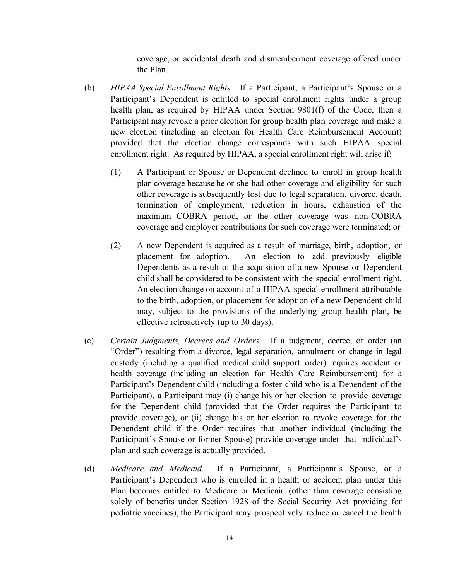coverage, or accidental death and dismemberment coverage offered under the Plan.

- (b) *HIPAA Special Enrollment Rights.* If a Participant, a Participant's Spouse or a Participant's Dependent is entitled to special enrollment rights under a group health plan, as required by HIPAA under Section 9801(f) of the Code, then a Participant may revoke a prior election for group health plan coverage and make a new election (including an election for Health Care Reimbursement Account) provided that the election change corresponds with such HIPAA special enrollment right. As required by HIPAA, a special enrollment right will arise if:
	- (1) A Participant or Spouse or Dependent declined to enroll in group health plan coverage because he or she had other coverage and eligibility for such other coverage is subsequently lost due to legal separation, divorce, death, termination of employment, reduction in hours, exhaustion of the maximum COBRA period, or the other coverage was non-COBRA coverage and employer contributions for such coverage were terminated; or
	- (2) A new Dependent is acquired as a result of marriage, birth, adoption, or placement for adoption. An election to add previously eligible Dependents as a result of the acquisition of a new Spouse or Dependent child shall be considered to be consistent with the special enrollment right. An election change on account of a HIPAA special enrollment attributable to the birth, adoption, or placement for adoption of a new Dependent child may, subject to the provisions of the underlying group health plan, be effective retroactively (up to 30 days).
- (c) *Certain Judgments, Decrees and Orders*. If a judgment, decree, or order (an "Order") resulting from a divorce, legal separation, annulment or change in legal custody (including a qualified medical child support order) requires accident or health coverage (including an election for Health Care Reimbursement) for a Participant's Dependent child (including a foster child who is a Dependent of the Participant), a Participant may (i) change his or her election to provide coverage for the Dependent child (provided that the Order requires the Participant to provide coverage), or (ii) change his or her election to revoke coverage for the Dependent child if the Order requires that another individual (including the Participant's Spouse or former Spouse) provide coverage under that individual's plan and such coverage is actually provided.
- (d) *Medicare and Medicaid*. If a Participant, a Participant's Spouse, or a Participant's Dependent who is enrolled in a health or accident plan under this Plan becomes entitled to Medicare or Medicaid (other than coverage consisting solely of benefits under Section 1928 of the Social Security Act providing for pediatric vaccines), the Participant may prospectively reduce or cancel the health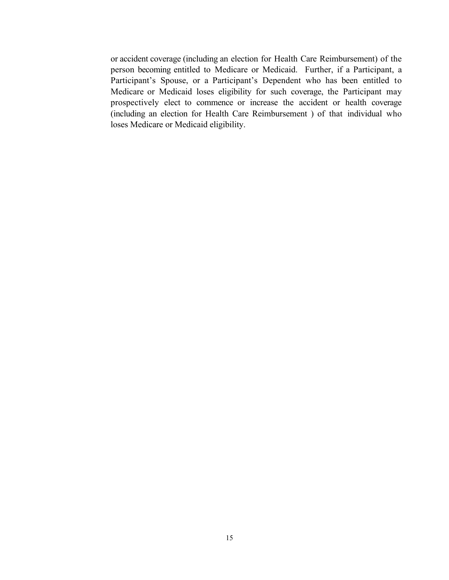or accident coverage (including an election for Health Care Reimbursement) of the person becoming entitled to Medicare or Medicaid. Further, if a Participant, a Participant's Spouse, or a Participant's Dependent who has been entitled to Medicare or Medicaid loses eligibility for such coverage, the Participant may prospectively elect to commence or increase the accident or health coverage (including an election for Health Care Reimbursement ) of that individual who loses Medicare or Medicaid eligibility.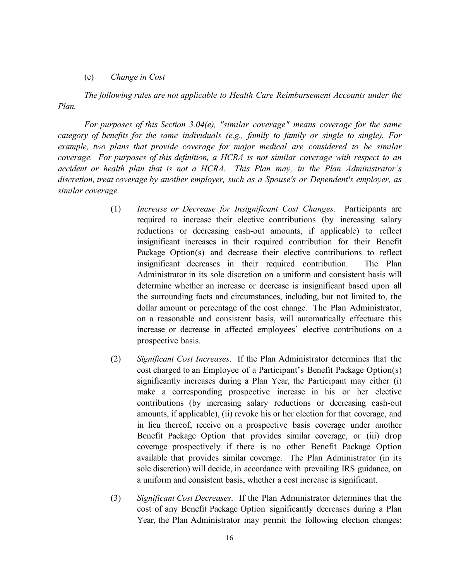#### (e) *Change in Cost*

*The following rules are not applicable to Health Care Reimbursement Accounts under the Plan.*

*For purposes of this Section 3.04(e), "similar coverage" means coverage for the same category of benefits for the same individuals (e.g., family to family or single to single). For example, two plans that provide coverage for major medical are considered to be similar coverage. For purposes of this definition, a HCRA is not similar coverage with respect to an accident or health plan that is not a HCRA. This Plan may, in the Plan Administrator's discretion, treat coverage by another employer, such as a Spouse's or Dependent's employer, as similar coverage.*

- (1) *Increase or Decrease for Insignificant Cost Changes.* Participants are required to increase their elective contributions (by increasing salary reductions or decreasing cash-out amounts, if applicable) to reflect insignificant increases in their required contribution for their Benefit Package Option(s) and decrease their elective contributions to reflect insignificant decreases in their required contribution. The Plan Administrator in its sole discretion on a uniform and consistent basis will determine whether an increase or decrease is insignificant based upon all the surrounding facts and circumstances, including, but not limited to, the dollar amount or percentage of the cost change. The Plan Administrator, on a reasonable and consistent basis, will automatically effectuate this increase or decrease in affected employees' elective contributions on a prospective basis.
- (2) *Significant Cost Increases*. If the Plan Administrator determines that the cost charged to an Employee of a Participant's Benefit Package Option(s) significantly increases during a Plan Year, the Participant may either (i) make a corresponding prospective increase in his or her elective contributions (by increasing salary reductions or decreasing cash-out amounts, if applicable), (ii) revoke his or her election for that coverage, and in lieu thereof, receive on a prospective basis coverage under another Benefit Package Option that provides similar coverage, or (iii) drop coverage prospectively if there is no other Benefit Package Option available that provides similar coverage. The Plan Administrator (in its sole discretion) will decide, in accordance with prevailing IRS guidance, on a uniform and consistent basis, whether a cost increase is significant.
- (3) *Significant Cost Decreases*. If the Plan Administrator determines that the cost of any Benefit Package Option significantly decreases during a Plan Year, the Plan Administrator may permit the following election changes: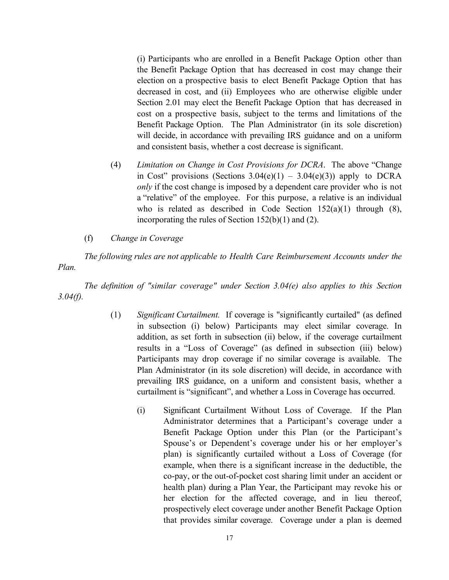(i) Participants who are enrolled in a Benefit Package Option other than the Benefit Package Option that has decreased in cost may change their election on a prospective basis to elect Benefit Package Option that has decreased in cost, and (ii) Employees who are otherwise eligible under Section 2.01 may elect the Benefit Package Option that has decreased in cost on a prospective basis, subject to the terms and limitations of the Benefit Package Option. The Plan Administrator (in its sole discretion) will decide, in accordance with prevailing IRS guidance and on a uniform and consistent basis, whether a cost decrease is significant.

- (4) *Limitation on Change in Cost Provisions for DCRA*. The above "Change in Cost" provisions (Sections  $3.04(e)(1) - 3.04(e)(3)$ ) apply to DCRA *only* if the cost change is imposed by a dependent care provider who is not a "relative" of the employee. For this purpose, a relative is an individual who is related as described in Code Section  $152(a)(1)$  through  $(8)$ , incorporating the rules of Section 152(b)(1) and (2).
- (f) *Change in Coverage*

*The following rules are not applicable to Health Care Reimbursement Accounts under the Plan.*

*The definition of "similar coverage" under Section 3.04(e) also applies to this Section 3.04(f).*

- (1) *Significant Curtailment.* If coverage is "significantly curtailed" (as defined in subsection (i) below) Participants may elect similar coverage. In addition, as set forth in subsection (ii) below, if the coverage curtailment results in a "Loss of Coverage" (as defined in subsection (iii) below) Participants may drop coverage if no similar coverage is available. The Plan Administrator (in its sole discretion) will decide, in accordance with prevailing IRS guidance, on a uniform and consistent basis, whether a curtailment is "significant", and whether a Loss in Coverage has occurred.
	- (i) Significant Curtailment Without Loss of Coverage. If the Plan Administrator determines that a Participant's coverage under a Benefit Package Option under this Plan (or the Participant's Spouse's or Dependent's coverage under his or her employer's plan) is significantly curtailed without a Loss of Coverage (for example, when there is a significant increase in the deductible, the co-pay, or the out-of-pocket cost sharing limit under an accident or health plan) during a Plan Year, the Participant may revoke his or her election for the affected coverage, and in lieu thereof, prospectively elect coverage under another Benefit Package Option that provides similar coverage. Coverage under a plan is deemed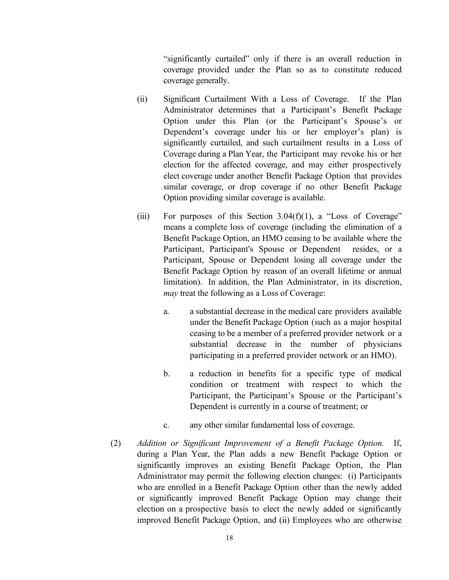"significantly curtailed" only if there is an overall reduction in coverage provided under the Plan so as to constitute reduced coverage generally.

- (ii) Significant Curtailment With a Loss of Coverage. If the Plan Administrator determines that a Participant's Benefit Package Option under this Plan (or the Participant's Spouse's or Dependent's coverage under his or her employer's plan) is significantly curtailed, and such curtailment results in a Loss of Coverage during a Plan Year, the Participant may revoke his or her election for the affected coverage, and may either prospectively elect coverage under another Benefit Package Option that provides similar coverage, or drop coverage if no other Benefit Package Option providing similar coverage is available.
- (iii) For purposes of this Section  $3.04(f)(1)$ , a "Loss of Coverage" means a complete loss of coverage (including the elimination of a Benefit Package Option, an HMO ceasing to be available where the Participant, Participant's Spouse or Dependent resides, or a Participant, Spouse or Dependent losing all coverage under the Benefit Package Option by reason of an overall lifetime or annual limitation). In addition, the Plan Administrator, in its discretion, *may* treat the following as a Loss of Coverage:
	- a. a substantial decrease in the medical care providers available under the Benefit Package Option (such as a major hospital ceasing to be a member of a preferred provider network or a substantial decrease in the number of physicians participating in a preferred provider network or an HMO).
	- b. a reduction in benefits for a specific type of medical condition or treatment with respect to which the Participant, the Participant's Spouse or the Participant's Dependent is currently in a course of treatment; or
	- c. any other similar fundamental loss of coverage.
- (2) *Addition or Significant Improvement of a Benefit Package Option.* If, during a Plan Year, the Plan adds a new Benefit Package Option or significantly improves an existing Benefit Package Option, the Plan Administrator may permit the following election changes: (i) Participants who are enrolled in a Benefit Package Option other than the newly added or significantly improved Benefit Package Option may change their election on a prospective basis to elect the newly added or significantly improved Benefit Package Option, and (ii) Employees who are otherwise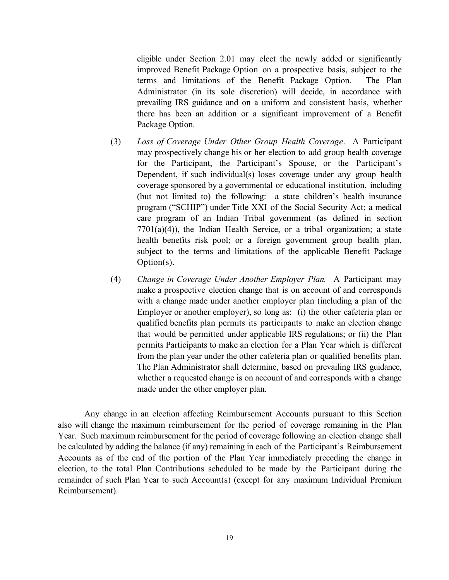eligible under Section 2.01 may elect the newly added or significantly improved Benefit Package Option on a prospective basis, subject to the terms and limitations of the Benefit Package Option. The Plan Administrator (in its sole discretion) will decide, in accordance with prevailing IRS guidance and on a uniform and consistent basis, whether there has been an addition or a significant improvement of a Benefit Package Option.

- (3) *Loss of Coverage Under Other Group Health Coverage*. A Participant may prospectively change his or her election to add group health coverage for the Participant, the Participant's Spouse, or the Participant's Dependent, if such individual(s) loses coverage under any group health coverage sponsored by a governmental or educational institution, including (but not limited to) the following: a state children's health insurance program ("SCHIP") under Title XXI of the Social Security Act; a medical care program of an Indian Tribal government (as defined in section  $7701(a)(4)$ , the Indian Health Service, or a tribal organization; a state health benefits risk pool; or a foreign government group health plan, subject to the terms and limitations of the applicable Benefit Package Option(s).
- (4) *Change in Coverage Under Another Employer Plan.* A Participant may make a prospective election change that is on account of and corresponds with a change made under another employer plan (including a plan of the Employer or another employer), so long as: (i) the other cafeteria plan or qualified benefits plan permits its participants to make an election change that would be permitted under applicable IRS regulations; or (ii) the Plan permits Participants to make an election for a Plan Year which is different from the plan year under the other cafeteria plan or qualified benefits plan. The Plan Administrator shall determine, based on prevailing IRS guidance, whether a requested change is on account of and corresponds with a change made under the other employer plan.

Any change in an election affecting Reimbursement Accounts pursuant to this Section also will change the maximum reimbursement for the period of coverage remaining in the Plan Year. Such maximum reimbursement for the period of coverage following an election change shall be calculated by adding the balance (if any) remaining in each of the Participant's Reimbursement Accounts as of the end of the portion of the Plan Year immediately preceding the change in election, to the total Plan Contributions scheduled to be made by the Participant during the remainder of such Plan Year to such Account(s) (except for any maximum Individual Premium Reimbursement).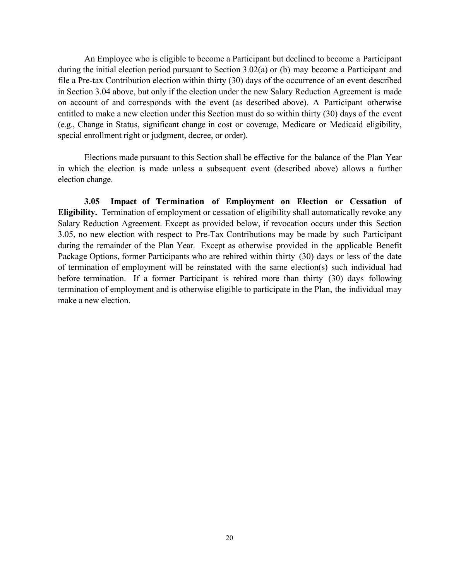An Employee who is eligible to become a Participant but declined to become a Participant during the initial election period pursuant to Section 3.02(a) or (b) may become a Participant and file a Pre-tax Contribution election within thirty (30) days of the occurrence of an event described in Section 3.04 above, but only if the election under the new Salary Reduction Agreement is made on account of and corresponds with the event (as described above). A Participant otherwise entitled to make a new election under this Section must do so within thirty (30) days of the event (e.g., Change in Status, significant change in cost or coverage, Medicare or Medicaid eligibility, special enrollment right or judgment, decree, or order).

Elections made pursuant to this Section shall be effective for the balance of the Plan Year in which the election is made unless a subsequent event (described above) allows a further election change.

**3.05 Impact of Termination of Employment on Election or Cessation of Eligibility.** Termination of employment or cessation of eligibility shall automatically revoke any Salary Reduction Agreement. Except as provided below, if revocation occurs under this Section 3.05, no new election with respect to Pre-Tax Contributions may be made by such Participant during the remainder of the Plan Year. Except as otherwise provided in the applicable Benefit Package Options, former Participants who are rehired within thirty (30) days or less of the date of termination of employment will be reinstated with the same election(s) such individual had before termination. If a former Participant is rehired more than thirty (30) days following termination of employment and is otherwise eligible to participate in the Plan, the individual may make a new election.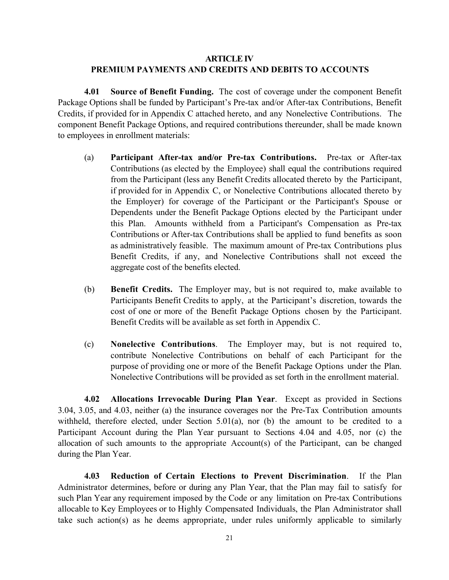# **ARTICLE IV PREMIUM PAYMENTS AND CREDITS AND DEBITS TO ACCOUNTS**

**4.01 Source of Benefit Funding.** The cost of coverage under the component Benefit Package Options shall be funded by Participant's Pre-tax and/or After-tax Contributions, Benefit Credits, if provided for in Appendix C attached hereto, and any Nonelective Contributions. The component Benefit Package Options, and required contributions thereunder, shall be made known to employees in enrollment materials:

- (a) **Participant After-tax and/or Pre-tax Contributions.** Pre-tax or After-tax Contributions (as elected by the Employee) shall equal the contributions required from the Participant (less any Benefit Credits allocated thereto by the Participant, if provided for in Appendix C, or Nonelective Contributions allocated thereto by the Employer) for coverage of the Participant or the Participant's Spouse or Dependents under the Benefit Package Options elected by the Participant under this Plan. Amounts withheld from a Participant's Compensation as Pre-tax Contributions or After-tax Contributions shall be applied to fund benefits as soon as administratively feasible. The maximum amount of Pre-tax Contributions plus Benefit Credits, if any, and Nonelective Contributions shall not exceed the aggregate cost of the benefits elected.
- (b) **Benefit Credits.** The Employer may, but is not required to, make available to Participants Benefit Credits to apply, at the Participant's discretion, towards the cost of one or more of the Benefit Package Options chosen by the Participant. Benefit Credits will be available as set forth in Appendix C.
- (c) **Nonelective Contributions**. The Employer may, but is not required to, contribute Nonelective Contributions on behalf of each Participant for the purpose of providing one or more of the Benefit Package Options under the Plan. Nonelective Contributions will be provided as set forth in the enrollment material.

**4.02 Allocations Irrevocable During Plan Year**. Except as provided in Sections 3.04, 3.05, and 4.03, neither (a) the insurance coverages nor the Pre-Tax Contribution amounts withheld, therefore elected, under Section 5.01(a), nor (b) the amount to be credited to a Participant Account during the Plan Year pursuant to Sections 4.04 and 4.05, nor (c) the allocation of such amounts to the appropriate Account(s) of the Participant, can be changed during the Plan Year.

**4.03 Reduction of Certain Elections to Prevent Discrimination**. If the Plan Administrator determines, before or during any Plan Year, that the Plan may fail to satisfy for such Plan Year any requirement imposed by the Code or any limitation on Pre-tax Contributions allocable to Key Employees or to Highly Compensated Individuals, the Plan Administrator shall take such action(s) as he deems appropriate, under rules uniformly applicable to similarly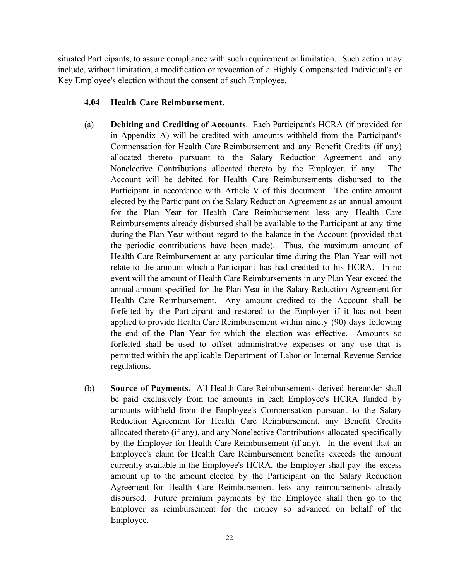situated Participants, to assure compliance with such requirement or limitation. Such action may include, without limitation, a modification or revocation of a Highly Compensated Individual's or Key Employee's election without the consent of such Employee.

## **4.04 Health Care Reimbursement.**

- (a) **Debiting and Crediting of Accounts**. Each Participant's HCRA (if provided for in Appendix A) will be credited with amounts withheld from the Participant's Compensation for Health Care Reimbursement and any Benefit Credits (if any) allocated thereto pursuant to the Salary Reduction Agreement and any Nonelective Contributions allocated thereto by the Employer, if any. The Account will be debited for Health Care Reimbursements disbursed to the Participant in accordance with Article V of this document. The entire amount elected by the Participant on the Salary Reduction Agreement as an annual amount for the Plan Year for Health Care Reimbursement less any Health Care Reimbursements already disbursed shall be available to the Participant at any time during the Plan Year without regard to the balance in the Account (provided that the periodic contributions have been made). Thus, the maximum amount of Health Care Reimbursement at any particular time during the Plan Year will not relate to the amount which a Participant has had credited to his HCRA. In no event will the amount of Health Care Reimbursements in any Plan Year exceed the annual amount specified for the Plan Year in the Salary Reduction Agreement for Health Care Reimbursement. Any amount credited to the Account shall be forfeited by the Participant and restored to the Employer if it has not been applied to provide Health Care Reimbursement within ninety (90) days following the end of the Plan Year for which the election was effective. Amounts so forfeited shall be used to offset administrative expenses or any use that is permitted within the applicable Department of Labor or Internal Revenue Service regulations.
- (b) **Source of Payments.** All Health Care Reimbursements derived hereunder shall be paid exclusively from the amounts in each Employee's HCRA funded by amounts withheld from the Employee's Compensation pursuant to the Salary Reduction Agreement for Health Care Reimbursement, any Benefit Credits allocated thereto (if any), and any Nonelective Contributions allocated specifically by the Employer for Health Care Reimbursement (if any). In the event that an Employee's claim for Health Care Reimbursement benefits exceeds the amount currently available in the Employee's HCRA, the Employer shall pay the excess amount up to the amount elected by the Participant on the Salary Reduction Agreement for Health Care Reimbursement less any reimbursements already disbursed. Future premium payments by the Employee shall then go to the Employer as reimbursement for the money so advanced on behalf of the Employee.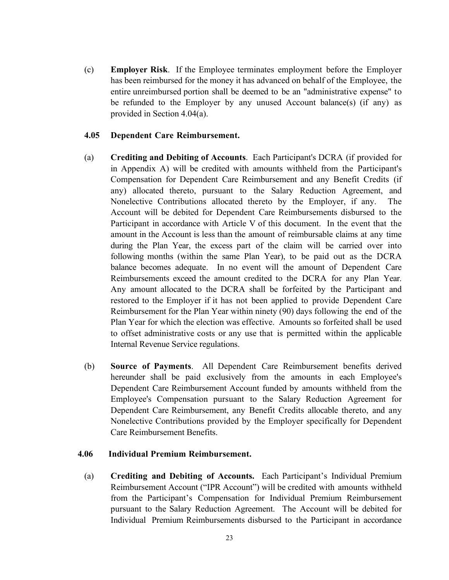(c) **Employer Risk**. If the Employee terminates employment before the Employer has been reimbursed for the money it has advanced on behalf of the Employee, the entire unreimbursed portion shall be deemed to be an "administrative expense" to be refunded to the Employer by any unused Account balance(s) (if any) as provided in Section 4.04(a).

#### **4.05 Dependent Care Reimbursement.**

- (a) **Crediting and Debiting of Accounts**. Each Participant's DCRA (if provided for in Appendix A) will be credited with amounts withheld from the Participant's Compensation for Dependent Care Reimbursement and any Benefit Credits (if any) allocated thereto, pursuant to the Salary Reduction Agreement, and Nonelective Contributions allocated thereto by the Employer, if any. The Account will be debited for Dependent Care Reimbursements disbursed to the Participant in accordance with Article V of this document. In the event that the amount in the Account is less than the amount of reimbursable claims at any time during the Plan Year, the excess part of the claim will be carried over into following months (within the same Plan Year), to be paid out as the DCRA balance becomes adequate. In no event will the amount of Dependent Care Reimbursements exceed the amount credited to the DCRA for any Plan Year. Any amount allocated to the DCRA shall be forfeited by the Participant and restored to the Employer if it has not been applied to provide Dependent Care Reimbursement for the Plan Year within ninety (90) days following the end of the Plan Year for which the election was effective. Amounts so forfeited shall be used to offset administrative costs or any use that is permitted within the applicable Internal Revenue Service regulations.
- (b) **Source of Payments**. All Dependent Care Reimbursement benefits derived hereunder shall be paid exclusively from the amounts in each Employee's Dependent Care Reimbursement Account funded by amounts withheld from the Employee's Compensation pursuant to the Salary Reduction Agreement for Dependent Care Reimbursement, any Benefit Credits allocable thereto, and any Nonelective Contributions provided by the Employer specifically for Dependent Care Reimbursement Benefits.

## **4.06 Individual Premium Reimbursement.**

(a) **Crediting and Debiting of Accounts.** Each Participant's Individual Premium Reimbursement Account ("IPR Account") will be credited with amounts withheld from the Participant's Compensation for Individual Premium Reimbursement pursuant to the Salary Reduction Agreement. The Account will be debited for Individual Premium Reimbursements disbursed to the Participant in accordance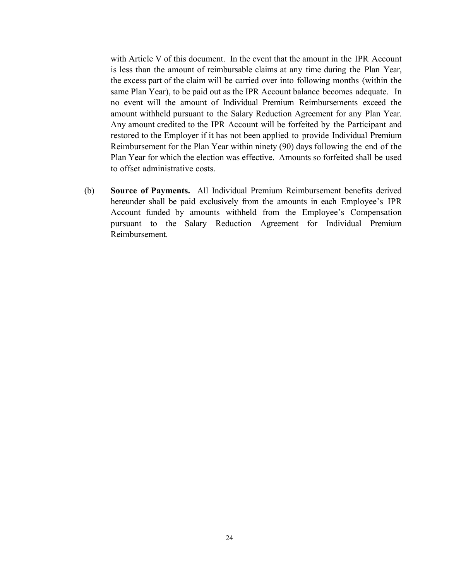with Article V of this document. In the event that the amount in the IPR Account is less than the amount of reimbursable claims at any time during the Plan Year, the excess part of the claim will be carried over into following months (within the same Plan Year), to be paid out as the IPR Account balance becomes adequate. In no event will the amount of Individual Premium Reimbursements exceed the amount withheld pursuant to the Salary Reduction Agreement for any Plan Year. Any amount credited to the IPR Account will be forfeited by the Participant and restored to the Employer if it has not been applied to provide Individual Premium Reimbursement for the Plan Year within ninety (90) days following the end of the Plan Year for which the election was effective. Amounts so forfeited shall be used to offset administrative costs.

(b) **Source of Payments.** All Individual Premium Reimbursement benefits derived hereunder shall be paid exclusively from the amounts in each Employee's IPR Account funded by amounts withheld from the Employee's Compensation pursuant to the Salary Reduction Agreement for Individual Premium Reimbursement.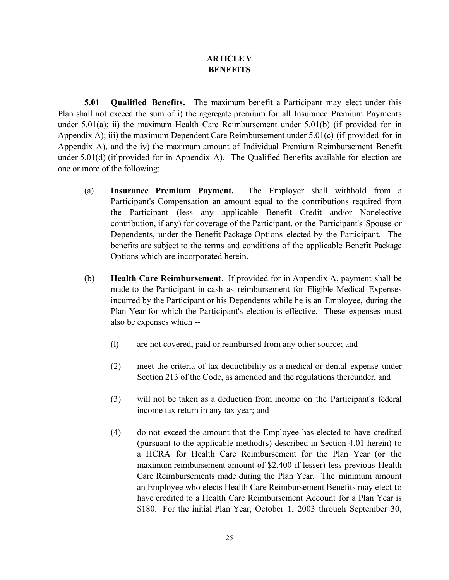# **ARTICLE V BENEFITS**

**5.01 Qualified Benefits.** The maximum benefit a Participant may elect under this Plan shall not exceed the sum of i) the aggregate premium for all Insurance Premium Payments under 5.01(a); ii) the maximum Health Care Reimbursement under 5.01(b) (if provided for in Appendix A); iii) the maximum Dependent Care Reimbursement under 5.01(c) (if provided for in Appendix A), and the iv) the maximum amount of Individual Premium Reimbursement Benefit under 5.01(d) (if provided for in Appendix A). The Qualified Benefits available for election are one or more of the following:

- (a) **Insurance Premium Payment.** The Employer shall withhold from a Participant's Compensation an amount equal to the contributions required from the Participant (less any applicable Benefit Credit and/or Nonelective contribution, if any) for coverage of the Participant, or the Participant's Spouse or Dependents, under the Benefit Package Options elected by the Participant. The benefits are subject to the terms and conditions of the applicable Benefit Package Options which are incorporated herein.
- (b) **Health Care Reimbursement**. If provided for in Appendix A, payment shall be made to the Participant in cash as reimbursement for Eligible Medical Expenses incurred by the Participant or his Dependents while he is an Employee, during the Plan Year for which the Participant's election is effective. These expenses must also be expenses which --
	- (l) are not covered, paid or reimbursed from any other source; and
	- (2) meet the criteria of tax deductibility as a medical or dental expense under Section 213 of the Code, as amended and the regulations thereunder, and
	- (3) will not be taken as a deduction from income on the Participant's federal income tax return in any tax year; and
	- (4) do not exceed the amount that the Employee has elected to have credited (pursuant to the applicable method(s) described in Section 4.01 herein) to a HCRA for Health Care Reimbursement for the Plan Year (or the maximum reimbursement amount of \$2,400 if lesser) less previous Health Care Reimbursements made during the Plan Year. The minimum amount an Employee who elects Health Care Reimbursement Benefits may elect to have credited to a Health Care Reimbursement Account for a Plan Year is \$180. For the initial Plan Year, October 1, 2003 through September 30,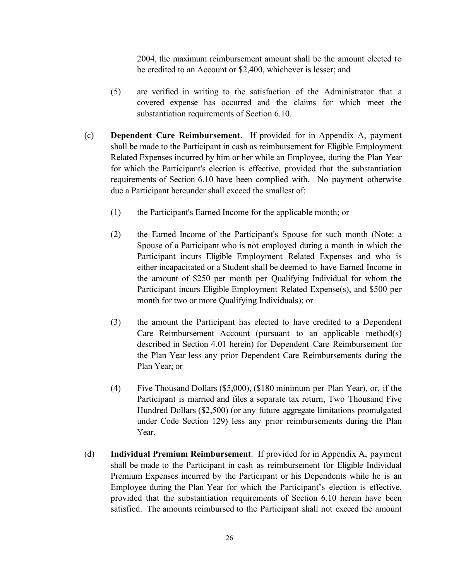2004, the maximum reimbursement amount shall be the amount elected to be credited to an Account or \$2,400, whichever is lesser; and

- (5) are verified in writing to the satisfaction of the Administrator that a covered expense has occurred and the claims for which meet the substantiation requirements of Section 6.10.
- (c) **Dependent Care Reimbursement.** If provided for in Appendix A, payment shall be made to the Participant in cash as reimbursement for Eligible Employment Related Expenses incurred by him or her while an Employee, during the Plan Year for which the Participant's election is effective, provided that the substantiation requirements of Section 6.10 have been complied with. No payment otherwise due a Participant hereunder shall exceed the smallest of:
	- (1) the Participant's Earned Income for the applicable month; or
	- (2) the Earned Income of the Participant's Spouse for such month (Note: a Spouse of a Participant who is not employed during a month in which the Participant incurs Eligible Employment Related Expenses and who is either incapacitated or a Student shall be deemed to have Earned Income in the amount of \$250 per month per Qualifying Individual for whom the Participant incurs Eligible Employment Related Expense(s), and \$500 per month for two or more Qualifying Individuals); or
	- (3) the amount the Participant has elected to have credited to a Dependent Care Reimbursement Account (pursuant to an applicable method(s) described in Section 4.01 herein) for Dependent Care Reimbursement for the Plan Year less any prior Dependent Care Reimbursements during the Plan Year; or
	- (4) Five Thousand Dollars (\$5,000), (\$180 minimum per Plan Year), or, if the Participant is married and files a separate tax return, Two Thousand Five Hundred Dollars (\$2,500) (or any future aggregate limitations promulgated under Code Section 129) less any prior reimbursements during the Plan Year.
- (d) **Individual Premium Reimbursement**. If provided for in Appendix A, payment shall be made to the Participant in cash as reimbursement for Eligible Individual Premium Expenses incurred by the Participant or his Dependents while he is an Employee during the Plan Year for which the Participant's election is effective, provided that the substantiation requirements of Section 6.10 herein have been satisfied. The amounts reimbursed to the Participant shall not exceed the amount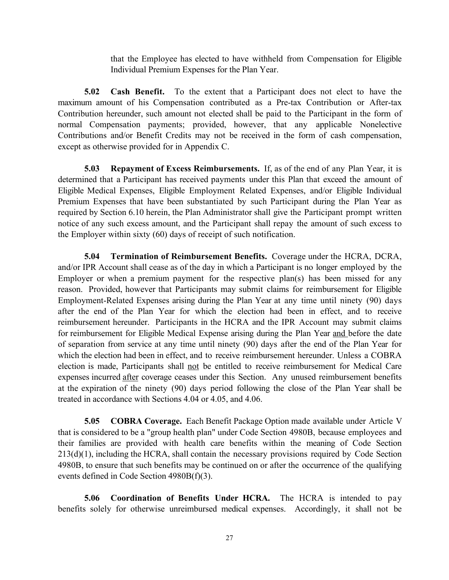that the Employee has elected to have withheld from Compensation for Eligible Individual Premium Expenses for the Plan Year.

**5.02 Cash Benefit.** To the extent that a Participant does not elect to have the maximum amount of his Compensation contributed as a Pre-tax Contribution or After-tax Contribution hereunder, such amount not elected shall be paid to the Participant in the form of normal Compensation payments; provided, however, that any applicable Nonelective Contributions and/or Benefit Credits may not be received in the form of cash compensation, except as otherwise provided for in Appendix C.

**5.03 Repayment of Excess Reimbursements.** If, as of the end of any Plan Year, it is determined that a Participant has received payments under this Plan that exceed the amount of Eligible Medical Expenses, Eligible Employment Related Expenses, and/or Eligible Individual Premium Expenses that have been substantiated by such Participant during the Plan Year as required by Section 6.10 herein, the Plan Administrator shall give the Participant prompt written notice of any such excess amount, and the Participant shall repay the amount of such excess to the Employer within sixty (60) days of receipt of such notification.

**5.04 Termination of Reimbursement Benefits.** Coverage under the HCRA, DCRA, and/or IPR Account shall cease as of the day in which a Participant is no longer employed by the Employer or when a premium payment for the respective plan(s) has been missed for any reason. Provided, however that Participants may submit claims for reimbursement for Eligible Employment-Related Expenses arising during the Plan Year at any time until ninety (90) days after the end of the Plan Year for which the election had been in effect, and to receive reimbursement hereunder. Participants in the HCRA and the IPR Account may submit claims for reimbursement for Eligible Medical Expense arising during the Plan Year and before the date of separation from service at any time until ninety (90) days after the end of the Plan Year for which the election had been in effect, and to receive reimbursement hereunder. Unless a COBRA election is made, Participants shall not be entitled to receive reimbursement for Medical Care expenses incurred after coverage ceases under this Section. Any unused reimbursement benefits at the expiration of the ninety (90) days period following the close of the Plan Year shall be treated in accordance with Sections 4.04 or 4.05, and 4.06.

**5.05 COBRA Coverage.** Each Benefit Package Option made available under Article V that is considered to be a "group health plan" under Code Section 4980B, because employees and their families are provided with health care benefits within the meaning of Code Section 213(d)(1), including the HCRA, shall contain the necessary provisions required by Code Section 4980B, to ensure that such benefits may be continued on or after the occurrence of the qualifying events defined in Code Section 4980B(f)(3).

**5.06 Coordination of Benefits Under HCRA.** The HCRA is intended to pay benefits solely for otherwise unreimbursed medical expenses. Accordingly, it shall not be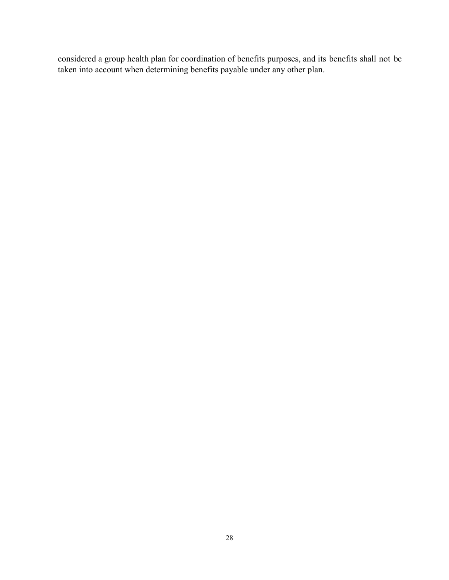considered a group health plan for coordination of benefits purposes, and its benefits shall not be taken into account when determining benefits payable under any other plan.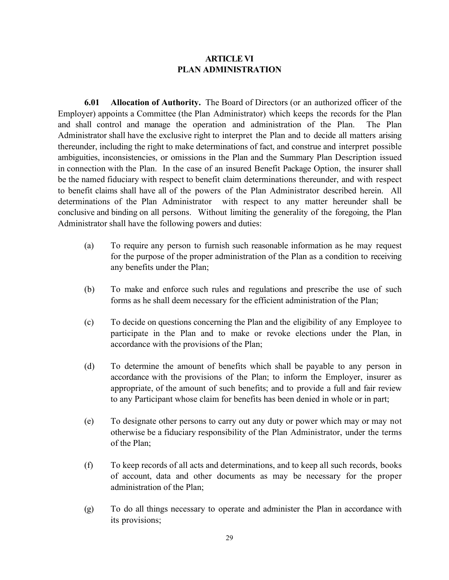# **ARTICLE VI PLAN ADMINISTRATION**

**6.01 Allocation of Authority.** The Board of Directors (or an authorized officer of the Employer) appoints a Committee (the Plan Administrator) which keeps the records for the Plan and shall control and manage the operation and administration of the Plan. The Plan Administrator shall have the exclusive right to interpret the Plan and to decide all matters arising thereunder, including the right to make determinations of fact, and construe and interpret possible ambiguities, inconsistencies, or omissions in the Plan and the Summary Plan Description issued in connection with the Plan. In the case of an insured Benefit Package Option, the insurer shall be the named fiduciary with respect to benefit claim determinations thereunder, and with respect to benefit claims shall have all of the powers of the Plan Administrator described herein. All determinations of the Plan Administrator with respect to any matter hereunder shall be conclusive and binding on all persons. Without limiting the generality of the foregoing, the Plan Administrator shall have the following powers and duties:

- (a) To require any person to furnish such reasonable information as he may request for the purpose of the proper administration of the Plan as a condition to receiving any benefits under the Plan;
- (b) To make and enforce such rules and regulations and prescribe the use of such forms as he shall deem necessary for the efficient administration of the Plan;
- (c) To decide on questions concerning the Plan and the eligibility of any Employee to participate in the Plan and to make or revoke elections under the Plan, in accordance with the provisions of the Plan;
- (d) To determine the amount of benefits which shall be payable to any person in accordance with the provisions of the Plan; to inform the Employer, insurer as appropriate, of the amount of such benefits; and to provide a full and fair review to any Participant whose claim for benefits has been denied in whole or in part;
- (e) To designate other persons to carry out any duty or power which may or may not otherwise be a fiduciary responsibility of the Plan Administrator, under the terms of the Plan;
- (f) To keep records of all acts and determinations, and to keep all such records, books of account, data and other documents as may be necessary for the proper administration of the Plan;
- (g) To do all things necessary to operate and administer the Plan in accordance with its provisions;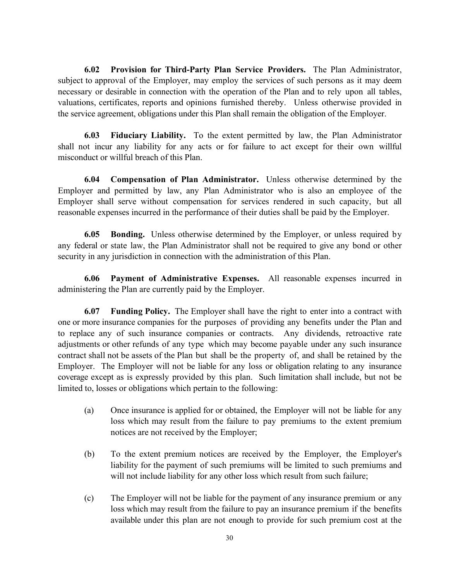**6.02 Provision for Third-Party Plan Service Providers.** The Plan Administrator, subject to approval of the Employer, may employ the services of such persons as it may deem necessary or desirable in connection with the operation of the Plan and to rely upon all tables, valuations, certificates, reports and opinions furnished thereby. Unless otherwise provided in the service agreement, obligations under this Plan shall remain the obligation of the Employer.

**6.03 Fiduciary Liability.** To the extent permitted by law, the Plan Administrator shall not incur any liability for any acts or for failure to act except for their own willful misconduct or willful breach of this Plan.

**6.04 Compensation of Plan Administrator.** Unless otherwise determined by the Employer and permitted by law, any Plan Administrator who is also an employee of the Employer shall serve without compensation for services rendered in such capacity, but all reasonable expenses incurred in the performance of their duties shall be paid by the Employer.

**6.05 Bonding.** Unless otherwise determined by the Employer, or unless required by any federal or state law, the Plan Administrator shall not be required to give any bond or other security in any jurisdiction in connection with the administration of this Plan.

**6.06 Payment of Administrative Expenses.** All reasonable expenses incurred in administering the Plan are currently paid by the Employer.

**6.07 Funding Policy.** The Employer shall have the right to enter into a contract with one or more insurance companies for the purposes of providing any benefits under the Plan and to replace any of such insurance companies or contracts. Any dividends, retroactive rate adjustments or other refunds of any type which may become payable under any such insurance contract shall not be assets of the Plan but shall be the property of, and shall be retained by the Employer. The Employer will not be liable for any loss or obligation relating to any insurance coverage except as is expressly provided by this plan. Such limitation shall include, but not be limited to, losses or obligations which pertain to the following:

- (a) Once insurance is applied for or obtained, the Employer will not be liable for any loss which may result from the failure to pay premiums to the extent premium notices are not received by the Employer;
- (b) To the extent premium notices are received by the Employer, the Employer's liability for the payment of such premiums will be limited to such premiums and will not include liability for any other loss which result from such failure;
- (c) The Employer will not be liable for the payment of any insurance premium or any loss which may result from the failure to pay an insurance premium if the benefits available under this plan are not enough to provide for such premium cost at the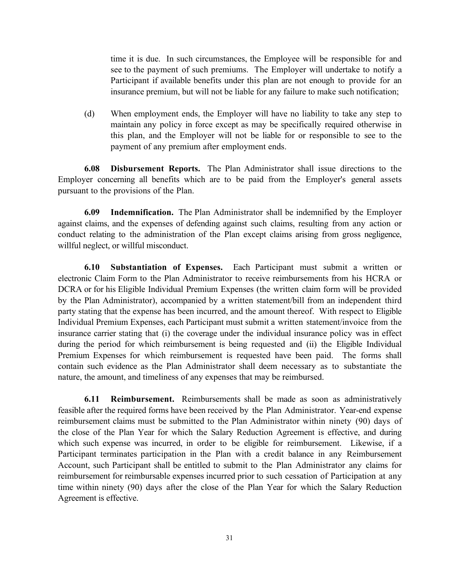time it is due. In such circumstances, the Employee will be responsible for and see to the payment of such premiums. The Employer will undertake to notify a Participant if available benefits under this plan are not enough to provide for an insurance premium, but will not be liable for any failure to make such notification;

(d) When employment ends, the Employer will have no liability to take any step to maintain any policy in force except as may be specifically required otherwise in this plan, and the Employer will not be liable for or responsible to see to the payment of any premium after employment ends.

**6.08 Disbursement Reports.** The Plan Administrator shall issue directions to the Employer concerning all benefits which are to be paid from the Employer's general assets pursuant to the provisions of the Plan.

**6.09 Indemnification.** The Plan Administrator shall be indemnified by the Employer against claims, and the expenses of defending against such claims, resulting from any action or conduct relating to the administration of the Plan except claims arising from gross negligence, willful neglect, or willful misconduct.

**6.10 Substantiation of Expenses.** Each Participant must submit a written or electronic Claim Form to the Plan Administrator to receive reimbursements from his HCRA or DCRA or for his Eligible Individual Premium Expenses (the written claim form will be provided by the Plan Administrator), accompanied by a written statement/bill from an independent third party stating that the expense has been incurred, and the amount thereof. With respect to Eligible Individual Premium Expenses, each Participant must submit a written statement/invoice from the insurance carrier stating that (i) the coverage under the individual insurance policy was in effect during the period for which reimbursement is being requested and (ii) the Eligible Individual Premium Expenses for which reimbursement is requested have been paid. The forms shall contain such evidence as the Plan Administrator shall deem necessary as to substantiate the nature, the amount, and timeliness of any expenses that may be reimbursed.

**6.11 Reimbursement.** Reimbursements shall be made as soon as administratively feasible after the required forms have been received by the Plan Administrator. Year-end expense reimbursement claims must be submitted to the Plan Administrator within ninety (90) days of the close of the Plan Year for which the Salary Reduction Agreement is effective, and during which such expense was incurred, in order to be eligible for reimbursement. Likewise, if a Participant terminates participation in the Plan with a credit balance in any Reimbursement Account, such Participant shall be entitled to submit to the Plan Administrator any claims for reimbursement for reimbursable expenses incurred prior to such cessation of Participation at any time within ninety (90) days after the close of the Plan Year for which the Salary Reduction Agreement is effective.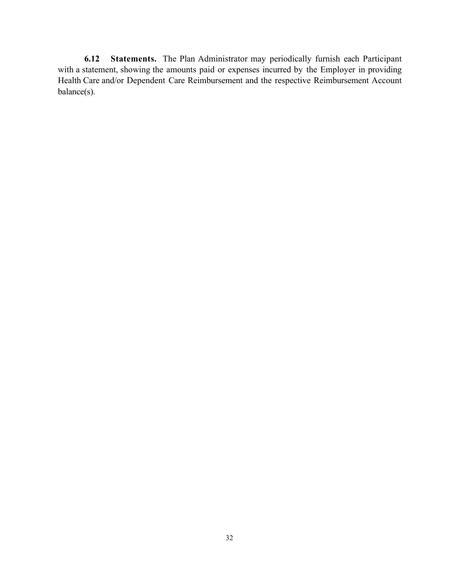**6.12 Statements.** The Plan Administrator may periodically furnish each Participant with a statement, showing the amounts paid or expenses incurred by the Employer in providing Health Care and/or Dependent Care Reimbursement and the respective Reimbursement Account balance(s).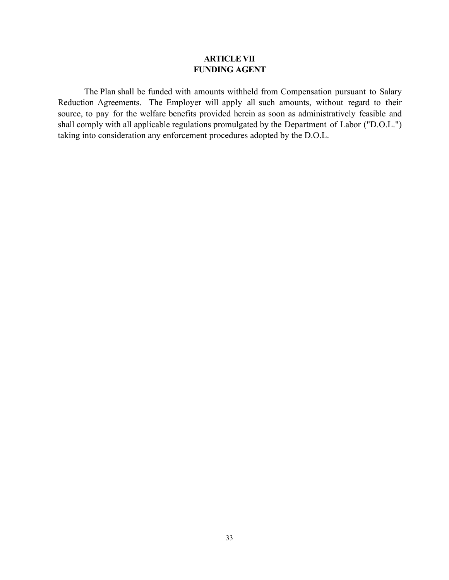# **ARTICLE VII FUNDING AGENT**

The Plan shall be funded with amounts withheld from Compensation pursuant to Salary Reduction Agreements. The Employer will apply all such amounts, without regard to their source, to pay for the welfare benefits provided herein as soon as administratively feasible and shall comply with all applicable regulations promulgated by the Department of Labor ("D.O.L.") taking into consideration any enforcement procedures adopted by the D.O.L.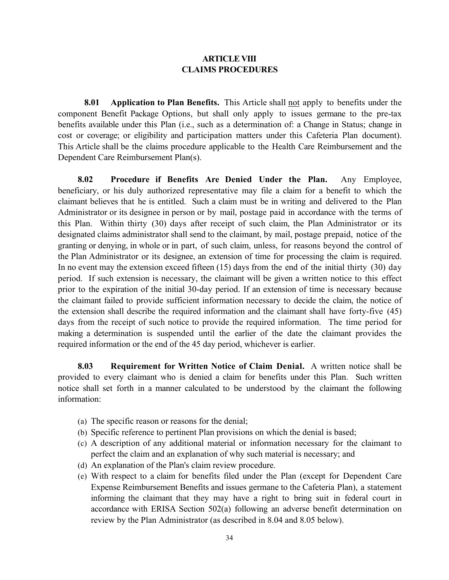# **ARTICLE VIII CLAIMS PROCEDURES**

**8.01 Application to Plan Benefits.** This Article shall not apply to benefits under the component Benefit Package Options, but shall only apply to issues germane to the pre-tax benefits available under this Plan (i.e., such as a determination of: a Change in Status; change in cost or coverage; or eligibility and participation matters under this Cafeteria Plan document). This Article shall be the claims procedure applicable to the Health Care Reimbursement and the Dependent Care Reimbursement Plan(s).

**8.02 Procedure if Benefits Are Denied Under the Plan.** Any Employee, beneficiary, or his duly authorized representative may file a claim for a benefit to which the claimant believes that he is entitled. Such a claim must be in writing and delivered to the Plan Administrator or its designee in person or by mail, postage paid in accordance with the terms of this Plan. Within thirty (30) days after receipt of such claim, the Plan Administrator or its designated claims administrator shall send to the claimant, by mail, postage prepaid, notice of the granting or denying, in whole or in part, of such claim, unless, for reasons beyond the control of the Plan Administrator or its designee, an extension of time for processing the claim is required. In no event may the extension exceed fifteen (15) days from the end of the initial thirty (30) day period. If such extension is necessary, the claimant will be given a written notice to this effect prior to the expiration of the initial 30-day period. If an extension of time is necessary because the claimant failed to provide sufficient information necessary to decide the claim, the notice of the extension shall describe the required information and the claimant shall have forty-five (45) days from the receipt of such notice to provide the required information. The time period for making a determination is suspended until the earlier of the date the claimant provides the required information or the end of the 45 day period, whichever is earlier.

**8.03 Requirement for Written Notice of Claim Denial.** A written notice shall be provided to every claimant who is denied a claim for benefits under this Plan. Such written notice shall set forth in a manner calculated to be understood by the claimant the following information:

- (a) The specific reason or reasons for the denial;
- (b) Specific reference to pertinent Plan provisions on which the denial is based;
- (c) A description of any additional material or information necessary for the claimant to perfect the claim and an explanation of why such material is necessary; and
- (d) An explanation of the Plan's claim review procedure.
- (e) With respect to a claim for benefits filed under the Plan (except for Dependent Care Expense Reimbursement Benefits and issues germane to the Cafeteria Plan), a statement informing the claimant that they may have a right to bring suit in federal court in accordance with ERISA Section 502(a) following an adverse benefit determination on review by the Plan Administrator (as described in 8.04 and 8.05 below).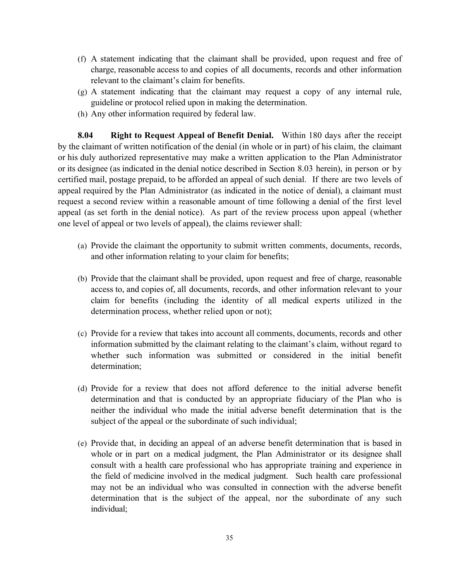- (f) A statement indicating that the claimant shall be provided, upon request and free of charge, reasonable access to and copies of all documents, records and other information relevant to the claimant's claim for benefits.
- (g) A statement indicating that the claimant may request a copy of any internal rule, guideline or protocol relied upon in making the determination.
- (h) Any other information required by federal law.

**8.04 Right to Request Appeal of Benefit Denial.** Within 180 days after the receipt by the claimant of written notification of the denial (in whole or in part) of his claim, the claimant or his duly authorized representative may make a written application to the Plan Administrator or its designee (as indicated in the denial notice described in Section 8.03 herein), in person or by certified mail, postage prepaid, to be afforded an appeal of such denial. If there are two levels of appeal required by the Plan Administrator (as indicated in the notice of denial), a claimant must request a second review within a reasonable amount of time following a denial of the first level appeal (as set forth in the denial notice). As part of the review process upon appeal (whether one level of appeal or two levels of appeal), the claims reviewer shall:

- (a) Provide the claimant the opportunity to submit written comments, documents, records, and other information relating to your claim for benefits;
- (b) Provide that the claimant shall be provided, upon request and free of charge, reasonable access to, and copies of, all documents, records, and other information relevant to your claim for benefits (including the identity of all medical experts utilized in the determination process, whether relied upon or not);
- (c) Provide for a review that takes into account all comments, documents, records and other information submitted by the claimant relating to the claimant's claim, without regard to whether such information was submitted or considered in the initial benefit determination;
- (d) Provide for a review that does not afford deference to the initial adverse benefit determination and that is conducted by an appropriate fiduciary of the Plan who is neither the individual who made the initial adverse benefit determination that is the subject of the appeal or the subordinate of such individual;
- (e) Provide that, in deciding an appeal of an adverse benefit determination that is based in whole or in part on a medical judgment, the Plan Administrator or its designee shall consult with a health care professional who has appropriate training and experience in the field of medicine involved in the medical judgment. Such health care professional may not be an individual who was consulted in connection with the adverse benefit determination that is the subject of the appeal, nor the subordinate of any such individual;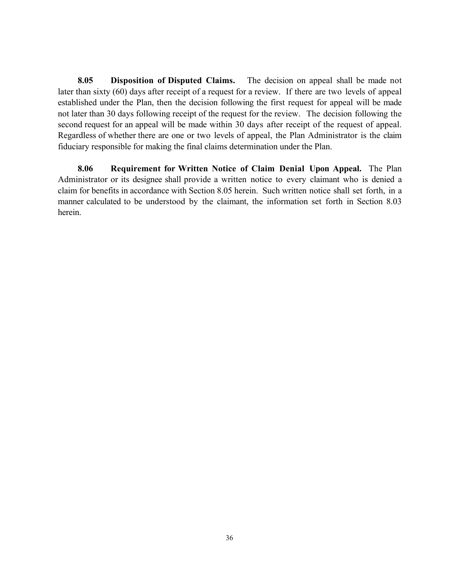**8.05 Disposition of Disputed Claims.** The decision on appeal shall be made not later than sixty (60) days after receipt of a request for a review. If there are two levels of appeal established under the Plan, then the decision following the first request for appeal will be made not later than 30 days following receipt of the request for the review. The decision following the second request for an appeal will be made within 30 days after receipt of the request of appeal. Regardless of whether there are one or two levels of appeal, the Plan Administrator is the claim fiduciary responsible for making the final claims determination under the Plan.

**8.06 Requirement for Written Notice of Claim Denial Upon Appeal.** The Plan Administrator or its designee shall provide a written notice to every claimant who is denied a claim for benefits in accordance with Section 8.05 herein. Such written notice shall set forth, in a manner calculated to be understood by the claimant, the information set forth in Section 8.03 herein.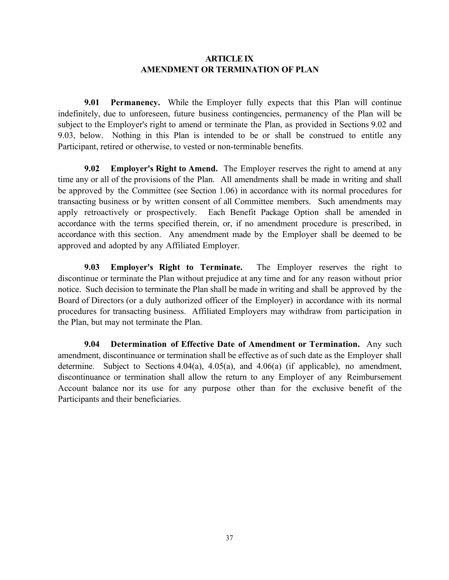# **ARTICLE IX AMENDMENT OR TERMINATION OF PLAN**

**9.01 Permanency.** While the Employer fully expects that this Plan will continue indefinitely, due to unforeseen, future business contingencies, permanency of the Plan will be subject to the Employer's right to amend or terminate the Plan, as provided in Sections 9.02 and 9.03, below. Nothing in this Plan is intended to be or shall be construed to entitle any Participant, retired or otherwise, to vested or non-terminable benefits.

**9.02 Employer's Right to Amend.** The Employer reserves the right to amend at any time any or all of the provisions of the Plan. All amendments shall be made in writing and shall be approved by the Committee (see Section 1.06) in accordance with its normal procedures for transacting business or by written consent of all Committee members. Such amendments may apply retroactively or prospectively. Each Benefit Package Option shall be amended in accordance with the terms specified therein, or, if no amendment procedure is prescribed, in accordance with this section. Any amendment made by the Employer shall be deemed to be approved and adopted by any Affiliated Employer.

**9.03 Employer's Right to Terminate.** The Employer reserves the right to discontinue or terminate the Plan without prejudice at any time and for any reason without prior notice. Such decision to terminate the Plan shall be made in writing and shall be approved by the Board of Directors (or a duly authorized officer of the Employer) in accordance with its normal procedures for transacting business. Affiliated Employers may withdraw from participation in the Plan, but may not terminate the Plan.

**9.04 Determination of Effective Date of Amendment or Termination.** Any such amendment, discontinuance or termination shall be effective as of such date as the Employer shall determine. Subject to Sections 4.04(a), 4.05(a), and 4.06(a) (if applicable), no amendment, discontinuance or termination shall allow the return to any Employer of any Reimbursement Account balance nor its use for any purpose other than for the exclusive benefit of the Participants and their beneficiaries.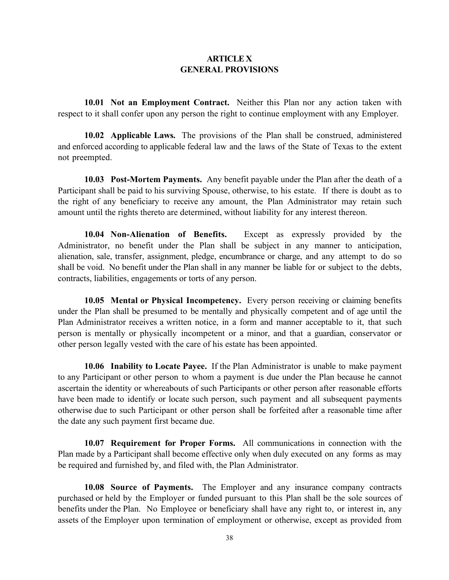## **ARTICLE X GENERAL PROVISIONS**

**10.01 Not an Employment Contract.** Neither this Plan nor any action taken with respect to it shall confer upon any person the right to continue employment with any Employer.

**10.02 Applicable Laws.** The provisions of the Plan shall be construed, administered and enforced according to applicable federal law and the laws of the State of Texas to the extent not preempted.

**10.03 Post-Mortem Payments.** Any benefit payable under the Plan after the death of a Participant shall be paid to his surviving Spouse, otherwise, to his estate. If there is doubt as to the right of any beneficiary to receive any amount, the Plan Administrator may retain such amount until the rights thereto are determined, without liability for any interest thereon.

**10.04 Non-Alienation of Benefits.** Except as expressly provided by the Administrator, no benefit under the Plan shall be subject in any manner to anticipation, alienation, sale, transfer, assignment, pledge, encumbrance or charge, and any attempt to do so shall be void. No benefit under the Plan shall in any manner be liable for or subject to the debts, contracts, liabilities, engagements or torts of any person.

**10.05 Mental or Physical Incompetency.** Every person receiving or claiming benefits under the Plan shall be presumed to be mentally and physically competent and of age until the Plan Administrator receives a written notice, in a form and manner acceptable to it, that such person is mentally or physically incompetent or a minor, and that a guardian, conservator or other person legally vested with the care of his estate has been appointed.

**10.06 Inability to Locate Payee.** If the Plan Administrator is unable to make payment to any Participant or other person to whom a payment is due under the Plan because he cannot ascertain the identity or whereabouts of such Participants or other person after reasonable efforts have been made to identify or locate such person, such payment and all subsequent payments otherwise due to such Participant or other person shall be forfeited after a reasonable time after the date any such payment first became due.

**10.07 Requirement for Proper Forms.** All communications in connection with the Plan made by a Participant shall become effective only when duly executed on any forms as may be required and furnished by, and filed with, the Plan Administrator.

**10.08 Source of Payments.** The Employer and any insurance company contracts purchased or held by the Employer or funded pursuant to this Plan shall be the sole sources of benefits under the Plan. No Employee or beneficiary shall have any right to, or interest in, any assets of the Employer upon termination of employment or otherwise, except as provided from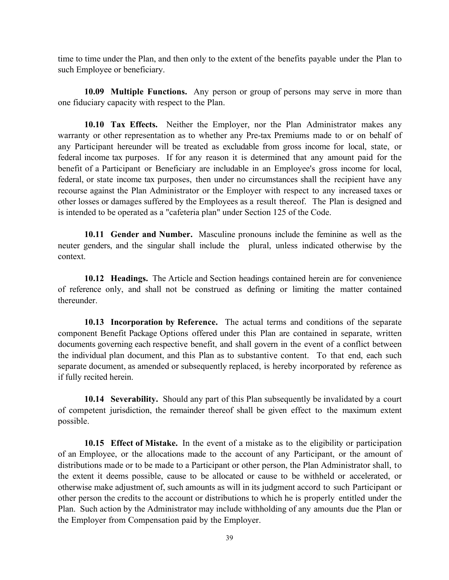time to time under the Plan, and then only to the extent of the benefits payable under the Plan to such Employee or beneficiary.

**10.09 Multiple Functions.** Any person or group of persons may serve in more than one fiduciary capacity with respect to the Plan.

**10.10 Tax Effects.** Neither the Employer, nor the Plan Administrator makes any warranty or other representation as to whether any Pre-tax Premiums made to or on behalf of any Participant hereunder will be treated as excludable from gross income for local, state, or federal income tax purposes. If for any reason it is determined that any amount paid for the benefit of a Participant or Beneficiary are includable in an Employee's gross income for local, federal, or state income tax purposes, then under no circumstances shall the recipient have any recourse against the Plan Administrator or the Employer with respect to any increased taxes or other losses or damages suffered by the Employees as a result thereof. The Plan is designed and is intended to be operated as a "cafeteria plan" under Section 125 of the Code.

**10.11 Gender and Number.** Masculine pronouns include the feminine as well as the neuter genders, and the singular shall include the plural, unless indicated otherwise by the context.

**10.12 Headings.** The Article and Section headings contained herein are for convenience of reference only, and shall not be construed as defining or limiting the matter contained thereunder.

**10.13 Incorporation by Reference.** The actual terms and conditions of the separate component Benefit Package Options offered under this Plan are contained in separate, written documents governing each respective benefit, and shall govern in the event of a conflict between the individual plan document, and this Plan as to substantive content. To that end, each such separate document, as amended or subsequently replaced, is hereby incorporated by reference as if fully recited herein.

**10.14 Severability.** Should any part of this Plan subsequently be invalidated by a court of competent jurisdiction, the remainder thereof shall be given effect to the maximum extent possible.

**10.15 Effect of Mistake.** In the event of a mistake as to the eligibility or participation of an Employee, or the allocations made to the account of any Participant, or the amount of distributions made or to be made to a Participant or other person, the Plan Administrator shall, to the extent it deems possible, cause to be allocated or cause to be withheld or accelerated, or otherwise make adjustment of, such amounts as will in its judgment accord to such Participant or other person the credits to the account or distributions to which he is properly entitled under the Plan. Such action by the Administrator may include withholding of any amounts due the Plan or the Employer from Compensation paid by the Employer.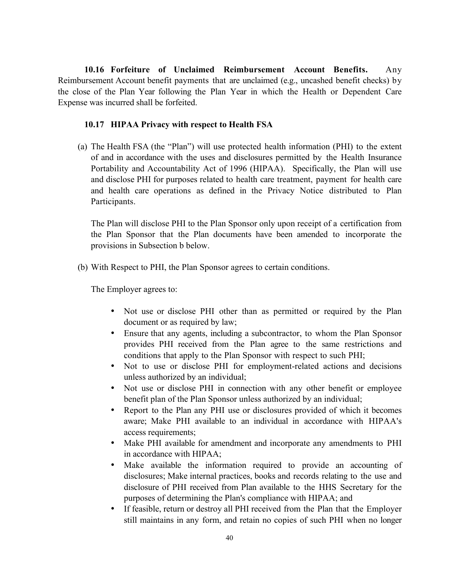**10.16 Forfeiture of Unclaimed Reimbursement Account Benefits.** Any Reimbursement Account benefit payments that are unclaimed (e.g., uncashed benefit checks) by the close of the Plan Year following the Plan Year in which the Health or Dependent Care Expense was incurred shall be forfeited.

## **10.17 HIPAA Privacy with respect to Health FSA**

(a) The Health FSA (the "Plan") will use protected health information (PHI) to the extent of and in accordance with the uses and disclosures permitted by the Health Insurance Portability and Accountability Act of 1996 (HIPAA). Specifically, the Plan will use and disclose PHI for purposes related to health care treatment, payment for health care and health care operations as defined in the Privacy Notice distributed to Plan Participants.

The Plan will disclose PHI to the Plan Sponsor only upon receipt of a certification from the Plan Sponsor that the Plan documents have been amended to incorporate the provisions in Subsection b below.

(b) With Respect to PHI, the Plan Sponsor agrees to certain conditions.

The Employer agrees to:

Not use or disclose PHI other than as permitted or required by the Plan document or as required by law;

Ensure that any agents, including a subcontractor, to whom the Plan Sponsor provides PHI received from the Plan agree to the same restrictions and conditions that apply to the Plan Sponsor with respect to such PHI;

Not to use or disclose PHI for employment-related actions and decisions unless authorized by an individual;

Not use or disclose PHI in connection with any other benefit or employee benefit plan of the Plan Sponsor unless authorized by an individual;

Report to the Plan any PHI use or disclosures provided of which it becomes aware; Make PHI available to an individual in accordance with HIPAA's access requirements;

Make PHI available for amendment and incorporate any amendments to PHI in accordance with HIPAA;

Make available the information required to provide an accounting of disclosures; Make internal practices, books and records relating to the use and disclosure of PHI received from Plan available to the HHS Secretary for the purposes of determining the Plan's compliance with HIPAA; and

If feasible, return or destroy all PHI received from the Plan that the Employer still maintains in any form, and retain no copies of such PHI when no longer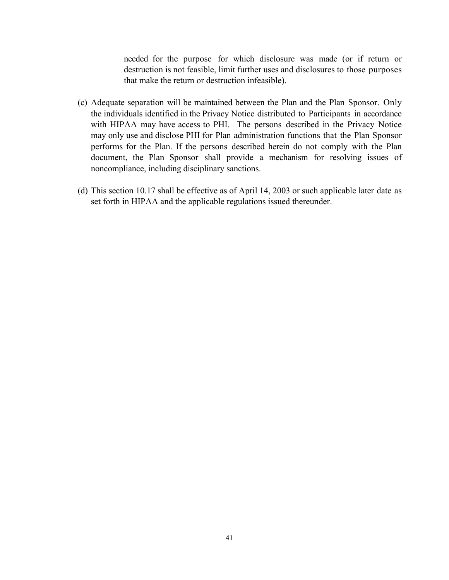needed for the purpose for which disclosure was made (or if return or destruction is not feasible, limit further uses and disclosures to those purposes that make the return or destruction infeasible).

- (c) Adequate separation will be maintained between the Plan and the Plan Sponsor. Only the individuals identified in the Privacy Notice distributed to Participants in accordance with HIPAA may have access to PHI. The persons described in the Privacy Notice may only use and disclose PHI for Plan administration functions that the Plan Sponsor performs for the Plan. If the persons described herein do not comply with the Plan document, the Plan Sponsor shall provide a mechanism for resolving issues of noncompliance, including disciplinary sanctions.
- (d) This section 10.17 shall be effective as of April 14, 2003 or such applicable later date as set forth in HIPAA and the applicable regulations issued thereunder.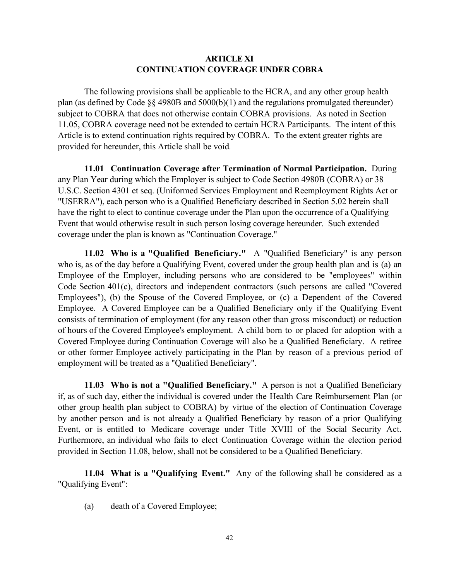# **ARTICLE XI CONTINUATION COVERAGE UNDER COBRA**

The following provisions shall be applicable to the HCRA, and any other group health plan (as defined by Code §§ 4980B and 5000(b)(1) and the regulations promulgated thereunder) subject to COBRA that does not otherwise contain COBRA provisions. As noted in Section 11.05, COBRA coverage need not be extended to certain HCRA Participants. The intent of this Article is to extend continuation rights required by COBRA. To the extent greater rights are provided for hereunder, this Article shall be void.

**11.01 Continuation Coverage after Termination of Normal Participation.** During any Plan Year during which the Employer is subject to Code Section 4980B (COBRA) or 38 U.S.C. Section 4301 et seq. (Uniformed Services Employment and Reemployment Rights Act or "USERRA"), each person who is a Qualified Beneficiary described in Section 5.02 herein shall have the right to elect to continue coverage under the Plan upon the occurrence of a Qualifying Event that would otherwise result in such person losing coverage hereunder. Such extended coverage under the plan is known as "Continuation Coverage."

**11.02 Who is a "Qualified Beneficiary."** A "Qualified Beneficiary" is any person who is, as of the day before a Qualifying Event, covered under the group health plan and is (a) an Employee of the Employer, including persons who are considered to be "employees" within Code Section 401(c), directors and independent contractors (such persons are called "Covered Employees"), (b) the Spouse of the Covered Employee, or (c) a Dependent of the Covered Employee. A Covered Employee can be a Qualified Beneficiary only if the Qualifying Event consists of termination of employment (for any reason other than gross misconduct) or reduction of hours of the Covered Employee's employment. A child born to or placed for adoption with a Covered Employee during Continuation Coverage will also be a Qualified Beneficiary. A retiree or other former Employee actively participating in the Plan by reason of a previous period of employment will be treated as a "Qualified Beneficiary".

**11.03 Who is not a "Qualified Beneficiary."** A person is not a Qualified Beneficiary if, as of such day, either the individual is covered under the Health Care Reimbursement Plan (or other group health plan subject to COBRA) by virtue of the election of Continuation Coverage by another person and is not already a Qualified Beneficiary by reason of a prior Qualifying Event, or is entitled to Medicare coverage under Title XVIII of the Social Security Act. Furthermore, an individual who fails to elect Continuation Coverage within the election period provided in Section 11.08, below, shall not be considered to be a Qualified Beneficiary.

**11.04 What is a "Qualifying Event."** Any of the following shall be considered as a "Qualifying Event":

(a) death of a Covered Employee;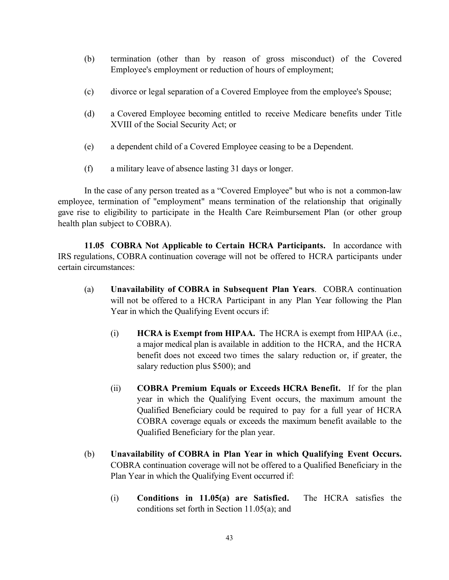- (b) termination (other than by reason of gross misconduct) of the Covered Employee's employment or reduction of hours of employment;
- (c) divorce or legal separation of a Covered Employee from the employee's Spouse;
- (d) a Covered Employee becoming entitled to receive Medicare benefits under Title XVIII of the Social Security Act; or
- (e) a dependent child of a Covered Employee ceasing to be a Dependent.
- (f) a military leave of absence lasting 31 days or longer.

In the case of any person treated as a "Covered Employee" but who is not a common-law employee, termination of "employment" means termination of the relationship that originally gave rise to eligibility to participate in the Health Care Reimbursement Plan (or other group health plan subject to COBRA).

**11.05 COBRA Not Applicable to Certain HCRA Participants.** In accordance with IRS regulations, COBRA continuation coverage will not be offered to HCRA participants under certain circumstances:

- (a) **Unavailability of COBRA in Subsequent Plan Years**. COBRA continuation will not be offered to a HCRA Participant in any Plan Year following the Plan Year in which the Qualifying Event occurs if:
	- (i) **HCRA is Exempt from HIPAA.** The HCRA is exempt from HIPAA (i.e., a major medical plan is available in addition to the HCRA, and the HCRA benefit does not exceed two times the salary reduction or, if greater, the salary reduction plus \$500); and
	- (ii) **COBRA Premium Equals or Exceeds HCRA Benefit.** If for the plan year in which the Qualifying Event occurs, the maximum amount the Qualified Beneficiary could be required to pay for a full year of HCRA COBRA coverage equals or exceeds the maximum benefit available to the Qualified Beneficiary for the plan year.
- (b) **Unavailability of COBRA in Plan Year in which Qualifying Event Occurs.** COBRA continuation coverage will not be offered to a Qualified Beneficiary in the Plan Year in which the Qualifying Event occurred if:
	- (i) **Conditions in 11.05(a) are Satisfied.** The HCRA satisfies the conditions set forth in Section 11.05(a); and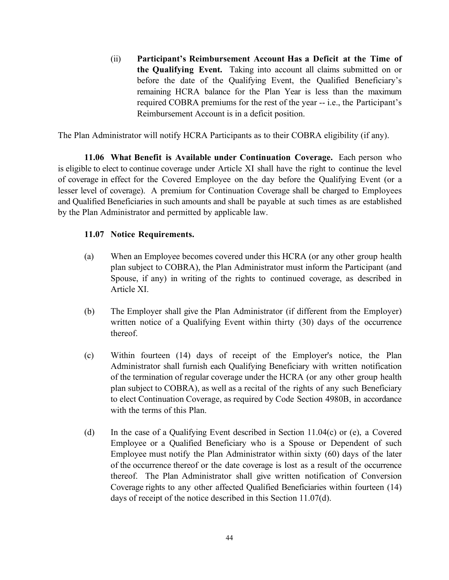(ii) **Participant's Reimbursement Account Has a Deficit at the Time of the Qualifying Event.** Taking into account all claims submitted on or before the date of the Qualifying Event, the Qualified Beneficiary's remaining HCRA balance for the Plan Year is less than the maximum required COBRA premiums for the rest of the year -- i.e., the Participant's Reimbursement Account is in a deficit position.

The Plan Administrator will notify HCRA Participants as to their COBRA eligibility (if any).

**11.06 What Benefit is Available under Continuation Coverage.** Each person who is eligible to elect to continue coverage under Article XI shall have the right to continue the level of coverage in effect for the Covered Employee on the day before the Qualifying Event (or a lesser level of coverage). A premium for Continuation Coverage shall be charged to Employees and Qualified Beneficiaries in such amounts and shall be payable at such times as are established by the Plan Administrator and permitted by applicable law.

## **11.07 Notice Requirements.**

- (a) When an Employee becomes covered under this HCRA (or any other group health plan subject to COBRA), the Plan Administrator must inform the Participant (and Spouse, if any) in writing of the rights to continued coverage, as described in Article XI.
- (b) The Employer shall give the Plan Administrator (if different from the Employer) written notice of a Qualifying Event within thirty (30) days of the occurrence thereof.
- (c) Within fourteen (14) days of receipt of the Employer's notice, the Plan Administrator shall furnish each Qualifying Beneficiary with written notification of the termination of regular coverage under the HCRA (or any other group health plan subject to COBRA), as well as a recital of the rights of any such Beneficiary to elect Continuation Coverage, as required by Code Section 4980B, in accordance with the terms of this Plan.
- (d) In the case of a Qualifying Event described in Section 11.04(c) or (e), a Covered Employee or a Qualified Beneficiary who is a Spouse or Dependent of such Employee must notify the Plan Administrator within sixty (60) days of the later of the occurrence thereof or the date coverage is lost as a result of the occurrence thereof. The Plan Administrator shall give written notification of Conversion Coverage rights to any other affected Qualified Beneficiaries within fourteen (14) days of receipt of the notice described in this Section 11.07(d).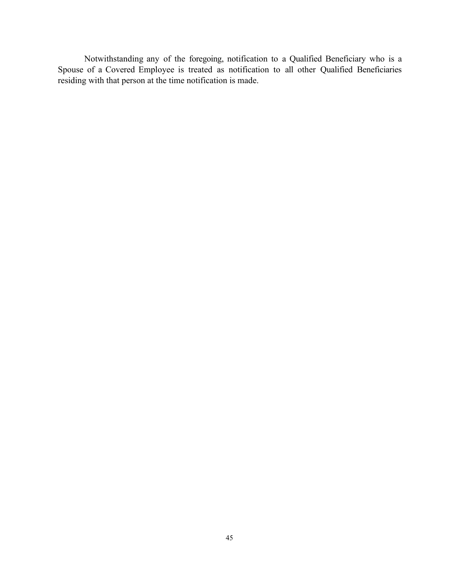Notwithstanding any of the foregoing, notification to a Qualified Beneficiary who is a Spouse of a Covered Employee is treated as notification to all other Qualified Beneficiaries residing with that person at the time notification is made.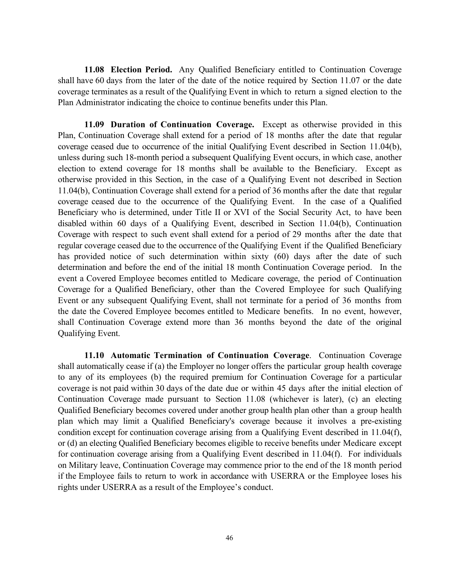**11.08 Election Period.** Any Qualified Beneficiary entitled to Continuation Coverage shall have 60 days from the later of the date of the notice required by Section 11.07 or the date coverage terminates as a result of the Qualifying Event in which to return a signed election to the Plan Administrator indicating the choice to continue benefits under this Plan.

**11.09 Duration of Continuation Coverage.** Except as otherwise provided in this Plan, Continuation Coverage shall extend for a period of 18 months after the date that regular coverage ceased due to occurrence of the initial Qualifying Event described in Section 11.04(b), unless during such 18-month period a subsequent Qualifying Event occurs, in which case, another election to extend coverage for 18 months shall be available to the Beneficiary. Except as otherwise provided in this Section, in the case of a Qualifying Event not described in Section 11.04(b), Continuation Coverage shall extend for a period of 36 months after the date that regular coverage ceased due to the occurrence of the Qualifying Event. In the case of a Qualified Beneficiary who is determined, under Title II or XVI of the Social Security Act, to have been disabled within 60 days of a Qualifying Event, described in Section 11.04(b), Continuation Coverage with respect to such event shall extend for a period of 29 months after the date that regular coverage ceased due to the occurrence of the Qualifying Event if the Qualified Beneficiary has provided notice of such determination within sixty (60) days after the date of such determination and before the end of the initial 18 month Continuation Coverage period. In the event a Covered Employee becomes entitled to Medicare coverage, the period of Continuation Coverage for a Qualified Beneficiary, other than the Covered Employee for such Qualifying Event or any subsequent Qualifying Event, shall not terminate for a period of 36 months from the date the Covered Employee becomes entitled to Medicare benefits. In no event, however, shall Continuation Coverage extend more than 36 months beyond the date of the original Qualifying Event.

**11.10 Automatic Termination of Continuation Coverage**. Continuation Coverage shall automatically cease if (a) the Employer no longer offers the particular group health coverage to any of its employees (b) the required premium for Continuation Coverage for a particular coverage is not paid within 30 days of the date due or within 45 days after the initial election of Continuation Coverage made pursuant to Section 11.08 (whichever is later), (c) an electing Qualified Beneficiary becomes covered under another group health plan other than a group health plan which may limit a Qualified Beneficiary's coverage because it involves a pre-existing condition except for continuation coverage arising from a Qualifying Event described in 11.04(f), or (d) an electing Qualified Beneficiary becomes eligible to receive benefits under Medicare except for continuation coverage arising from a Qualifying Event described in 11.04(f). For individuals on Military leave, Continuation Coverage may commence prior to the end of the 18 month period if the Employee fails to return to work in accordance with USERRA or the Employee loses his rights under USERRA as a result of the Employee's conduct.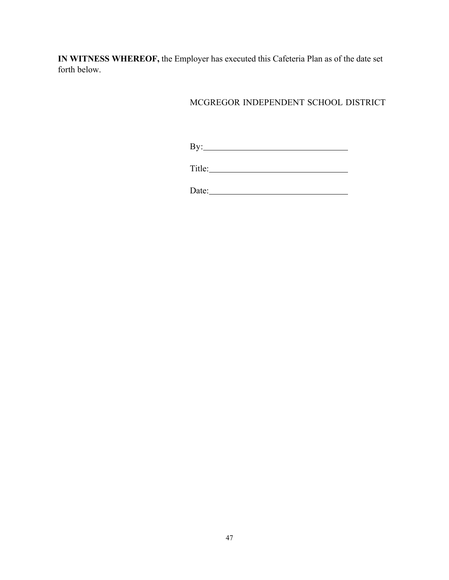**IN WITNESS WHEREOF,** the Employer has executed this Cafeteria Plan as of the date set forth below.

# MCGREGOR INDEPENDENT SCHOOL DISTRICT

By:

Date: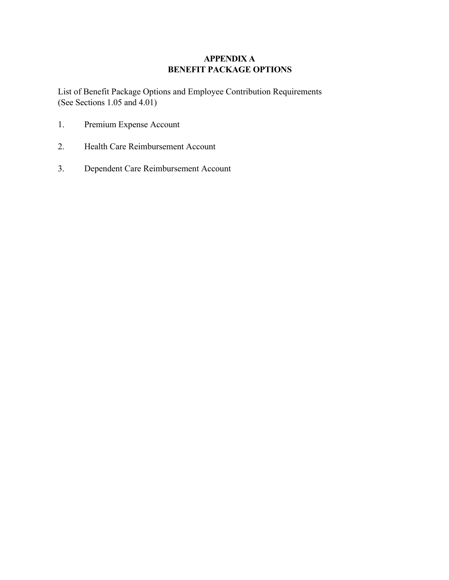# **APPENDIX A BENEFIT PACKAGE OPTIONS**

List of Benefit Package Options and Employee Contribution Requirements (See Sections 1.05 and 4.01)

- 1. Premium Expense Account
- 2. Health Care Reimbursement Account
- 3. Dependent Care Reimbursement Account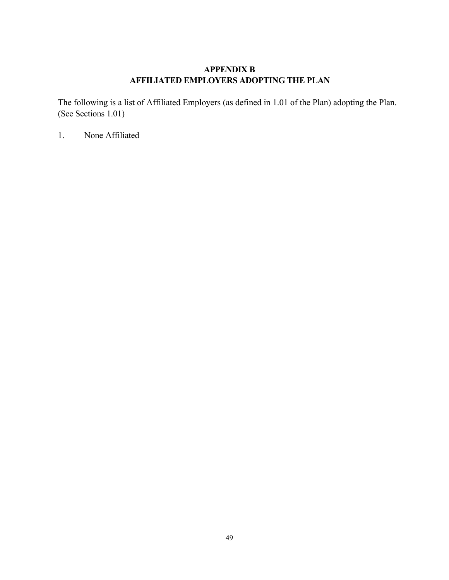# **APPENDIX B AFFILIATED EMPLOYERS ADOPTING THE PLAN**

The following is a list of Affiliated Employers (as defined in 1.01 of the Plan) adopting the Plan. (See Sections 1.01)

1. None Affiliated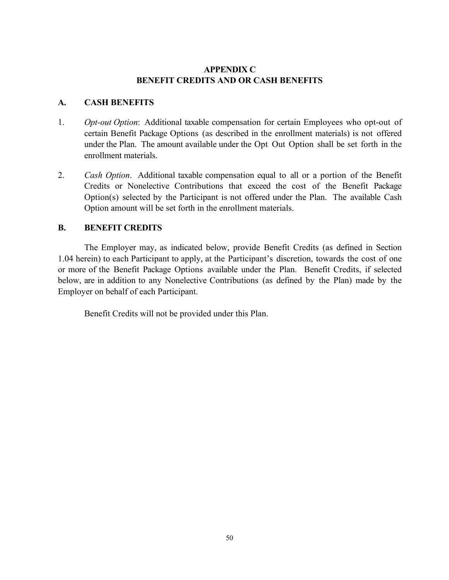# **APPENDIX C BENEFIT CREDITS AND OR CASH BENEFITS**

# **A. CASH BENEFITS**

- 1. *Opt-out Option*: Additional taxable compensation for certain Employees who opt-out of certain Benefit Package Options (as described in the enrollment materials) is not offered under the Plan. The amount available under the Opt Out Option shall be set forth in the enrollment materials.
- 2. *Cash Option*. Additional taxable compensation equal to all or a portion of the Benefit Credits or Nonelective Contributions that exceed the cost of the Benefit Package Option(s) selected by the Participant is not offered under the Plan. The available Cash Option amount will be set forth in the enrollment materials.

# **B. BENEFIT CREDITS**

The Employer may, as indicated below, provide Benefit Credits (as defined in Section 1.04 herein) to each Participant to apply, at the Participant's discretion, towards the cost of one or more of the Benefit Package Options available under the Plan. Benefit Credits, if selected below, are in addition to any Nonelective Contributions (as defined by the Plan) made by the Employer on behalf of each Participant.

Benefit Credits will not be provided under this Plan.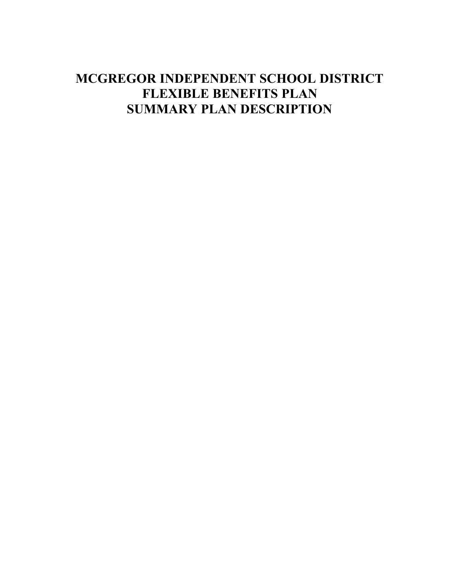# **MCGREGOR INDEPENDENT SCHOOL DISTRICT FLEXIBLE BENEFITS PLAN SUMMARY PLAN DESCRIPTION**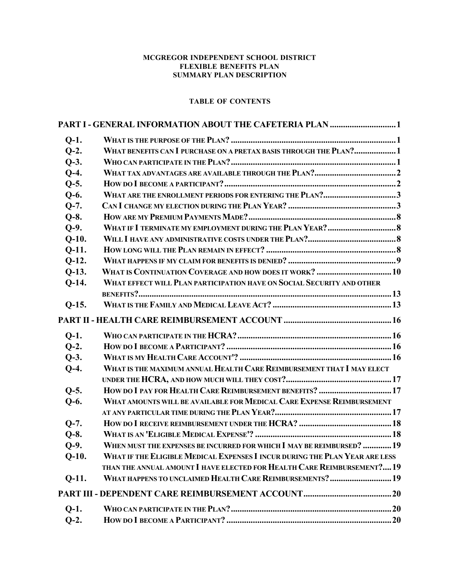#### **MCGREGOR INDEPENDENT SCHOOL DISTRICT FLEXIBLE BENEFITS PLAN SUMMARY PLAN DESCRIPTION**

## **TABLE OF CONTENTS**

| $Q-1$ .                                                                         |                                                                             |  |  |
|---------------------------------------------------------------------------------|-----------------------------------------------------------------------------|--|--|
| $Q-2$ .                                                                         | WHAT BENEFITS CAN I PURCHASE ON A PRETAX BASIS THROUGH THE PLAN?1           |  |  |
| $Q-3$ .                                                                         |                                                                             |  |  |
| $Q-4$ .                                                                         |                                                                             |  |  |
| $Q-5.$                                                                          |                                                                             |  |  |
| $Q-6.$                                                                          | WHAT ARE THE ENROLLMENT PERIODS FOR ENTERING THE PLAN?3                     |  |  |
| $Q-7.$                                                                          |                                                                             |  |  |
| $Q-8$ .                                                                         |                                                                             |  |  |
| $Q-9.$                                                                          |                                                                             |  |  |
| $Q-10.$                                                                         |                                                                             |  |  |
| $Q-11.$                                                                         |                                                                             |  |  |
| $Q-12.$                                                                         |                                                                             |  |  |
| $Q-13.$                                                                         | WHAT IS CONTINUATION COVERAGE AND HOW DOES IT WORK?  10                     |  |  |
| $Q-14.$                                                                         | WHAT EFFECT WILL PLAN PARTICIPATION HAVE ON SOCIAL SECURITY AND OTHER       |  |  |
|                                                                                 |                                                                             |  |  |
| $Q-15.$                                                                         |                                                                             |  |  |
|                                                                                 |                                                                             |  |  |
| $Q-1$ .                                                                         |                                                                             |  |  |
| $Q-2$ .                                                                         |                                                                             |  |  |
| $Q-3$ .                                                                         |                                                                             |  |  |
| WHAT IS THE MAXIMUM ANNUAL HEALTH CARE REIMBURSEMENT THAT I MAY ELECT<br>$O-4.$ |                                                                             |  |  |
|                                                                                 |                                                                             |  |  |
| $Q-5.$                                                                          | HOW DO I PAY FOR HEALTH CARE REIMBURSEMENT BENEFITS? 17                     |  |  |
| WHAT AMOUNTS WILL BE AVAILABLE FOR MEDICAL CARE EXPENSE REIMBURSEMENT<br>$Q-6.$ |                                                                             |  |  |
|                                                                                 |                                                                             |  |  |
| $Q-7.$                                                                          |                                                                             |  |  |
| $Q-8.$                                                                          |                                                                             |  |  |
| $O-9.$                                                                          | WHEN MUST THE EXPENSES BE INCURRED FOR WHICH I MAY BE REIMBURSED? 19        |  |  |
| $Q-10.$                                                                         | WHAT IF THE ELIGIBLE MEDICAL EXPENSES I INCUR DURING THE PLAN YEAR ARE LESS |  |  |
|                                                                                 | THAN THE ANNUAL AMOUNT I HAVE ELECTED FOR HEALTH CARE REIMBURSEMENT? 19     |  |  |
| $Q-11.$                                                                         | WHAT HAPPENS TO UNCLAIMED HEALTH CARE REIMBURSEMENTS?  19                   |  |  |
|                                                                                 |                                                                             |  |  |
| $Q-1$ .                                                                         |                                                                             |  |  |
| $Q-2$ .                                                                         |                                                                             |  |  |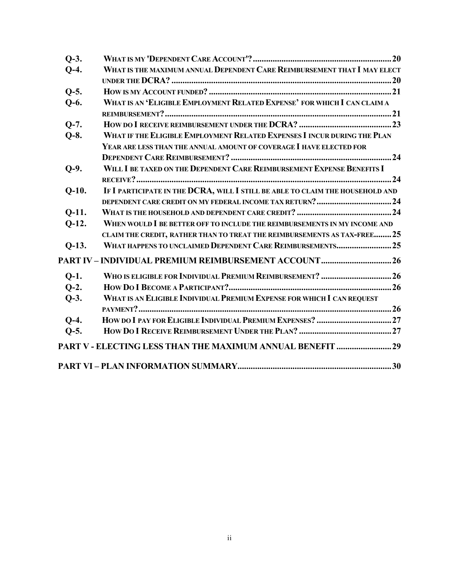| $O-3.$  |                                                                               |  |
|---------|-------------------------------------------------------------------------------|--|
| $O-4.$  | WHAT IS THE MAXIMUM ANNUAL DEPENDENT CARE REIMBURSEMENT THAT I MAY ELECT      |  |
|         |                                                                               |  |
| $O-5.$  |                                                                               |  |
| $Q-6.$  | WHAT IS AN 'ELIGIBLE EMPLOYMENT RELATED EXPENSE' FOR WHICH I CAN CLAIM A      |  |
|         |                                                                               |  |
| $O-7.$  |                                                                               |  |
| $Q-8.$  | WHAT IF THE ELIGIBLE EMPLOYMENT RELATED EXPENSES I INCUR DURING THE PLAN      |  |
|         | YEAR ARE LESS THAN THE ANNUAL AMOUNT OF COVERAGE I HAVE ELECTED FOR           |  |
|         |                                                                               |  |
| $Q-9.$  | WILL I BE TAXED ON THE DEPENDENT CARE REIMBURSEMENT EXPENSE BENEFITS I        |  |
|         |                                                                               |  |
| $Q-10.$ | IF I PARTICIPATE IN THE DCRA, WILL I STILL BE ABLE TO CLAIM THE HOUSEHOLD AND |  |
|         |                                                                               |  |
| $O-11.$ |                                                                               |  |
| $Q-12.$ | WHEN WOULD I BE BETTER OFF TO INCLUDE THE REIMBURSEMENTS IN MY INCOME AND     |  |
|         | CLAIM THE CREDIT, RATHER THAN TO TREAT THE REIMBURSEMENTS AS TAX-FREE25       |  |
| $Q-13.$ | WHAT HAPPENS TO UNCLAIMED DEPENDENT CARE REIMBURSEMENTS25                     |  |
|         | PART IV – INDIVIDUAL PREMIUM REIMBURSEMENT ACCOUNT26                          |  |
| $O-1$ . | WHO IS ELIGIBLE FOR INDIVIDUAL PREMIUM REIMBURSEMENT? 26                      |  |
| $O-2$ . |                                                                               |  |
| $Q-3$ . | WHAT IS AN ELIGIBLE INDIVIDUAL PREMIUM EXPENSE FOR WHICH I CAN REQUEST        |  |
|         |                                                                               |  |
| $O-4.$  |                                                                               |  |
| $Q-5.$  |                                                                               |  |
|         |                                                                               |  |
|         |                                                                               |  |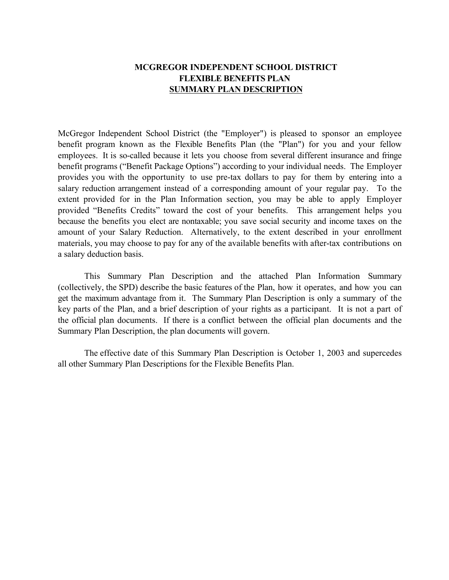# **MCGREGOR INDEPENDENT SCHOOL DISTRICT FLEXIBLE BENEFITS PLAN SUMMARY PLAN DESCRIPTION**

McGregor Independent School District (the "Employer") is pleased to sponsor an employee benefit program known as the Flexible Benefits Plan (the "Plan") for you and your fellow employees. It is so-called because it lets you choose from several different insurance and fringe benefit programs ("Benefit Package Options") according to your individual needs. The Employer provides you with the opportunity to use pre-tax dollars to pay for them by entering into a salary reduction arrangement instead of a corresponding amount of your regular pay. To the extent provided for in the Plan Information section, you may be able to apply Employer provided "Benefits Credits" toward the cost of your benefits. This arrangement helps you because the benefits you elect are nontaxable; you save social security and income taxes on the amount of your Salary Reduction. Alternatively, to the extent described in your enrollment materials, you may choose to pay for any of the available benefits with after-tax contributions on a salary deduction basis.

This Summary Plan Description and the attached Plan Information Summary (collectively, the SPD) describe the basic features of the Plan, how it operates, and how you can get the maximum advantage from it. The Summary Plan Description is only a summary of the key parts of the Plan, and a brief description of your rights as a participant. It is not a part of the official plan documents. If there is a conflict between the official plan documents and the Summary Plan Description, the plan documents will govern.

The effective date of this Summary Plan Description is October 1, 2003 and supercedes all other Summary Plan Descriptions for the Flexible Benefits Plan.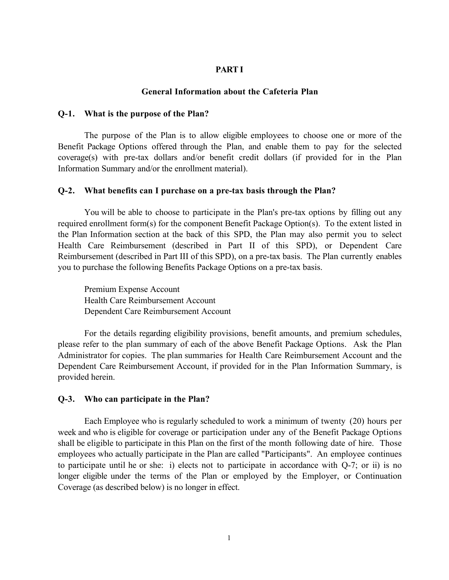#### **PART I**

#### **General Information about the Cafeteria Plan**

#### **Q-1. What is the purpose of the Plan?**

The purpose of the Plan is to allow eligible employees to choose one or more of the Benefit Package Options offered through the Plan, and enable them to pay for the selected coverage(s) with pre-tax dollars and/or benefit credit dollars (if provided for in the Plan Information Summary and/or the enrollment material).

#### **Q-2. What benefits can I purchase on a pre-tax basis through the Plan?**

You will be able to choose to participate in the Plan's pre-tax options by filling out any required enrollment form(s) for the component Benefit Package Option(s). To the extent listed in the Plan Information section at the back of this SPD, the Plan may also permit you to select Health Care Reimbursement (described in Part II of this SPD), or Dependent Care Reimbursement (described in Part III of this SPD), on a pre-tax basis. The Plan currently enables you to purchase the following Benefits Package Options on a pre-tax basis.

Premium Expense Account Health Care Reimbursement Account Dependent Care Reimbursement Account

For the details regarding eligibility provisions, benefit amounts, and premium schedules, please refer to the plan summary of each of the above Benefit Package Options. Ask the Plan Administrator for copies. The plan summaries for Health Care Reimbursement Account and the Dependent Care Reimbursement Account, if provided for in the Plan Information Summary, is provided herein.

#### **Q-3. Who can participate in the Plan?**

Each Employee who is regularly scheduled to work a minimum of twenty (20) hours per week and who is eligible for coverage or participation under any of the Benefit Package Options shall be eligible to participate in this Plan on the first of the month following date of hire. Those employees who actually participate in the Plan are called "Participants". An employee continues to participate until he or she: i) elects not to participate in accordance with Q-7; or ii) is no longer eligible under the terms of the Plan or employed by the Employer, or Continuation Coverage (as described below) is no longer in effect.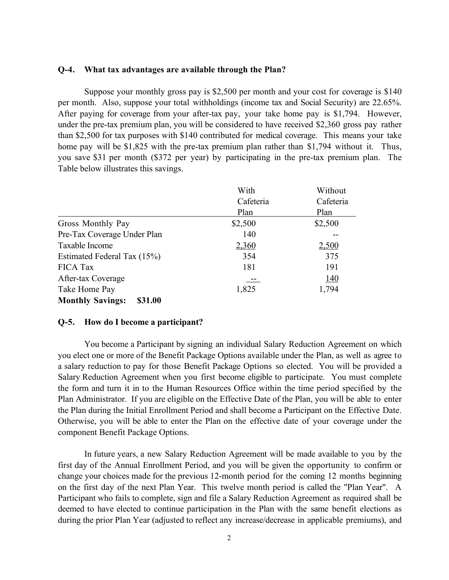#### **Q-4. What tax advantages are available through the Plan?**

Suppose your monthly gross pay is \$2,500 per month and your cost for coverage is \$140 per month. Also, suppose your total withholdings (income tax and Social Security) are 22.65%. After paying for coverage from your after-tax pay, your take home pay is \$1,794. However, under the pre-tax premium plan, you will be considered to have received \$2,360 gross pay rather than \$2,500 for tax purposes with \$140 contributed for medical coverage. This means your take home pay will be \$1,825 with the pre-tax premium plan rather than \$1,794 without it. Thus, you save \$31 per month (\$372 per year) by participating in the pre-tax premium plan. The Table below illustrates this savings.

|                                    | With      | Without   |
|------------------------------------|-----------|-----------|
|                                    | Cafeteria | Cafeteria |
|                                    | Plan      | Plan      |
| Gross Monthly Pay                  | \$2,500   | \$2,500   |
| Pre-Tax Coverage Under Plan        | 140       |           |
| Taxable Income                     | 2,360     | 2,500     |
| Estimated Federal Tax (15%)        | 354       | 375       |
| <b>FICA Tax</b>                    | 181       | 191       |
| After-tax Coverage                 |           | 140       |
| Take Home Pay                      | 1,825     | 1,794     |
| <b>Monthly Savings:</b><br>\$31.00 |           |           |

#### **Q-5. How do I become a participant?**

You become a Participant by signing an individual Salary Reduction Agreement on which you elect one or more of the Benefit Package Options available under the Plan, as well as agree to a salary reduction to pay for those Benefit Package Options so elected. You will be provided a Salary Reduction Agreement when you first become eligible to participate. You must complete the form and turn it in to the Human Resources Office within the time period specified by the Plan Administrator. If you are eligible on the Effective Date of the Plan, you will be able to enter the Plan during the Initial Enrollment Period and shall become a Participant on the Effective Date. Otherwise, you will be able to enter the Plan on the effective date of your coverage under the component Benefit Package Options.

In future years, a new Salary Reduction Agreement will be made available to you by the first day of the Annual Enrollment Period, and you will be given the opportunity to confirm or change your choices made for the previous 12-month period for the coming 12 months beginning on the first day of the next Plan Year. This twelve month period is called the "Plan Year". A Participant who fails to complete, sign and file a Salary Reduction Agreement as required shall be deemed to have elected to continue participation in the Plan with the same benefit elections as during the prior Plan Year (adjusted to reflect any increase/decrease in applicable premiums), and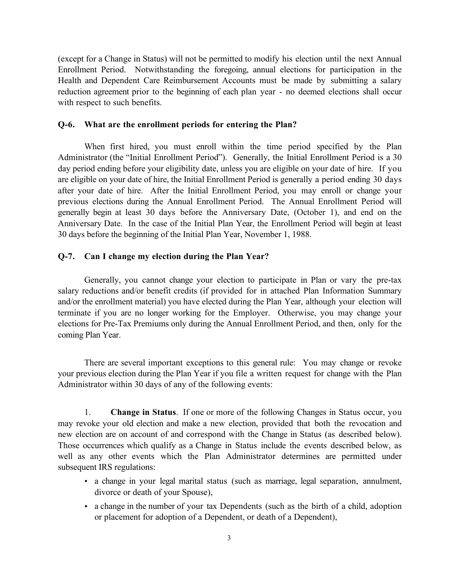(except for a Change in Status) will not be permitted to modify his election until the next Annual Enrollment Period. Notwithstanding the foregoing, annual elections for participation in the Health and Dependent Care Reimbursement Accounts must be made by submitting a salary reduction agreement prior to the beginning of each plan year - no deemed elections shall occur with respect to such benefits.

#### **Q-6. What are the enrollment periods for entering the Plan?**

When first hired, you must enroll within the time period specified by the Plan Administrator (the "Initial Enrollment Period"). Generally, the Initial Enrollment Period is a 30 day period ending before your eligibility date, unless you are eligible on your date of hire. If you are eligible on your date of hire, the Initial Enrollment Period is generally a period ending 30 days after your date of hire. After the Initial Enrollment Period, you may enroll or change your previous elections during the Annual Enrollment Period. The Annual Enrollment Period will generally begin at least 30 days before the Anniversary Date, (October 1), and end on the Anniversary Date. In the case of the Initial Plan Year, the Enrollment Period will begin at least 30 days before the beginning of the Initial Plan Year, November 1, 1988.

## **Q-7. Can I change my election during the Plan Year?**

Generally, you cannot change your election to participate in Plan or vary the pre-tax salary reductions and/or benefit credits (if provided for in attached Plan Information Summary and/or the enrollment material) you have elected during the Plan Year, although your election will terminate if you are no longer working for the Employer. Otherwise, you may change your elections for Pre-Tax Premiums only during the Annual Enrollment Period, and then, only for the coming Plan Year.

There are several important exceptions to this general rule: You may change or revoke your previous election during the Plan Year if you file a written request for change with the Plan Administrator within 30 days of any of the following events:

1. **Change in Status**. If one or more of the following Changes in Status occur, you may revoke your old election and make a new election, provided that both the revocation and new election are on account of and correspond with the Change in Status (as described below). Those occurrences which qualify as a Change in Status include the events described below, as well as any other events which the Plan Administrator determines are permitted under subsequent IRS regulations:

> a change in your legal marital status (such as marriage, legal separation, annulment, divorce or death of your Spouse),

> a change in the number of your tax Dependents (such as the birth of a child, adoption or placement for adoption of a Dependent, or death of a Dependent),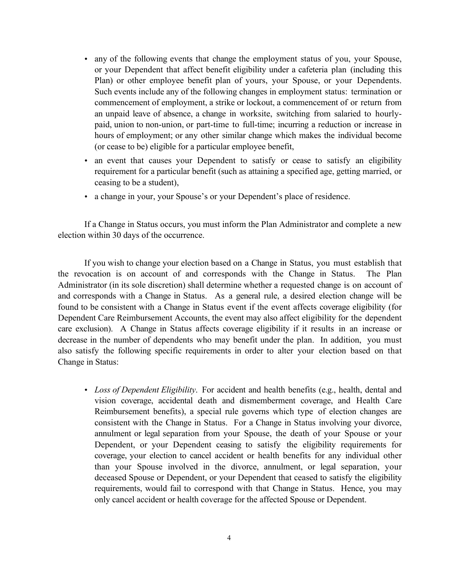any of the following events that change the employment status of you, your Spouse, or your Dependent that affect benefit eligibility under a cafeteria plan (including this Plan) or other employee benefit plan of yours, your Spouse, or your Dependents. Such events include any of the following changes in employment status: termination or commencement of employment, a strike or lockout, a commencement of or return from an unpaid leave of absence, a change in worksite, switching from salaried to hourlypaid, union to non-union, or part-time to full-time; incurring a reduction or increase in hours of employment; or any other similar change which makes the individual become (or cease to be) eligible for a particular employee benefit,

an event that causes your Dependent to satisfy or cease to satisfy an eligibility requirement for a particular benefit (such as attaining a specified age, getting married, or ceasing to be a student),

a change in your, your Spouse's or your Dependent's place of residence.

If a Change in Status occurs, you must inform the Plan Administrator and complete a new election within 30 days of the occurrence.

If you wish to change your election based on a Change in Status, you must establish that the revocation is on account of and corresponds with the Change in Status. The Plan Administrator (in its sole discretion) shall determine whether a requested change is on account of and corresponds with a Change in Status. As a general rule, a desired election change will be found to be consistent with a Change in Status event if the event affects coverage eligibility (for Dependent Care Reimbursement Accounts, the event may also affect eligibility for the dependent care exclusion). A Change in Status affects coverage eligibility if it results in an increase or decrease in the number of dependents who may benefit under the plan. In addition, you must also satisfy the following specific requirements in order to alter your election based on that Change in Status:

> *Loss of Dependent Eligibility*. For accident and health benefits (e.g., health, dental and vision coverage, accidental death and dismemberment coverage, and Health Care Reimbursement benefits), a special rule governs which type of election changes are consistent with the Change in Status. For a Change in Status involving your divorce, annulment or legal separation from your Spouse, the death of your Spouse or your Dependent, or your Dependent ceasing to satisfy the eligibility requirements for coverage, your election to cancel accident or health benefits for any individual other than your Spouse involved in the divorce, annulment, or legal separation, your deceased Spouse or Dependent, or your Dependent that ceased to satisfy the eligibility requirements, would fail to correspond with that Change in Status. Hence, you may only cancel accident or health coverage for the affected Spouse or Dependent.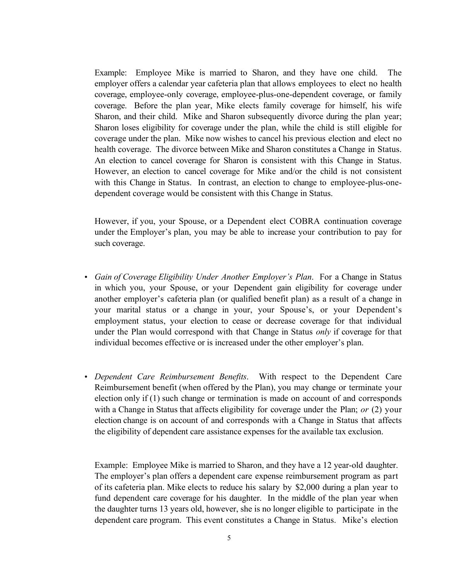Example: Employee Mike is married to Sharon, and they have one child. The employer offers a calendar year cafeteria plan that allows employees to elect no health coverage, employee-only coverage, employee-plus-one-dependent coverage, or family coverage. Before the plan year, Mike elects family coverage for himself, his wife Sharon, and their child. Mike and Sharon subsequently divorce during the plan year; Sharon loses eligibility for coverage under the plan, while the child is still eligible for coverage under the plan. Mike now wishes to cancel his previous election and elect no health coverage. The divorce between Mike and Sharon constitutes a Change in Status. An election to cancel coverage for Sharon is consistent with this Change in Status. However, an election to cancel coverage for Mike and/or the child is not consistent with this Change in Status. In contrast, an election to change to employee-plus-onedependent coverage would be consistent with this Change in Status.

However, if you, your Spouse, or a Dependent elect COBRA continuation coverage under the Employer's plan, you may be able to increase your contribution to pay for such coverage.

*Gain of Coverage Eligibility Under Another Employer's Plan*. For a Change in Status in which you, your Spouse, or your Dependent gain eligibility for coverage under another employer's cafeteria plan (or qualified benefit plan) as a result of a change in your marital status or a change in your, your Spouse's, or your Dependent's employment status, your election to cease or decrease coverage for that individual under the Plan would correspond with that Change in Status *only* if coverage for that individual becomes effective or is increased under the other employer's plan.

*Dependent Care Reimbursement Benefits*. With respect to the Dependent Care Reimbursement benefit (when offered by the Plan), you may change or terminate your election only if (1) such change or termination is made on account of and corresponds with a Change in Status that affects eligibility for coverage under the Plan; *or* (2) your election change is on account of and corresponds with a Change in Status that affects the eligibility of dependent care assistance expenses for the available tax exclusion.

Example: Employee Mike is married to Sharon, and they have a 12 year-old daughter. The employer's plan offers a dependent care expense reimbursement program as part of its cafeteria plan. Mike elects to reduce his salary by \$2,000 during a plan year to fund dependent care coverage for his daughter. In the middle of the plan year when the daughter turns 13 years old, however, she is no longer eligible to participate in the dependent care program. This event constitutes a Change in Status. Mike's election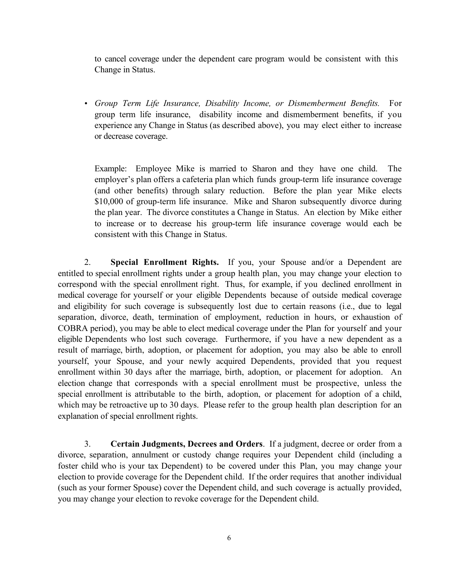to cancel coverage under the dependent care program would be consistent with this Change in Status.

*Group Term Life Insurance, Disability Income, or Dismemberment Benefits.* For group term life insurance, disability income and dismemberment benefits, if you experience any Change in Status (as described above), you may elect either to increase or decrease coverage.

Example: Employee Mike is married to Sharon and they have one child. The employer's plan offers a cafeteria plan which funds group-term life insurance coverage (and other benefits) through salary reduction. Before the plan year Mike elects \$10,000 of group-term life insurance. Mike and Sharon subsequently divorce during the plan year. The divorce constitutes a Change in Status. An election by Mike either to increase or to decrease his group-term life insurance coverage would each be consistent with this Change in Status.

2. **Special Enrollment Rights.** If you, your Spouse and/or a Dependent are entitled to special enrollment rights under a group health plan, you may change your election to correspond with the special enrollment right. Thus, for example, if you declined enrollment in medical coverage for yourself or your eligible Dependents because of outside medical coverage and eligibility for such coverage is subsequently lost due to certain reasons (i.e., due to legal separation, divorce, death, termination of employment, reduction in hours, or exhaustion of COBRA period), you may be able to elect medical coverage under the Plan for yourself and your eligible Dependents who lost such coverage. Furthermore, if you have a new dependent as a result of marriage, birth, adoption, or placement for adoption, you may also be able to enroll yourself, your Spouse, and your newly acquired Dependents, provided that you request enrollment within 30 days after the marriage, birth, adoption, or placement for adoption. An election change that corresponds with a special enrollment must be prospective, unless the special enrollment is attributable to the birth, adoption, or placement for adoption of a child, which may be retroactive up to 30 days. Please refer to the group health plan description for an explanation of special enrollment rights.

3. **Certain Judgments, Decrees and Orders**. If a judgment, decree or order from a divorce, separation, annulment or custody change requires your Dependent child (including a foster child who is your tax Dependent) to be covered under this Plan, you may change your election to provide coverage for the Dependent child. If the order requires that another individual (such as your former Spouse) cover the Dependent child, and such coverage is actually provided, you may change your election to revoke coverage for the Dependent child.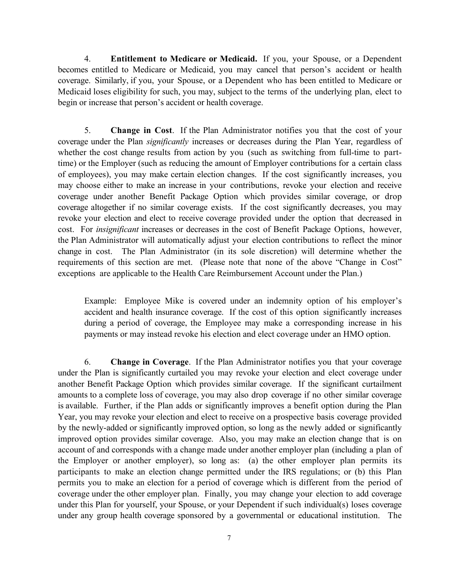4. **Entitlement to Medicare or Medicaid.** If you, your Spouse, or a Dependent becomes entitled to Medicare or Medicaid, you may cancel that person's accident or health coverage. Similarly, if you, your Spouse, or a Dependent who has been entitled to Medicare or Medicaid loses eligibility for such, you may, subject to the terms of the underlying plan, elect to begin or increase that person's accident or health coverage.

5. **Change in Cost**. If the Plan Administrator notifies you that the cost of your coverage under the Plan *significantly* increases or decreases during the Plan Year, regardless of whether the cost change results from action by you (such as switching from full-time to parttime) or the Employer (such as reducing the amount of Employer contributions for a certain class of employees), you may make certain election changes. If the cost significantly increases, you may choose either to make an increase in your contributions, revoke your election and receive coverage under another Benefit Package Option which provides similar coverage, or drop coverage altogether if no similar coverage exists. If the cost significantly decreases, you may revoke your election and elect to receive coverage provided under the option that decreased in cost. For *insignificant* increases or decreases in the cost of Benefit Package Options, however, the Plan Administrator will automatically adjust your election contributions to reflect the minor change in cost. The Plan Administrator (in its sole discretion) will determine whether the requirements of this section are met. (Please note that none of the above "Change in Cost" exceptions are applicable to the Health Care Reimbursement Account under the Plan.)

Example: Employee Mike is covered under an indemnity option of his employer's accident and health insurance coverage. If the cost of this option significantly increases during a period of coverage, the Employee may make a corresponding increase in his payments or may instead revoke his election and elect coverage under an HMO option.

6. **Change in Coverage**. If the Plan Administrator notifies you that your coverage under the Plan is significantly curtailed you may revoke your election and elect coverage under another Benefit Package Option which provides similar coverage. If the significant curtailment amounts to a complete loss of coverage, you may also drop coverage if no other similar coverage is available. Further, if the Plan adds or significantly improves a benefit option during the Plan Year, you may revoke your election and elect to receive on a prospective basis coverage provided by the newly-added or significantly improved option, so long as the newly added or significantly improved option provides similar coverage. Also, you may make an election change that is on account of and corresponds with a change made under another employer plan (including a plan of the Employer or another employer), so long as: (a) the other employer plan permits its participants to make an election change permitted under the IRS regulations; or (b) this Plan permits you to make an election for a period of coverage which is different from the period of coverage under the other employer plan. Finally, you may change your election to add coverage under this Plan for yourself, your Spouse, or your Dependent if such individual(s) loses coverage under any group health coverage sponsored by a governmental or educational institution. The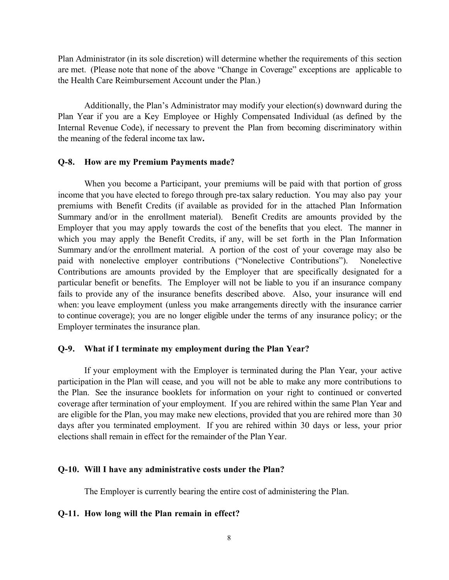Plan Administrator (in its sole discretion) will determine whether the requirements of this section are met. (Please note that none of the above "Change in Coverage" exceptions are applicable to the Health Care Reimbursement Account under the Plan.)

Additionally, the Plan's Administrator may modify your election(s) downward during the Plan Year if you are a Key Employee or Highly Compensated Individual (as defined by the Internal Revenue Code), if necessary to prevent the Plan from becoming discriminatory within the meaning of the federal income tax law**.**

#### **Q-8. How are my Premium Payments made?**

When you become a Participant, your premiums will be paid with that portion of gross income that you have elected to forego through pre-tax salary reduction. You may also pay your premiums with Benefit Credits (if available as provided for in the attached Plan Information Summary and/or in the enrollment material). Benefit Credits are amounts provided by the Employer that you may apply towards the cost of the benefits that you elect. The manner in which you may apply the Benefit Credits, if any, will be set forth in the Plan Information Summary and/or the enrollment material. A portion of the cost of your coverage may also be paid with nonelective employer contributions ("Nonelective Contributions"). Nonelective Contributions are amounts provided by the Employer that are specifically designated for a particular benefit or benefits. The Employer will not be liable to you if an insurance company fails to provide any of the insurance benefits described above. Also, your insurance will end when: you leave employment (unless you make arrangements directly with the insurance carrier to continue coverage); you are no longer eligible under the terms of any insurance policy; or the Employer terminates the insurance plan.

#### **Q-9. What if I terminate my employment during the Plan Year?**

If your employment with the Employer is terminated during the Plan Year, your active participation in the Plan will cease, and you will not be able to make any more contributions to the Plan. See the insurance booklets for information on your right to continued or converted coverage after termination of your employment. If you are rehired within the same Plan Year and are eligible for the Plan, you may make new elections, provided that you are rehired more than 30 days after you terminated employment. If you are rehired within 30 days or less, your prior elections shall remain in effect for the remainder of the Plan Year.

#### **Q-10. Will I have any administrative costs under the Plan?**

The Employer is currently bearing the entire cost of administering the Plan.

#### **Q-11. How long will the Plan remain in effect?**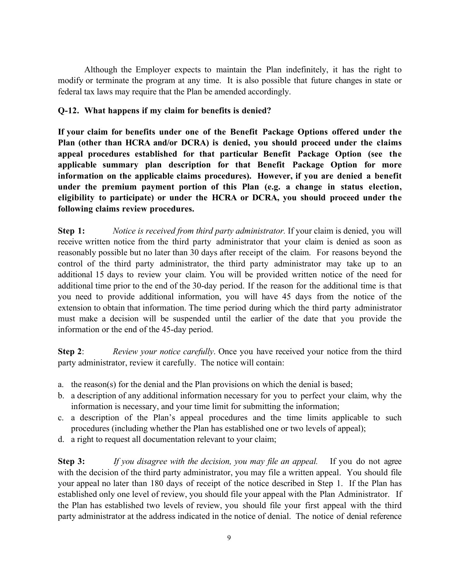Although the Employer expects to maintain the Plan indefinitely, it has the right to modify or terminate the program at any time. It is also possible that future changes in state or federal tax laws may require that the Plan be amended accordingly.

# **Q-12. What happens if my claim for benefits is denied?**

**If your claim for benefits under one of the Benefit Package Options offered under the Plan (other than HCRA and/or DCRA) is denied, you should proceed under the claims appeal procedures established for that particular Benefit Package Option (see the applicable summary plan description for that Benefit Package Option for more information on the applicable claims procedures). However, if you are denied a benefit under the premium payment portion of this Plan (e.g. a change in status election, eligibility to participate) or under the HCRA or DCRA, you should proceed under the following claims review procedures.**

**Step 1:** *Notice is received from third party administrator.* If your claim is denied, you will receive written notice from the third party administrator that your claim is denied as soon as reasonably possible but no later than 30 days after receipt of the claim. For reasons beyond the control of the third party administrator, the third party administrator may take up to an additional 15 days to review your claim. You will be provided written notice of the need for additional time prior to the end of the 30-day period. If the reason for the additional time is that you need to provide additional information, you will have 45 days from the notice of the extension to obtain that information. The time period during which the third party administrator must make a decision will be suspended until the earlier of the date that you provide the information or the end of the 45-day period.

**Step 2**: *Review your notice carefully*. Once you have received your notice from the third party administrator, review it carefully. The notice will contain:

- a. the reason(s) for the denial and the Plan provisions on which the denial is based;
- b. a description of any additional information necessary for you to perfect your claim, why the information is necessary, and your time limit for submitting the information;
- c. a description of the Plan's appeal procedures and the time limits applicable to such procedures (including whether the Plan has established one or two levels of appeal);
- d. a right to request all documentation relevant to your claim;

**Step 3:** *If you disagree with the decision, you may file an appeal.* If you do not agree with the decision of the third party administrator, you may file a written appeal. You should file your appeal no later than 180 days of receipt of the notice described in Step 1. If the Plan has established only one level of review, you should file your appeal with the Plan Administrator. If the Plan has established two levels of review, you should file your first appeal with the third party administrator at the address indicated in the notice of denial. The notice of denial reference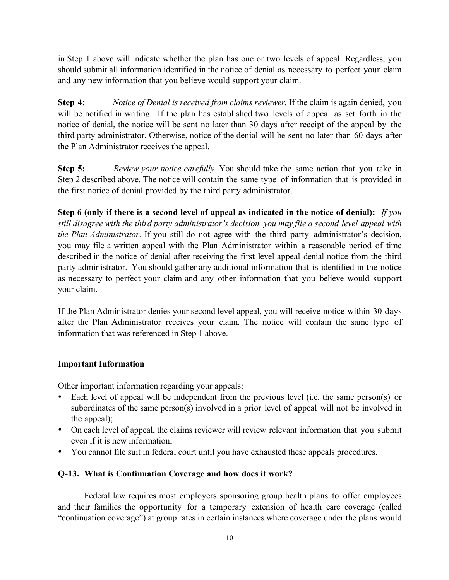in Step 1 above will indicate whether the plan has one or two levels of appeal. Regardless, you should submit all information identified in the notice of denial as necessary to perfect your claim and any new information that you believe would support your claim.

**Step 4:** *Notice of Denial is received from claims reviewer.* If the claim is again denied, you will be notified in writing. If the plan has established two levels of appeal as set forth in the notice of denial, the notice will be sent no later than 30 days after receipt of the appeal by the third party administrator. Otherwise, notice of the denial will be sent no later than 60 days after the Plan Administrator receives the appeal.

**Step 5:** *Review your notice carefully.* You should take the same action that you take in Step 2 described above. The notice will contain the same type of information that is provided in the first notice of denial provided by the third party administrator.

**Step 6 (only if there is a second level of appeal as indicated in the notice of denial):** *If you still disagree with the third party administrator's decision, you may file a second level appeal with the Plan Administrator.* If you still do not agree with the third party administrator's decision, you may file a written appeal with the Plan Administrator within a reasonable period of time described in the notice of denial after receiving the first level appeal denial notice from the third party administrator. You should gather any additional information that is identified in the notice as necessary to perfect your claim and any other information that you believe would support your claim.

If the Plan Administrator denies your second level appeal, you will receive notice within 30 days after the Plan Administrator receives your claim. The notice will contain the same type of information that was referenced in Step 1 above.

## **Important Information**

Other important information regarding your appeals:

Each level of appeal will be independent from the previous level (i.e. the same person(s) or subordinates of the same person(s) involved in a prior level of appeal will not be involved in the appeal);

On each level of appeal, the claims reviewer will review relevant information that you submit even if it is new information;

You cannot file suit in federal court until you have exhausted these appeals procedures.

# **Q-13. What is Continuation Coverage and how does it work?**

Federal law requires most employers sponsoring group health plans to offer employees and their families the opportunity for a temporary extension of health care coverage (called "continuation coverage") at group rates in certain instances where coverage under the plans would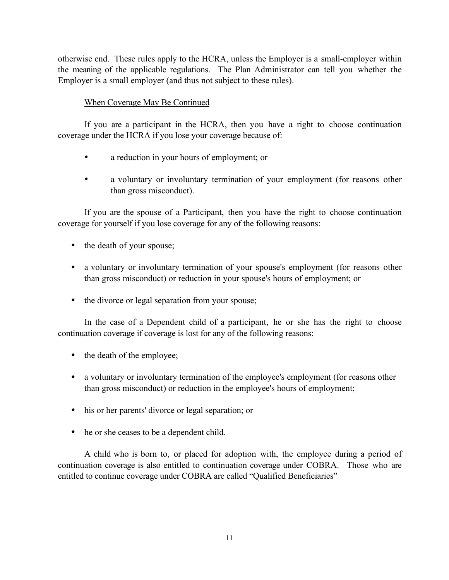otherwise end. These rules apply to the HCRA, unless the Employer is a small-employer within the meaning of the applicable regulations. The Plan Administrator can tell you whether the Employer is a small employer (and thus not subject to these rules).

#### When Coverage May Be Continued

If you are a participant in the HCRA, then you have a right to choose continuation coverage under the HCRA if you lose your coverage because of:

a reduction in your hours of employment; or

a voluntary or involuntary termination of your employment (for reasons other than gross misconduct).

If you are the spouse of a Participant, then you have the right to choose continuation coverage for yourself if you lose coverage for any of the following reasons:

the death of your spouse;

a voluntary or involuntary termination of your spouse's employment (for reasons other than gross misconduct) or reduction in your spouse's hours of employment; or

the divorce or legal separation from your spouse;

In the case of a Dependent child of a participant, he or she has the right to choose continuation coverage if coverage is lost for any of the following reasons:

the death of the employee;

• a voluntary or involuntary termination of the employee's employment (for reasons other than gross misconduct) or reduction in the employee's hours of employment;

his or her parents' divorce or legal separation; or

he or she ceases to be a dependent child.

A child who is born to, or placed for adoption with, the employee during a period of continuation coverage is also entitled to continuation coverage under COBRA. Those who are entitled to continue coverage under COBRA are called "Qualified Beneficiaries"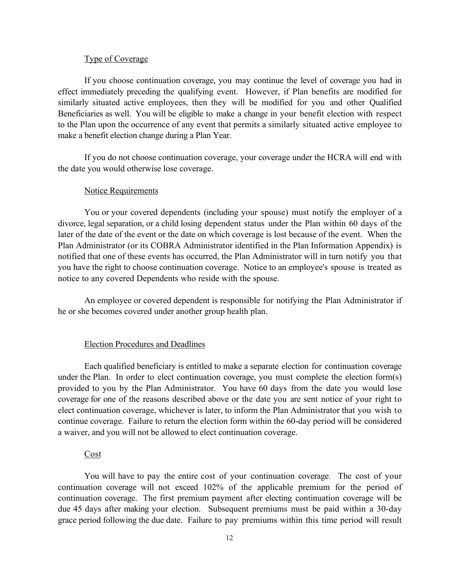#### Type of Coverage

If you choose continuation coverage, you may continue the level of coverage you had in effect immediately preceding the qualifying event. However, if Plan benefits are modified for similarly situated active employees, then they will be modified for you and other Qualified Beneficiaries as well. You will be eligible to make a change in your benefit election with respect to the Plan upon the occurrence of any event that permits a similarly situated active employee to make a benefit election change during a Plan Year.

If you do not choose continuation coverage, your coverage under the HCRA will end with the date you would otherwise lose coverage.

#### Notice Requirements

You or your covered dependents (including your spouse) must notify the employer of a divorce, legal separation, or a child losing dependent status under the Plan within 60 days of the later of the date of the event or the date on which coverage is lost because of the event. When the Plan Administrator (or its COBRA Administrator identified in the Plan Information Appendix) is notified that one of these events has occurred, the Plan Administrator will in turn notify you that you have the right to choose continuation coverage. Notice to an employee's spouse is treated as notice to any covered Dependents who reside with the spouse.

An employee or covered dependent is responsible for notifying the Plan Administrator if he or she becomes covered under another group health plan.

#### Election Procedures and Deadlines

Each qualified beneficiary is entitled to make a separate election for continuation coverage under the Plan. In order to elect continuation coverage, you must complete the election form(s) provided to you by the Plan Administrator. You have 60 days from the date you would lose coverage for one of the reasons described above or the date you are sent notice of your right to elect continuation coverage, whichever is later, to inform the Plan Administrator that you wish to continue coverage. Failure to return the election form within the 60-day period will be considered a waiver, and you will not be allowed to elect continuation coverage.

#### Cost

You will have to pay the entire cost of your continuation coverage. The cost of your continuation coverage will not exceed 102% of the applicable premium for the period of continuation coverage. The first premium payment after electing continuation coverage will be due 45 days after making your election. Subsequent premiums must be paid within a 30-day grace period following the due date. Failure to pay premiums within this time period will result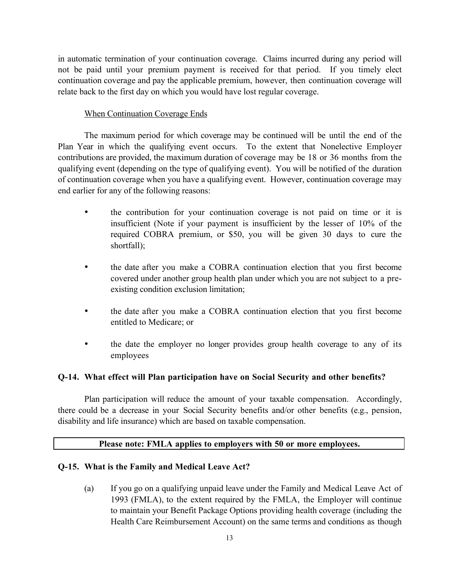in automatic termination of your continuation coverage. Claims incurred during any period will not be paid until your premium payment is received for that period. If you timely elect continuation coverage and pay the applicable premium, however, then continuation coverage will relate back to the first day on which you would have lost regular coverage.

## When Continuation Coverage Ends

The maximum period for which coverage may be continued will be until the end of the Plan Year in which the qualifying event occurs. To the extent that Nonelective Employer contributions are provided, the maximum duration of coverage may be 18 or 36 months from the qualifying event (depending on the type of qualifying event). You will be notified of the duration of continuation coverage when you have a qualifying event. However, continuation coverage may end earlier for any of the following reasons:

> the contribution for your continuation coverage is not paid on time or it is insufficient (Note if your payment is insufficient by the lesser of 10% of the required COBRA premium, or \$50, you will be given 30 days to cure the shortfall);

> the date after you make a COBRA continuation election that you first become covered under another group health plan under which you are not subject to a preexisting condition exclusion limitation;

> the date after you make a COBRA continuation election that you first become entitled to Medicare; or

> the date the employer no longer provides group health coverage to any of its employees

### **Q-14. What effect will Plan participation have on Social Security and other benefits?**

Plan participation will reduce the amount of your taxable compensation. Accordingly, there could be a decrease in your Social Security benefits and/or other benefits (e.g., pension, disability and life insurance) which are based on taxable compensation.

## **Please note: FMLA applies to employers with 50 or more employees.**

## **Q-15. What is the Family and Medical Leave Act?**

(a) If you go on a qualifying unpaid leave under the Family and Medical Leave Act of 1993 (FMLA), to the extent required by the FMLA, the Employer will continue to maintain your Benefit Package Options providing health coverage (including the Health Care Reimbursement Account) on the same terms and conditions as though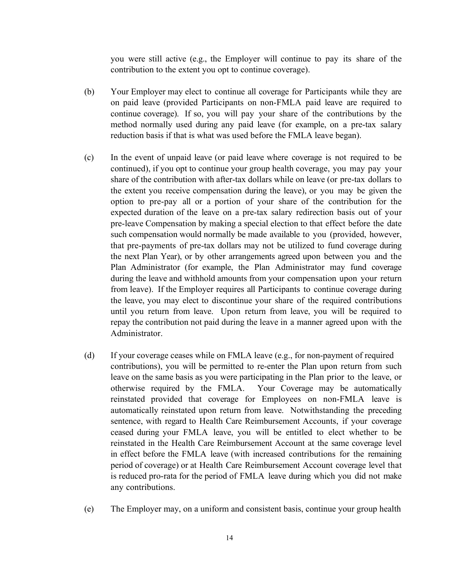you were still active (e.g., the Employer will continue to pay its share of the contribution to the extent you opt to continue coverage).

- (b) Your Employer may elect to continue all coverage for Participants while they are on paid leave (provided Participants on non-FMLA paid leave are required to continue coverage). If so, you will pay your share of the contributions by the method normally used during any paid leave (for example, on a pre-tax salary reduction basis if that is what was used before the FMLA leave began).
- (c) In the event of unpaid leave (or paid leave where coverage is not required to be continued), if you opt to continue your group health coverage, you may pay your share of the contribution with after-tax dollars while on leave (or pre-tax dollars to the extent you receive compensation during the leave), or you may be given the option to pre-pay all or a portion of your share of the contribution for the expected duration of the leave on a pre-tax salary redirection basis out of your pre-leave Compensation by making a special election to that effect before the date such compensation would normally be made available to you (provided, however, that pre-payments of pre-tax dollars may not be utilized to fund coverage during the next Plan Year), or by other arrangements agreed upon between you and the Plan Administrator (for example, the Plan Administrator may fund coverage during the leave and withhold amounts from your compensation upon your return from leave). If the Employer requires all Participants to continue coverage during the leave, you may elect to discontinue your share of the required contributions until you return from leave. Upon return from leave, you will be required to repay the contribution not paid during the leave in a manner agreed upon with the Administrator.
- (d) If your coverage ceases while on FMLA leave (e.g., for non-payment of required contributions), you will be permitted to re-enter the Plan upon return from such leave on the same basis as you were participating in the Plan prior to the leave, or otherwise required by the FMLA. Your Coverage may be automatically reinstated provided that coverage for Employees on non-FMLA leave is automatically reinstated upon return from leave. Notwithstanding the preceding sentence, with regard to Health Care Reimbursement Accounts, if your coverage ceased during your FMLA leave, you will be entitled to elect whether to be reinstated in the Health Care Reimbursement Account at the same coverage level in effect before the FMLA leave (with increased contributions for the remaining period of coverage) or at Health Care Reimbursement Account coverage level that is reduced pro-rata for the period of FMLA leave during which you did not make any contributions.
- (e) The Employer may, on a uniform and consistent basis, continue your group health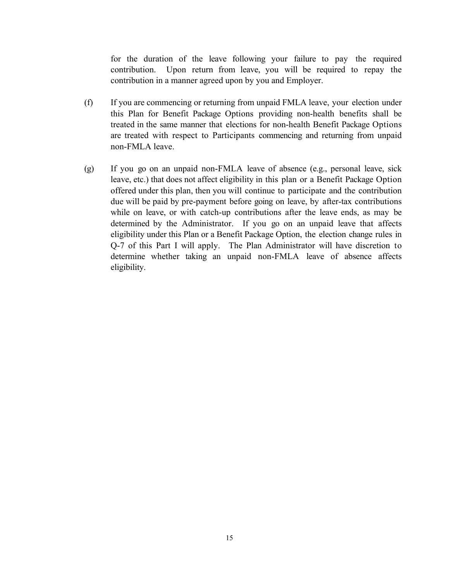for the duration of the leave following your failure to pay the required contribution. Upon return from leave, you will be required to repay the contribution in a manner agreed upon by you and Employer.

- (f) If you are commencing or returning from unpaid FMLA leave, your election under this Plan for Benefit Package Options providing non-health benefits shall be treated in the same manner that elections for non-health Benefit Package Options are treated with respect to Participants commencing and returning from unpaid non-FMLA leave.
- (g) If you go on an unpaid non-FMLA leave of absence (e.g., personal leave, sick leave, etc.) that does not affect eligibility in this plan or a Benefit Package Option offered under this plan, then you will continue to participate and the contribution due will be paid by pre-payment before going on leave, by after-tax contributions while on leave, or with catch-up contributions after the leave ends, as may be determined by the Administrator. If you go on an unpaid leave that affects eligibility under this Plan or a Benefit Package Option, the election change rules in Q-7 of this Part I will apply. The Plan Administrator will have discretion to determine whether taking an unpaid non-FMLA leave of absence affects eligibility.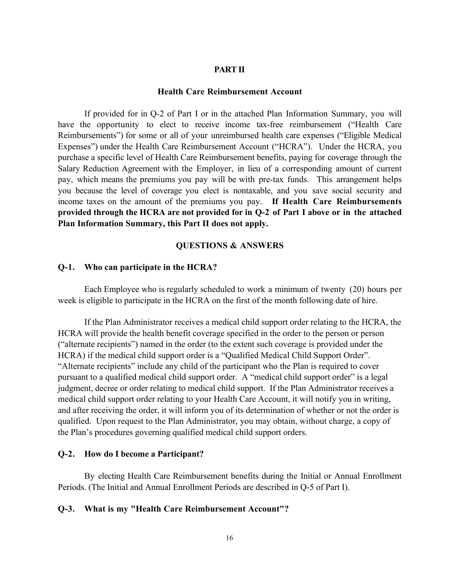### **PART II**

#### **Health Care Reimbursement Account**

If provided for in Q-2 of Part I or in the attached Plan Information Summary, you will have the opportunity to elect to receive income tax-free reimbursement ("Health Care Reimbursements") for some or all of your unreimbursed health care expenses ("Eligible Medical Expenses") under the Health Care Reimbursement Account ("HCRA"). Under the HCRA, you purchase a specific level of Health Care Reimbursement benefits, paying for coverage through the Salary Reduction Agreement with the Employer, in lieu of a corresponding amount of current pay, which means the premiums you pay will be with pre-tax funds. This arrangement helps you because the level of coverage you elect is nontaxable, and you save social security and income taxes on the amount of the premiums you pay. **If Health Care Reimbursements provided through the HCRA are not provided for in Q-2 of Part I above or in the attached Plan Information Summary, this Part II does not apply.**

#### **QUESTIONS & ANSWERS**

#### **Q-1. Who can participate in the HCRA?**

Each Employee who is regularly scheduled to work a minimum of twenty (20) hours per week is eligible to participate in the HCRA on the first of the month following date of hire.

If the Plan Administrator receives a medical child support order relating to the HCRA, the HCRA will provide the health benefit coverage specified in the order to the person or person ("alternate recipients") named in the order (to the extent such coverage is provided under the HCRA) if the medical child support order is a "Qualified Medical Child Support Order". "Alternate recipients" include any child of the participant who the Plan is required to cover pursuant to a qualified medical child support order. A "medical child support order" is a legal judgment, decree or order relating to medical child support. If the Plan Administrator receives a medical child support order relating to your Health Care Account, it will notify you in writing, and after receiving the order, it will inform you of its determination of whether or not the order is qualified. Upon request to the Plan Administrator, you may obtain, without charge, a copy of the Plan's procedures governing qualified medical child support orders.

#### **Q-2. How do I become a Participant?**

By electing Health Care Reimbursement benefits during the Initial or Annual Enrollment Periods. (The Initial and Annual Enrollment Periods are described in Q-5 of Part I).

#### **Q-3. What is my "Health Care Reimbursement Account"?**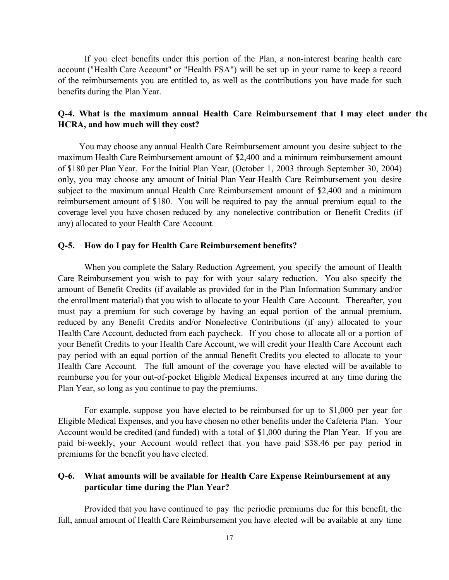If you elect benefits under this portion of the Plan, a non-interest bearing health care account ("Health Care Account" or "Health FSA") will be set up in your name to keep a record of the reimbursements you are entitled to, as well as the contributions you have made for such benefits during the Plan Year.

# **Q-4. What is the maximum annual Health Care Reimbursement that I may elect under the HCRA, and how much will they cost?**

You may choose any annual Health Care Reimbursement amount you desire subject to the maximum Health Care Reimbursement amount of \$2,400 and a minimum reimbursement amount of \$180 per Plan Year. For the Initial Plan Year, (October 1, 2003 through September 30, 2004) only, you may choose any amount of Initial Plan Year Health Care Reimbursement you desire subject to the maximum annual Health Care Reimbursement amount of \$2,400 and a minimum reimbursement amount of \$180. You will be required to pay the annual premium equal to the coverage level you have chosen reduced by any nonelective contribution or Benefit Credits (if any) allocated to your Health Care Account.

## **Q-5. How do I pay for Health Care Reimbursement benefits?**

When you complete the Salary Reduction Agreement, you specify the amount of Health Care Reimbursement you wish to pay for with your salary reduction. You also specify the amount of Benefit Credits (if available as provided for in the Plan Information Summary and/or the enrollment material) that you wish to allocate to your Health Care Account. Thereafter, you must pay a premium for such coverage by having an equal portion of the annual premium, reduced by any Benefit Credits and/or Nonelective Contributions (if any) allocated to your Health Care Account, deducted from each paycheck. If you chose to allocate all or a portion of your Benefit Credits to your Health Care Account, we will credit your Health Care Account each pay period with an equal portion of the annual Benefit Credits you elected to allocate to your Health Care Account. The full amount of the coverage you have elected will be available to reimburse you for your out-of-pocket Eligible Medical Expenses incurred at any time during the Plan Year, so long as you continue to pay the premiums.

For example, suppose you have elected to be reimbursed for up to \$1,000 per year for Eligible Medical Expenses, and you have chosen no other benefits under the Cafeteria Plan. Your Account would be credited (and funded) with a total of \$1,000 during the Plan Year. If you are paid bi-weekly, your Account would reflect that you have paid \$38.46 per pay period in premiums for the benefit you have elected.

# **Q-6. What amounts will be available for Health Care Expense Reimbursement at any particular time during the Plan Year?**

Provided that you have continued to pay the periodic premiums due for this benefit, the full, annual amount of Health Care Reimbursement you have elected will be available at any time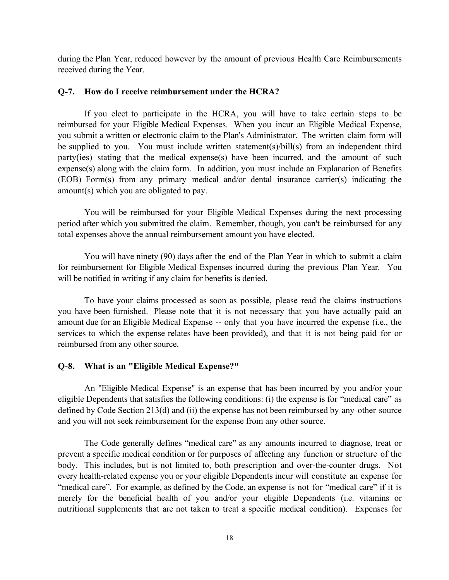during the Plan Year, reduced however by the amount of previous Health Care Reimbursements received during the Year.

#### **Q-7. How do I receive reimbursement under the HCRA?**

If you elect to participate in the HCRA, you will have to take certain steps to be reimbursed for your Eligible Medical Expenses. When you incur an Eligible Medical Expense, you submit a written or electronic claim to the Plan's Administrator. The written claim form will be supplied to you. You must include written statement(s)/bill(s) from an independent third party(ies) stating that the medical expense(s) have been incurred, and the amount of such expense(s) along with the claim form. In addition, you must include an Explanation of Benefits (EOB) Form(s) from any primary medical and/or dental insurance carrier(s) indicating the amount(s) which you are obligated to pay.

You will be reimbursed for your Eligible Medical Expenses during the next processing period after which you submitted the claim. Remember, though, you can't be reimbursed for any total expenses above the annual reimbursement amount you have elected.

You will have ninety (90) days after the end of the Plan Year in which to submit a claim for reimbursement for Eligible Medical Expenses incurred during the previous Plan Year. You will be notified in writing if any claim for benefits is denied.

To have your claims processed as soon as possible, please read the claims instructions you have been furnished. Please note that it is not necessary that you have actually paid an amount due for an Eligible Medical Expense -- only that you have incurred the expense (i.e., the services to which the expense relates have been provided), and that it is not being paid for or reimbursed from any other source.

### **Q-8. What is an "Eligible Medical Expense?"**

An "Eligible Medical Expense" is an expense that has been incurred by you and/or your eligible Dependents that satisfies the following conditions: (i) the expense is for "medical care" as defined by Code Section 213(d) and (ii) the expense has not been reimbursed by any other source and you will not seek reimbursement for the expense from any other source.

The Code generally defines "medical care" as any amounts incurred to diagnose, treat or prevent a specific medical condition or for purposes of affecting any function or structure of the body. This includes, but is not limited to, both prescription and over-the-counter drugs. Not every health-related expense you or your eligible Dependents incur will constitute an expense for "medical care". For example, as defined by the Code, an expense is not for "medical care" if it is merely for the beneficial health of you and/or your eligible Dependents (i.e. vitamins or nutritional supplements that are not taken to treat a specific medical condition). Expenses for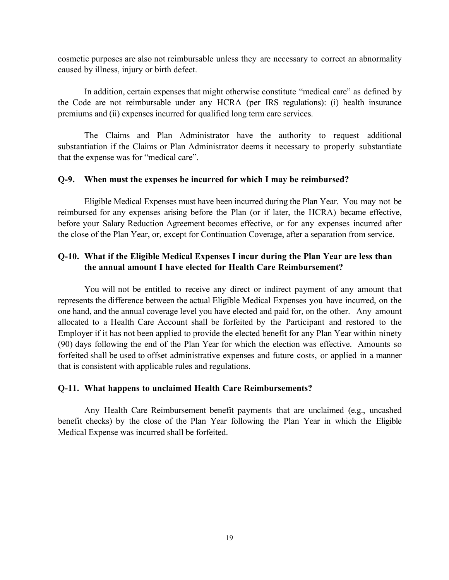cosmetic purposes are also not reimbursable unless they are necessary to correct an abnormality caused by illness, injury or birth defect.

In addition, certain expenses that might otherwise constitute "medical care" as defined by the Code are not reimbursable under any HCRA (per IRS regulations): (i) health insurance premiums and (ii) expenses incurred for qualified long term care services.

The Claims and Plan Administrator have the authority to request additional substantiation if the Claims or Plan Administrator deems it necessary to properly substantiate that the expense was for "medical care".

#### **Q-9. When must the expenses be incurred for which I may be reimbursed?**

Eligible Medical Expenses must have been incurred during the Plan Year. You may not be reimbursed for any expenses arising before the Plan (or if later, the HCRA) became effective, before your Salary Reduction Agreement becomes effective, or for any expenses incurred after the close of the Plan Year, or, except for Continuation Coverage, after a separation from service.

## **Q-10. What if the Eligible Medical Expenses I incur during the Plan Year are less than the annual amount I have elected for Health Care Reimbursement?**

You will not be entitled to receive any direct or indirect payment of any amount that represents the difference between the actual Eligible Medical Expenses you have incurred, on the one hand, and the annual coverage level you have elected and paid for, on the other. Any amount allocated to a Health Care Account shall be forfeited by the Participant and restored to the Employer if it has not been applied to provide the elected benefit for any Plan Year within ninety (90) days following the end of the Plan Year for which the election was effective. Amounts so forfeited shall be used to offset administrative expenses and future costs, or applied in a manner that is consistent with applicable rules and regulations.

#### **Q-11. What happens to unclaimed Health Care Reimbursements?**

Any Health Care Reimbursement benefit payments that are unclaimed (e.g., uncashed benefit checks) by the close of the Plan Year following the Plan Year in which the Eligible Medical Expense was incurred shall be forfeited.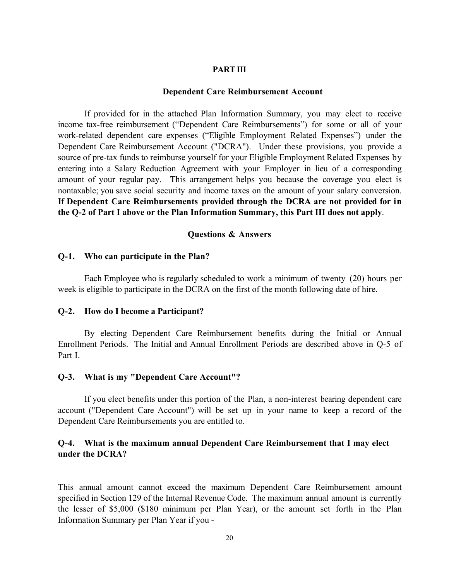#### **PART III**

#### **Dependent Care Reimbursement Account**

If provided for in the attached Plan Information Summary, you may elect to receive income tax-free reimbursement ("Dependent Care Reimbursements") for some or all of your work-related dependent care expenses ("Eligible Employment Related Expenses") under the Dependent Care Reimbursement Account ("DCRA"). Under these provisions, you provide a source of pre-tax funds to reimburse yourself for your Eligible Employment Related Expenses by entering into a Salary Reduction Agreement with your Employer in lieu of a corresponding amount of your regular pay. This arrangement helps you because the coverage you elect is nontaxable; you save social security and income taxes on the amount of your salary conversion. **If Dependent Care Reimbursements provided through the DCRA are not provided for in the Q-2 of Part I above or the Plan Information Summary, this Part III does not apply**.

#### **Questions & Answers**

#### **Q-1. Who can participate in the Plan?**

Each Employee who is regularly scheduled to work a minimum of twenty (20) hours per week is eligible to participate in the DCRA on the first of the month following date of hire.

#### **Q-2. How do I become a Participant?**

By electing Dependent Care Reimbursement benefits during the Initial or Annual Enrollment Periods. The Initial and Annual Enrollment Periods are described above in Q-5 of Part I.

#### **Q-3. What is my "Dependent Care Account"?**

If you elect benefits under this portion of the Plan, a non-interest bearing dependent care account ("Dependent Care Account") will be set up in your name to keep a record of the Dependent Care Reimbursements you are entitled to.

# **Q-4. What is the maximum annual Dependent Care Reimbursement that I may elect under the DCRA?**

This annual amount cannot exceed the maximum Dependent Care Reimbursement amount specified in Section 129 of the Internal Revenue Code. The maximum annual amount is currently the lesser of \$5,000 (\$180 minimum per Plan Year), or the amount set forth in the Plan Information Summary per Plan Year if you -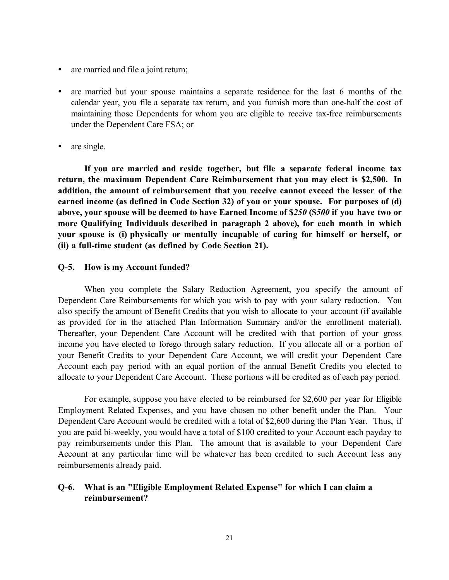- are married and file a joint return;
- are married but your spouse maintains a separate residence for the last 6 months of the calendar year, you file a separate tax return, and you furnish more than one-half the cost of maintaining those Dependents for whom you are eligible to receive tax-free reimbursements under the Dependent Care FSA; or
- are single.

**If you are married and reside together, but file a separate federal income tax return, the maximum Dependent Care Reimbursement that you may elect is \$2,500. In addition, the amount of reimbursement that you receive cannot exceed the lesser of the earned income (as defined in Code Section 32) of you or your spouse. For purposes of (d) above, your spouse will be deemed to have Earned Income of \$***250* **(\$***500* **if you have two or more Qualifying Individuals described in paragraph 2 above), for each month in which your spouse is (i) physically or mentally incapable of caring for himself or herself, or (ii) a full-time student (as defined by Code Section 21).**

#### **Q-5. How is my Account funded?**

When you complete the Salary Reduction Agreement, you specify the amount of Dependent Care Reimbursements for which you wish to pay with your salary reduction. You also specify the amount of Benefit Credits that you wish to allocate to your account (if available as provided for in the attached Plan Information Summary and/or the enrollment material). Thereafter, your Dependent Care Account will be credited with that portion of your gross income you have elected to forego through salary reduction. If you allocate all or a portion of your Benefit Credits to your Dependent Care Account, we will credit your Dependent Care Account each pay period with an equal portion of the annual Benefit Credits you elected to allocate to your Dependent Care Account. These portions will be credited as of each pay period.

For example, suppose you have elected to be reimbursed for \$2,600 per year for Eligible Employment Related Expenses, and you have chosen no other benefit under the Plan. Your Dependent Care Account would be credited with a total of \$2,600 during the Plan Year. Thus, if you are paid bi-weekly, you would have a total of \$100 credited to your Account each payday to pay reimbursements under this Plan. The amount that is available to your Dependent Care Account at any particular time will be whatever has been credited to such Account less any reimbursements already paid.

## **Q-6. What is an "Eligible Employment Related Expense" for which I can claim a reimbursement?**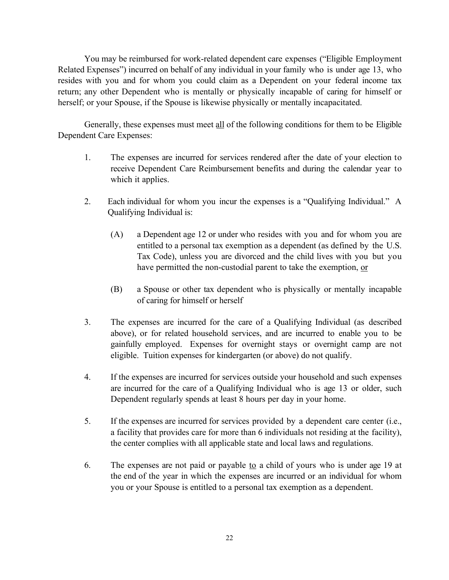You may be reimbursed for work-related dependent care expenses ("Eligible Employment Related Expenses") incurred on behalf of any individual in your family who is under age 13, who resides with you and for whom you could claim as a Dependent on your federal income tax return; any other Dependent who is mentally or physically incapable of caring for himself or herself; or your Spouse, if the Spouse is likewise physically or mentally incapacitated.

Generally, these expenses must meet all of the following conditions for them to be Eligible Dependent Care Expenses:

- 1. The expenses are incurred for services rendered after the date of your election to receive Dependent Care Reimbursement benefits and during the calendar year to which it applies.
- 2. Each individual for whom you incur the expenses is a "Qualifying Individual." A Qualifying Individual is:
	- (A) a Dependent age 12 or under who resides with you and for whom you are entitled to a personal tax exemption as a dependent (as defined by the U.S. Tax Code), unless you are divorced and the child lives with you but you have permitted the non-custodial parent to take the exemption, or
	- (B) a Spouse or other tax dependent who is physically or mentally incapable of caring for himself or herself
- 3. The expenses are incurred for the care of a Qualifying Individual (as described above), or for related household services, and are incurred to enable you to be gainfully employed. Expenses for overnight stays or overnight camp are not eligible. Tuition expenses for kindergarten (or above) do not qualify.
- 4. If the expenses are incurred for services outside your household and such expenses are incurred for the care of a Qualifying Individual who is age 13 or older, such Dependent regularly spends at least 8 hours per day in your home.
- 5. If the expenses are incurred for services provided by a dependent care center (i.e., a facility that provides care for more than 6 individuals not residing at the facility), the center complies with all applicable state and local laws and regulations.
- 6. The expenses are not paid or payable to a child of yours who is under age 19 at the end of the year in which the expenses are incurred or an individual for whom you or your Spouse is entitled to a personal tax exemption as a dependent.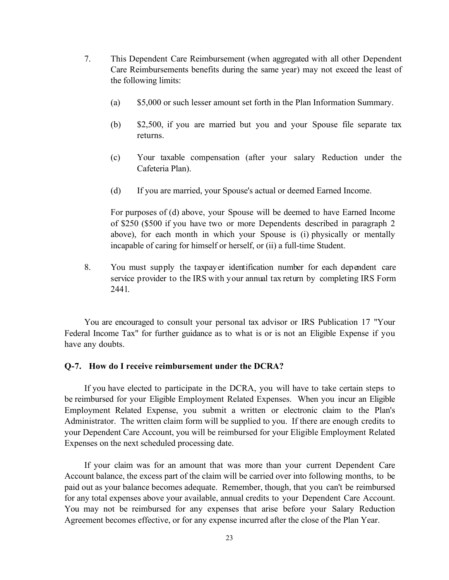- 7. This Dependent Care Reimbursement (when aggregated with all other Dependent Care Reimbursements benefits during the same year) may not exceed the least of the following limits:
	- (a) \$5,000 or such lesser amount set forth in the Plan Information Summary.
	- (b) \$2,500, if you are married but you and your Spouse file separate tax returns.
	- (c) Your taxable compensation (after your salary Reduction under the Cafeteria Plan).
	- (d) If you are married, your Spouse's actual or deemed Earned Income.

For purposes of (d) above, your Spouse will be deemed to have Earned Income of \$250 (\$500 if you have two or more Dependents described in paragraph 2 above), for each month in which your Spouse is (i) physically or mentally incapable of caring for himself or herself, or (ii) a full-time Student.

8. You must supply the taxpayer identification number for each dependent care service provider to the IRS with your annual tax return by completing IRS Form 2441.

You are encouraged to consult your personal tax advisor or IRS Publication 17 "Your Federal Income Tax" for further guidance as to what is or is not an Eligible Expense if you have any doubts.

### **Q-7. How do I receive reimbursement under the DCRA?**

If you have elected to participate in the DCRA, you will have to take certain steps to be reimbursed for your Eligible Employment Related Expenses. When you incur an Eligible Employment Related Expense, you submit a written or electronic claim to the Plan's Administrator. The written claim form will be supplied to you. If there are enough credits to your Dependent Care Account, you will be reimbursed for your Eligible Employment Related Expenses on the next scheduled processing date.

If your claim was for an amount that was more than your current Dependent Care Account balance, the excess part of the claim will be carried over into following months, to be paid out as your balance becomes adequate. Remember, though, that you can't be reimbursed for any total expenses above your available, annual credits to your Dependent Care Account. You may not be reimbursed for any expenses that arise before your Salary Reduction Agreement becomes effective, or for any expense incurred after the close of the Plan Year.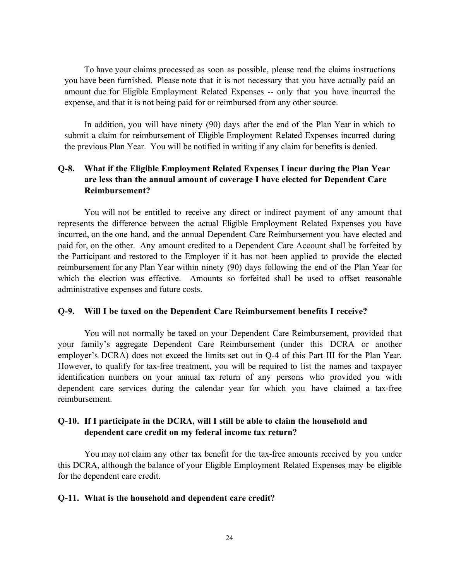To have your claims processed as soon as possible, please read the claims instructions you have been furnished. Please note that it is not necessary that you have actually paid an amount due for Eligible Employment Related Expenses -- only that you have incurred the expense, and that it is not being paid for or reimbursed from any other source.

In addition, you will have ninety (90) days after the end of the Plan Year in which to submit a claim for reimbursement of Eligible Employment Related Expenses incurred during the previous Plan Year. You will be notified in writing if any claim for benefits is denied.

# **Q-8. What if the Eligible Employment Related Expenses I incur during the Plan Year are less than the annual amount of coverage I have elected for Dependent Care Reimbursement?**

You will not be entitled to receive any direct or indirect payment of any amount that represents the difference between the actual Eligible Employment Related Expenses you have incurred, on the one hand, and the annual Dependent Care Reimbursement you have elected and paid for, on the other. Any amount credited to a Dependent Care Account shall be forfeited by the Participant and restored to the Employer if it has not been applied to provide the elected reimbursement for any Plan Year within ninety (90) days following the end of the Plan Year for which the election was effective. Amounts so forfeited shall be used to offset reasonable administrative expenses and future costs.

### **Q-9. Will I be taxed on the Dependent Care Reimbursement benefits I receive?**

You will not normally be taxed on your Dependent Care Reimbursement, provided that your family's aggregate Dependent Care Reimbursement (under this DCRA or another employer's DCRA) does not exceed the limits set out in Q-4 of this Part III for the Plan Year. However, to qualify for tax-free treatment, you will be required to list the names and taxpayer identification numbers on your annual tax return of any persons who provided you with dependent care services during the calendar year for which you have claimed a tax-free reimbursement.

## **Q-10. If I participate in the DCRA, will I still be able to claim the household and dependent care credit on my federal income tax return?**

You may not claim any other tax benefit for the tax-free amounts received by you under this DCRA, although the balance of your Eligible Employment Related Expenses may be eligible for the dependent care credit.

### **Q-11. What is the household and dependent care credit?**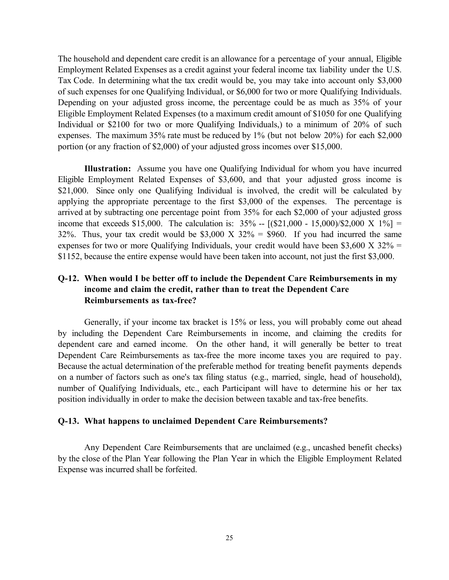The household and dependent care credit is an allowance for a percentage of your annual, Eligible Employment Related Expenses as a credit against your federal income tax liability under the U.S. Tax Code. In determining what the tax credit would be, you may take into account only \$3,000 of such expenses for one Qualifying Individual, or \$6,000 for two or more Qualifying Individuals. Depending on your adjusted gross income, the percentage could be as much as 35% of your Eligible Employment Related Expenses (to a maximum credit amount of \$1050 for one Qualifying Individual or \$2100 for two or more Qualifying Individuals,) to a minimum of 20% of such expenses. The maximum 35% rate must be reduced by 1% (but not below 20%) for each \$2,000 portion (or any fraction of \$2,000) of your adjusted gross incomes over \$15,000.

**Illustration:** Assume you have one Qualifying Individual for whom you have incurred Eligible Employment Related Expenses of \$3,600, and that your adjusted gross income is \$21,000. Since only one Qualifying Individual is involved, the credit will be calculated by applying the appropriate percentage to the first \$3,000 of the expenses. The percentage is arrived at by subtracting one percentage point from 35% for each \$2,000 of your adjusted gross income that exceeds \$15,000. The calculation is:  $35\% - [(\$21,000 - 15,000) \times 2,000 \times 1\%] =$ 32%. Thus, your tax credit would be \$3,000 X  $32\% = $960$ . If you had incurred the same expenses for two or more Qualifying Individuals, your credit would have been \$3,600 X 32% = \$1152, because the entire expense would have been taken into account, not just the first \$3,000.

# **Q-12. When would I be better off to include the Dependent Care Reimbursements in my income and claim the credit, rather than to treat the Dependent Care Reimbursements as tax-free?**

Generally, if your income tax bracket is 15% or less, you will probably come out ahead by including the Dependent Care Reimbursements in income, and claiming the credits for dependent care and earned income. On the other hand, it will generally be better to treat Dependent Care Reimbursements as tax-free the more income taxes you are required to pay. Because the actual determination of the preferable method for treating benefit payments depends on a number of factors such as one's tax filing status (e.g., married, single, head of household), number of Qualifying Individuals, etc., each Participant will have to determine his or her tax position individually in order to make the decision between taxable and tax-free benefits.

### **Q-13. What happens to unclaimed Dependent Care Reimbursements?**

Any Dependent Care Reimbursements that are unclaimed (e.g., uncashed benefit checks) by the close of the Plan Year following the Plan Year in which the Eligible Employment Related Expense was incurred shall be forfeited.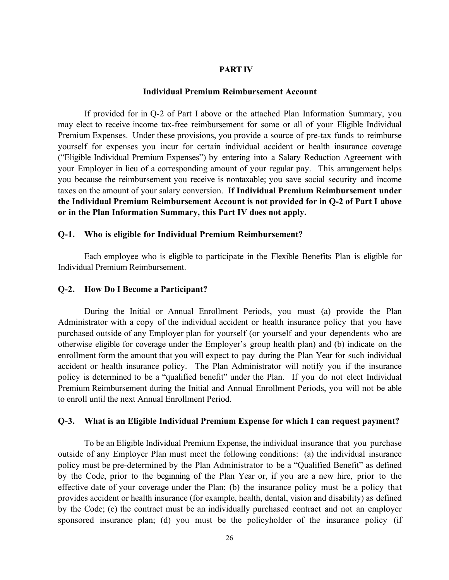#### **PART IV**

#### **Individual Premium Reimbursement Account**

If provided for in Q-2 of Part I above or the attached Plan Information Summary, you may elect to receive income tax-free reimbursement for some or all of your Eligible Individual Premium Expenses. Under these provisions, you provide a source of pre-tax funds to reimburse yourself for expenses you incur for certain individual accident or health insurance coverage ("Eligible Individual Premium Expenses") by entering into a Salary Reduction Agreement with your Employer in lieu of a corresponding amount of your regular pay. This arrangement helps you because the reimbursement you receive is nontaxable; you save social security and income taxes on the amount of your salary conversion. **If Individual Premium Reimbursement under the Individual Premium Reimbursement Account is not provided for in Q-2 of Part I above or in the Plan Information Summary, this Part IV does not apply.**

#### **Q-1. Who is eligible for Individual Premium Reimbursement?**

Each employee who is eligible to participate in the Flexible Benefits Plan is eligible for Individual Premium Reimbursement.

#### **Q-2. How Do I Become a Participant?**

During the Initial or Annual Enrollment Periods, you must (a) provide the Plan Administrator with a copy of the individual accident or health insurance policy that you have purchased outside of any Employer plan for yourself (or yourself and your dependents who are otherwise eligible for coverage under the Employer's group health plan) and (b) indicate on the enrollment form the amount that you will expect to pay during the Plan Year for such individual accident or health insurance policy. The Plan Administrator will notify you if the insurance policy is determined to be a "qualified benefit" under the Plan. If you do not elect Individual Premium Reimbursement during the Initial and Annual Enrollment Periods, you will not be able to enroll until the next Annual Enrollment Period.

## **Q-3. What is an Eligible Individual Premium Expense for which I can request payment?**

To be an Eligible Individual Premium Expense, the individual insurance that you purchase outside of any Employer Plan must meet the following conditions: (a) the individual insurance policy must be pre-determined by the Plan Administrator to be a "Qualified Benefit" as defined by the Code, prior to the beginning of the Plan Year or, if you are a new hire, prior to the effective date of your coverage under the Plan; (b) the insurance policy must be a policy that provides accident or health insurance (for example, health, dental, vision and disability) as defined by the Code; (c) the contract must be an individually purchased contract and not an employer sponsored insurance plan; (d) you must be the policyholder of the insurance policy (if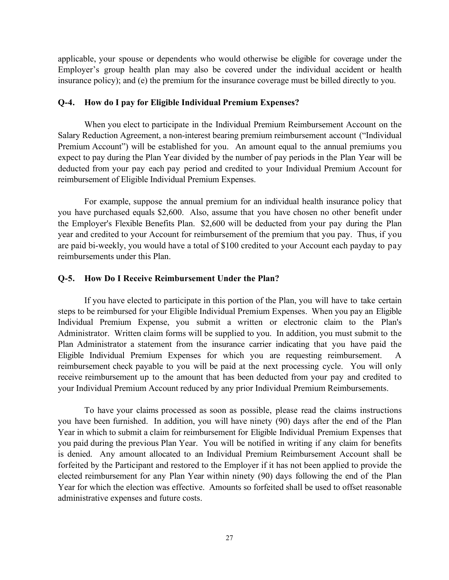applicable, your spouse or dependents who would otherwise be eligible for coverage under the Employer's group health plan may also be covered under the individual accident or health insurance policy); and (e) the premium for the insurance coverage must be billed directly to you.

## **Q-4. How do I pay for Eligible Individual Premium Expenses?**

When you elect to participate in the Individual Premium Reimbursement Account on the Salary Reduction Agreement, a non-interest bearing premium reimbursement account ("Individual Premium Account") will be established for you. An amount equal to the annual premiums you expect to pay during the Plan Year divided by the number of pay periods in the Plan Year will be deducted from your pay each pay period and credited to your Individual Premium Account for reimbursement of Eligible Individual Premium Expenses.

For example, suppose the annual premium for an individual health insurance policy that you have purchased equals \$2,600. Also, assume that you have chosen no other benefit under the Employer's Flexible Benefits Plan. \$2,600 will be deducted from your pay during the Plan year and credited to your Account for reimbursement of the premium that you pay. Thus, if you are paid bi-weekly, you would have a total of \$100 credited to your Account each payday to pay reimbursements under this Plan.

#### **Q-5. How Do I Receive Reimbursement Under the Plan?**

If you have elected to participate in this portion of the Plan, you will have to take certain steps to be reimbursed for your Eligible Individual Premium Expenses. When you pay an Eligible Individual Premium Expense, you submit a written or electronic claim to the Plan's Administrator. Written claim forms will be supplied to you. In addition, you must submit to the Plan Administrator a statement from the insurance carrier indicating that you have paid the Eligible Individual Premium Expenses for which you are requesting reimbursement. A reimbursement check payable to you will be paid at the next processing cycle. You will only receive reimbursement up to the amount that has been deducted from your pay and credited to your Individual Premium Account reduced by any prior Individual Premium Reimbursements.

To have your claims processed as soon as possible, please read the claims instructions you have been furnished. In addition, you will have ninety (90) days after the end of the Plan Year in which to submit a claim for reimbursement for Eligible Individual Premium Expenses that you paid during the previous Plan Year. You will be notified in writing if any claim for benefits is denied. Any amount allocated to an Individual Premium Reimbursement Account shall be forfeited by the Participant and restored to the Employer if it has not been applied to provide the elected reimbursement for any Plan Year within ninety (90) days following the end of the Plan Year for which the election was effective. Amounts so forfeited shall be used to offset reasonable administrative expenses and future costs.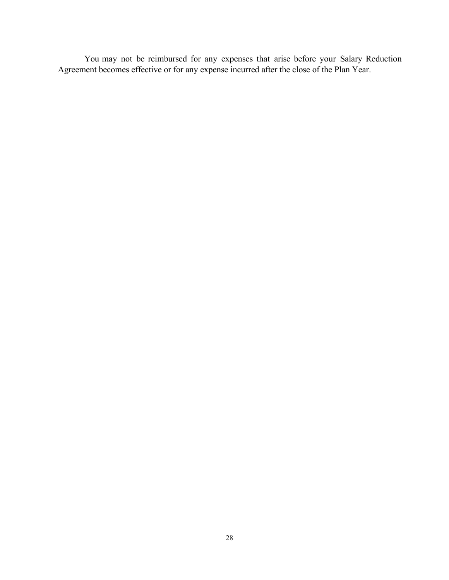You may not be reimbursed for any expenses that arise before your Salary Reduction Agreement becomes effective or for any expense incurred after the close of the Plan Year.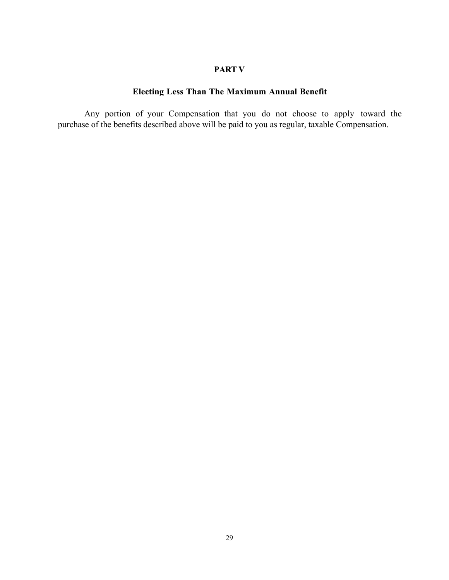## **PART V**

# **Electing Less Than The Maximum Annual Benefit**

Any portion of your Compensation that you do not choose to apply toward the purchase of the benefits described above will be paid to you as regular, taxable Compensation.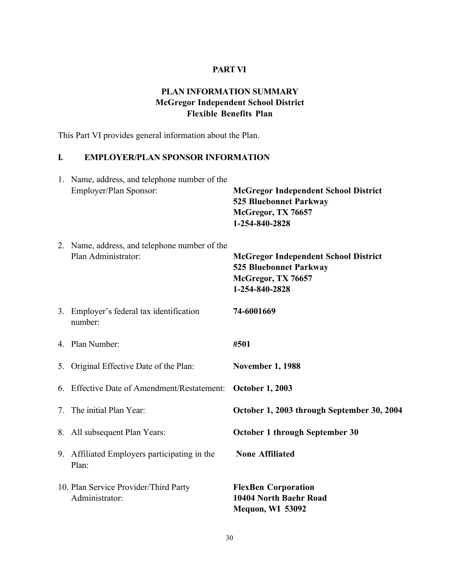# **PART VI**

# **PLAN INFORMATION SUMMARY McGregor Independent School District Flexible Benefits Plan**

This Part VI provides general information about the Plan.

# **I. EMPLOYER/PLAN SPONSOR INFORMATION**

| 1. Name, address, and telephone number of the<br>Employer/Plan Sponsor: | <b>McGregor Independent School District</b><br><b>525 Bluebonnet Parkway</b><br>McGregor, TX 76657<br>1-254-840-2828 |
|-------------------------------------------------------------------------|----------------------------------------------------------------------------------------------------------------------|
| 2. Name, address, and telephone number of the<br>Plan Administrator:    | <b>McGregor Independent School District</b><br><b>525 Bluebonnet Parkway</b><br>McGregor, TX 76657<br>1-254-840-2828 |
| 3. Employer's federal tax identification<br>number:                     | 74-6001669                                                                                                           |
| 4. Plan Number:                                                         | #501                                                                                                                 |
| 5. Original Effective Date of the Plan:                                 | <b>November 1, 1988</b>                                                                                              |
| 6. Effective Date of Amendment/Restatement:                             | <b>October 1, 2003</b>                                                                                               |
| 7. The initial Plan Year:                                               | October 1, 2003 through September 30, 2004                                                                           |
| 8. All subsequent Plan Years:                                           | October 1 through September 30                                                                                       |
| 9. Affiliated Employers participating in the<br>Plan:                   | <b>None Affiliated</b>                                                                                               |
| 10. Plan Service Provider/Third Party<br>Administrator:                 | <b>FlexBen Corporation</b><br>10404 North Baehr Road<br>Mequon, WI 53092                                             |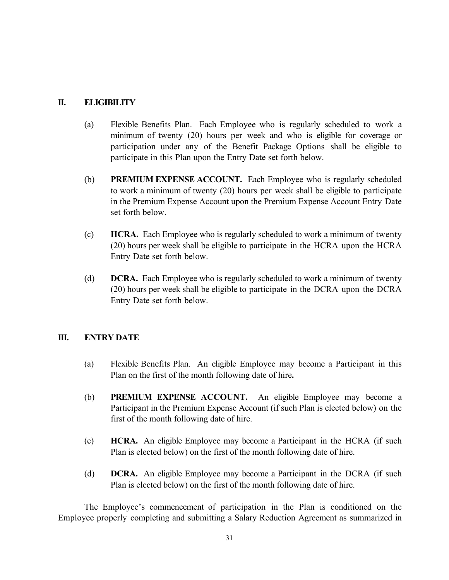## **II. ELIGIBILITY**

- (a) Flexible Benefits Plan. Each Employee who is regularly scheduled to work a minimum of twenty (20) hours per week and who is eligible for coverage or participation under any of the Benefit Package Options shall be eligible to participate in this Plan upon the Entry Date set forth below.
- (b) **PREMIUM EXPENSE ACCOUNT.** Each Employee who is regularly scheduled to work a minimum of twenty (20) hours per week shall be eligible to participate in the Premium Expense Account upon the Premium Expense Account Entry Date set forth below.
- (c) **HCRA.** Each Employee who is regularly scheduled to work a minimum of twenty (20) hours per week shall be eligible to participate in the HCRA upon the HCRA Entry Date set forth below.
- (d) **DCRA.** Each Employee who is regularly scheduled to work a minimum of twenty (20) hours per week shall be eligible to participate in the DCRA upon the DCRA Entry Date set forth below.

# **III. ENTRY DATE**

- (a) Flexible Benefits Plan. An eligible Employee may become a Participant in this Plan on the first of the month following date of hire**.**
- (b) **PREMIUM EXPENSE ACCOUNT.** An eligible Employee may become a Participant in the Premium Expense Account (if such Plan is elected below) on the first of the month following date of hire.
- (c) **HCRA.** An eligible Employee may become a Participant in the HCRA (if such Plan is elected below) on the first of the month following date of hire.
- (d) **DCRA.** An eligible Employee may become a Participant in the DCRA (if such Plan is elected below) on the first of the month following date of hire.

The Employee's commencement of participation in the Plan is conditioned on the Employee properly completing and submitting a Salary Reduction Agreement as summarized in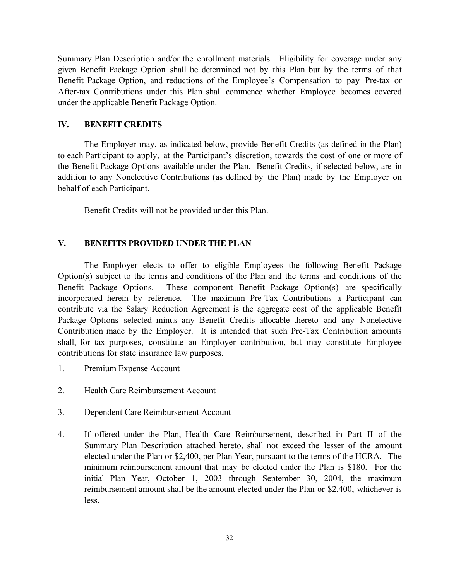Summary Plan Description and/or the enrollment materials. Eligibility for coverage under any given Benefit Package Option shall be determined not by this Plan but by the terms of that Benefit Package Option, and reductions of the Employee's Compensation to pay Pre-tax or After-tax Contributions under this Plan shall commence whether Employee becomes covered under the applicable Benefit Package Option.

## **IV. BENEFIT CREDITS**

The Employer may, as indicated below, provide Benefit Credits (as defined in the Plan) to each Participant to apply, at the Participant's discretion, towards the cost of one or more of the Benefit Package Options available under the Plan. Benefit Credits, if selected below, are in addition to any Nonelective Contributions (as defined by the Plan) made by the Employer on behalf of each Participant.

Benefit Credits will not be provided under this Plan.

## **V. BENEFITS PROVIDED UNDER THE PLAN**

The Employer elects to offer to eligible Employees the following Benefit Package Option(s) subject to the terms and conditions of the Plan and the terms and conditions of the Benefit Package Options. These component Benefit Package Option(s) are specifically incorporated herein by reference. The maximum Pre-Tax Contributions a Participant can contribute via the Salary Reduction Agreement is the aggregate cost of the applicable Benefit Package Options selected minus any Benefit Credits allocable thereto and any Nonelective Contribution made by the Employer. It is intended that such Pre-Tax Contribution amounts shall, for tax purposes, constitute an Employer contribution, but may constitute Employee contributions for state insurance law purposes.

- 1. Premium Expense Account
- 2. Health Care Reimbursement Account
- 3. Dependent Care Reimbursement Account
- 4. If offered under the Plan, Health Care Reimbursement, described in Part II of the Summary Plan Description attached hereto, shall not exceed the lesser of the amount elected under the Plan or \$2,400, per Plan Year, pursuant to the terms of the HCRA. The minimum reimbursement amount that may be elected under the Plan is \$180. For the initial Plan Year, October 1, 2003 through September 30, 2004, the maximum reimbursement amount shall be the amount elected under the Plan or \$2,400, whichever is less.